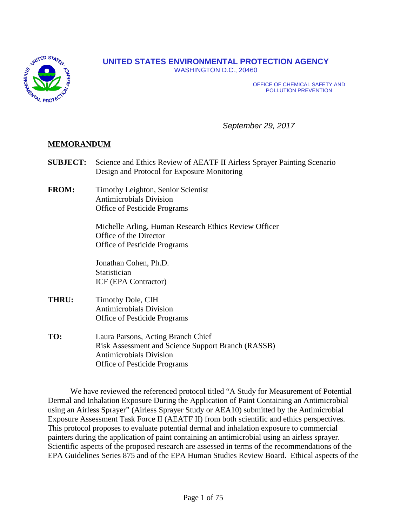

# **UNITED STATES ENVIRONMENTAL PROTECTION AGENCY**

WASHINGTON D.C., 20460

OFFICE OF CHEMICAL SAFETY AND POLLUTION PREVENTION

*September 29, 2017*

## **MEMORANDUM**

- **SUBJECT:** Science and Ethics Review of AEATF II Airless Sprayer Painting Scenario Design and Protocol for Exposure Monitoring
- **FROM:** Timothy Leighton, Senior Scientist Antimicrobials Division Office of Pesticide Programs

Michelle Arling, Human Research Ethics Review Officer Office of the Director Office of Pesticide Programs

Jonathan Cohen, Ph.D. **Statistician** ICF (EPA Contractor)

- **THRU:** Timothy Dole, CIH Antimicrobials Division Office of Pesticide Programs
- **TO:** Laura Parsons, Acting Branch Chief Risk Assessment and Science Support Branch (RASSB) Antimicrobials Division Office of Pesticide Programs

We have reviewed the referenced protocol titled "A Study for Measurement of Potential Dermal and Inhalation Exposure During the Application of Paint Containing an Antimicrobial using an Airless Sprayer" (Airless Sprayer Study or AEA10) submitted by the Antimicrobial Exposure Assessment Task Force II (AEATF II) from both scientific and ethics perspectives. This protocol proposes to evaluate potential dermal and inhalation exposure to commercial painters during the application of paint containing an antimicrobial using an airless sprayer. Scientific aspects of the proposed research are assessed in terms of the recommendations of the EPA Guidelines Series 875 and of the EPA Human Studies Review Board. Ethical aspects of the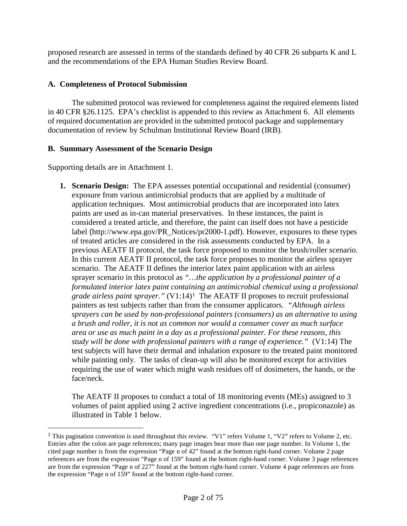proposed research are assessed in terms of the standards defined by 40 CFR 26 subparts K and L and the recommendations of the EPA Human Studies Review Board.

# **A. Completeness of Protocol Submission**

The submitted protocol was reviewed for completeness against the required elements listed in 40 CFR §26.1125. EPA's checklist is appended to this review as Attachment 6. All elements of required documentation are provided in the submitted protocol package and supplementary documentation of review by Schulman Institutional Review Board (IRB).

## **B. Summary Assessment of the Scenario Design**

Supporting details are in Attachment 1.

 $\overline{a}$ 

**1. Scenario Design:** The EPA assesses potential occupational and residential (consumer) exposure from various antimicrobial products that are applied by a multitude of application techniques. Most antimicrobial products that are incorporated into latex paints are used as in-can material preservatives. In these instances, the paint is considered a treated article, and therefore, the paint can itself does not have a pesticide label (http://www.epa.gov/PR\_Notices/pr2000-1.pdf). However, exposures to these types of treated articles are considered in the risk assessments conducted by EPA. In a previous AEATF II protocol, the task force proposed to monitor the brush/roller scenario. In this current AEATF II protocol, the task force proposes to monitor the airless sprayer scenario. The AEATF II defines the interior latex paint application with an airless sprayer scenario in this protocol as *"…the application by a professional painter of a formulated interior latex paint containing an antimicrobial chemical using a professional grade airless paint sprayer."* (V1:14)[1](#page-1-0) The AEATF II proposes to recruit professional painters as test subjects rather than from the consumer applicators. *"Although airless sprayers can be used by non-professional painters (consumers) as an alternative to using a brush and roller, it is not as common nor would a consumer cover as much surface area or use as much paint in a day as a professional painter. For these reasons, this study will be done with professional painters with a range of experience."* (V1:14) The test subjects will have their dermal and inhalation exposure to the treated paint monitored while painting only. The tasks of clean-up will also be monitored except for activities requiring the use of water which might wash residues off of dosimeters, the hands, or the face/neck.

The AEATF II proposes to conduct a total of 18 monitoring events (MEs) assigned to 3 volumes of paint applied using 2 active ingredient concentrations (i.e., propiconazole) as illustrated in Table 1 below.

<span id="page-1-0"></span><sup>&</sup>lt;sup>1</sup> This pagination convention is used throughout this review. "V1" refers Volume 1, "V2" refers to Volume 2, etc. Entries after the colon are page references; many page images bear more than one page number. In Volume 1, the cited page number is from the expression "Page n of 42" found at the bottom right-hand corner. Volume 2 page references are from the expression "Page n of 159" found at the bottom right-hand corner. Volume 3 page references are from the expression "Page n of 227" found at the bottom right-hand corner. Volume 4 page references are from the expression "Page n of 159" found at the bottom right-hand corner.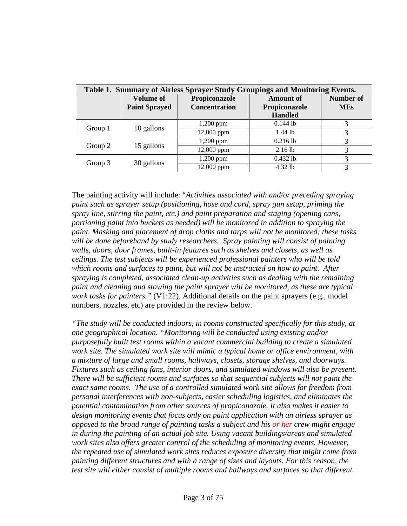| Table 1. Summary of Airless Sprayer Study Groupings and Monitoring Events. |                      |                      |                  |                  |  |  |  |
|----------------------------------------------------------------------------|----------------------|----------------------|------------------|------------------|--|--|--|
|                                                                            | <b>Volume of</b>     | Propiconazole        | <b>Amount of</b> | <b>Number of</b> |  |  |  |
|                                                                            | <b>Paint Sprayed</b> | <b>Concentration</b> | Propiconazole    | <b>MEs</b>       |  |  |  |
|                                                                            |                      |                      | <b>Handled</b>   |                  |  |  |  |
| Group 1                                                                    | 10 gallons           | $1,200$ ppm          | $0.144$ lb       | 3                |  |  |  |
|                                                                            |                      | 12,000 ppm           | $1.44$ lb        | 3                |  |  |  |
| Group 2                                                                    | 15 gallons           | $1,200$ ppm          | $0.216$ lb       | 3                |  |  |  |
|                                                                            |                      | 12,000 ppm           | $2.16$ lb        | 3                |  |  |  |
| Group 3                                                                    | 30 gallons           | $1,200$ ppm          | $0.432$ lb       | 3                |  |  |  |
|                                                                            |                      | 12,000 ppm           | 4.32 lb          | 3                |  |  |  |

The painting activity will include: "*Activities associated with and/or preceding spraying paint such as sprayer setup (positioning, hose and cord, spray gun setup, priming the spray line, stirring the paint, etc.) and paint preparation and staging (opening cans, portioning paint into buckets as needed) will be monitored in addition to spraying the paint. Masking and placement of drop cloths and tarps will not be monitored; these tasks will be done beforehand by study researchers. Spray painting will consist of painting walls, doors, door frames, built-in features such as shelves and closets, as well as ceilings. The test subjects will be experienced professional painters who will be told which rooms and surfaces to paint, but will not be instructed on how to paint. After spraying is completed, associated clean-up activities such as dealing with the remaining paint and cleaning and stowing the paint sprayer will be monitored, as these are typical work tasks for painters."* (V1:22). Additional details on the paint sprayers (e.g., model numbers, nozzles, etc) are provided in the review below.

*"The study will be conducted indoors, in rooms constructed specifically for this study, at one geographical location. "Monitoring will be conducted using existing and/or purposefully built test rooms within a vacant commercial building to create a simulated work site. The simulated work site will mimic a typical home or office environment, with a mixture of large and small rooms, hallways, closets, storage shelves, and doorways. Fixtures such as ceiling fans, interior doors, and simulated windows will also be present. There will be sufficient rooms and surfaces so that sequential subjects will not paint the exact same rooms. The use of a controlled simulated work site allows for freedom from personal interferences with non-subjects, easier scheduling logistics, and eliminates the potential contamination from other sources of propiconazole. It also makes it easier to design monitoring events that focus only on paint application with an airless sprayer as opposed to the broad range of painting tasks a subject and his or her crew might engage in during the painting of an actual job site. Using vacant buildings/areas and simulated work sites also offers greater control of the scheduling of monitoring events. However, the repeated use of simulated work sites reduces exposure diversity that might come from painting different structures and with a range of sizes and layouts. For this reason, the test site will either consist of multiple rooms and hallways and surfaces so that different*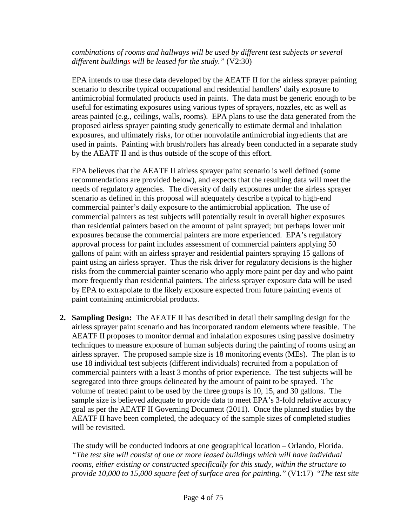## *combinations of rooms and hallways will be used by different test subjects or several different buildings will be leased for the study."* (V2:30)

EPA intends to use these data developed by the AEATF II for the airless sprayer painting scenario to describe typical occupational and residential handlers' daily exposure to antimicrobial formulated products used in paints. The data must be generic enough to be useful for estimating exposures using various types of sprayers, nozzles, etc as well as areas painted (e.g., ceilings, walls, rooms). EPA plans to use the data generated from the proposed airless sprayer painting study generically to estimate dermal and inhalation exposures, and ultimately risks, for other nonvolatile antimicrobial ingredients that are used in paints. Painting with brush/rollers has already been conducted in a separate study by the AEATF II and is thus outside of the scope of this effort.

EPA believes that the AEATF II airless sprayer paint scenario is well defined (some recommendations are provided below), and expects that the resulting data will meet the needs of regulatory agencies. The diversity of daily exposures under the airless sprayer scenario as defined in this proposal will adequately describe a typical to high-end commercial painter's daily exposure to the antimicrobial application. The use of commercial painters as test subjects will potentially result in overall higher exposures than residential painters based on the amount of paint sprayed; but perhaps lower unit exposures because the commercial painters are more experienced. EPA's regulatory approval process for paint includes assessment of commercial painters applying 50 gallons of paint with an airless sprayer and residential painters spraying 15 gallons of paint using an airless sprayer. Thus the risk driver for regulatory decisions is the higher risks from the commercial painter scenario who apply more paint per day and who paint more frequently than residential painters. The airless sprayer exposure data will be used by EPA to extrapolate to the likely exposure expected from future painting events of paint containing antimicrobial products.

**2. Sampling Design:** The AEATF II has described in detail their sampling design for the airless sprayer paint scenario and has incorporated random elements where feasible.The AEATF II proposes to monitor dermal and inhalation exposures using passive dosimetry techniques to measure exposure of human subjects during the painting of rooms using an airless sprayer. The proposed sample size is 18 monitoring events (MEs). The plan is to use 18 individual test subjects (different individuals) recruited from a population of commercial painters with a least 3 months of prior experience. The test subjects will be segregated into three groups delineated by the amount of paint to be sprayed. The volume of treated paint to be used by the three groups is 10, 15, and 30 gallons. The sample size is believed adequate to provide data to meet EPA's 3-fold relative accuracy goal as per the AEATF II Governing Document (2011). Once the planned studies by the AEATF II have been completed, the adequacy of the sample sizes of completed studies will be revisited.

The study will be conducted indoors at one geographical location – Orlando, Florida. *"The test site will consist of one or more leased buildings which will have individual rooms, either existing or constructed specifically for this study, within the structure to provide 10,000 to 15,000 square feet of surface area for painting."* (V1:17) "*The test site*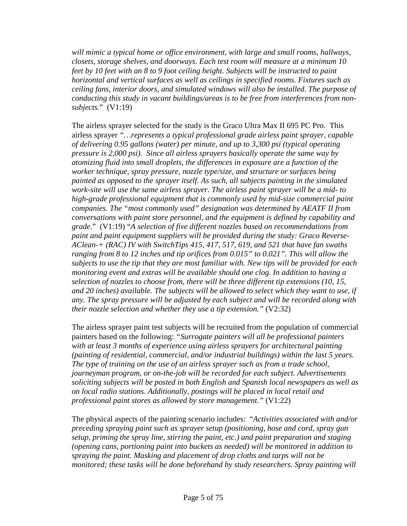*will mimic a typical home or office environment, with large and small rooms, hallways, closets, storage shelves, and doorways. Each test room will measure at a minimum 10 feet by 10 feet with an 8 to 9 foot ceiling height. Subjects will be instructed to paint horizontal and vertical surfaces as well as ceilings in specified rooms. Fixtures such as ceiling fans, interior doors, and simulated windows will also be installed. The purpose of conducting this study in vacant buildings/areas is to be free from interferences from nonsubjects.*" (V1:19)

The airless sprayer selected for the study is the Graco Ultra Max II 695 PC Pro. This airless sprayer *"…represents a typical professional grade airless paint sprayer, capable of delivering 0.95 gallons (water) per minute, and up to 3,300 psi (typical operating pressure is 2,000 psi). Since all airless sprayers basically operate the same way by atomizing fluid into small droplets, the differences in exposure are a function of the worker technique, spray pressure, nozzle type/size, and structure or surfaces being painted as opposed to the sprayer itself. As such, all subjects painting in the simulated work-site will use the same airless sprayer. The airless paint sprayer will be a mid- to high-grade professional equipment that is commonly used by mid-size commercial paint companies. The "most commonly used" designation was determined by AEATF II from conversations with paint store personnel, and the equipment is defined by capability and grade*." (V1:19) "*A selection of five different nozzles based on recommendations from paint and paint equipment suppliers will be provided during the study: Graco Reverse-AClean-+ (RAC) IV with SwitchTips 415, 417, 517, 619, and 521 that have fan swaths ranging from 8 to 12 inches and tip orifices from 0.015" to 0.021". This will allow the subjects to use the tip that they are most familiar with. New tips will be provided for each monitoring event and extras will be available should one clog. In addition to having a selection of nozzles to choose from, there will be three different tip extensions (10, 15, and 20 inches) available. The subjects will be allowed to select which they want to use, if any. The spray pressure will be adjusted by each subject and will be recorded along with their nozzle selection and whether they use a tip extension."* (V2:32)

The airless sprayer paint test subjects will be recruited from the population of commercial painters based on the following: *"Surrogate painters will all be professional painters with at least 3 months of experience using airless sprayers for architectural painting (painting of residential, commercial, and/or industrial buildings) within the last 5 years. The type of training on the use of an airless sprayer such as from a trade school, journeyman program, or on-the-job will be recorded for each subject. Advertisements soliciting subjects will be posted in both English and Spanish local newspapers as well as on local radio stations. Additionally, postings will be placed in local retail and professional paint stores as allowed by store management."* (V1:22)

The physical aspects of the painting scenario includes: "*Activities associated with and/or preceding spraying paint such as sprayer setup (positioning, hose and cord, spray gun setup, priming the spray line, stirring the paint, etc.) and paint preparation and staging (opening cans, portioning paint into buckets as needed) will be monitored in addition to spraying the paint. Masking and placement of drop cloths and tarps will not be monitored; these tasks will be done beforehand by study researchers. Spray painting will*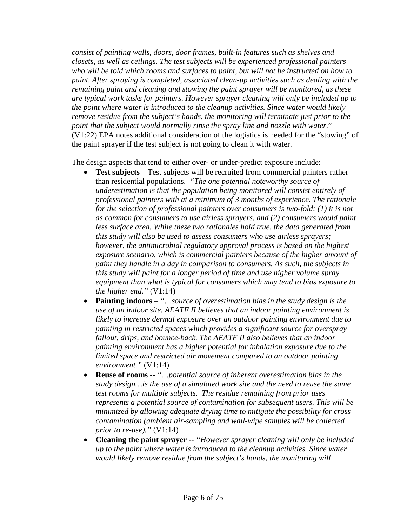*consist of painting walls, doors, door frames, built-in features such as shelves and closets, as well as ceilings. The test subjects will be experienced professional painters who will be told which rooms and surfaces to paint, but will not be instructed on how to paint. After spraying is completed, associated clean-up activities such as dealing with the remaining paint and cleaning and stowing the paint sprayer will be monitored, as these are typical work tasks for painters. However sprayer cleaning will only be included up to the point where water is introduced to the cleanup activities. Since water would likely remove residue from the subject's hands, the monitoring will terminate just prior to the point that the subject would normally rinse the spray line and nozzle with water.*" (V1:22) EPA notes additional consideration of the logistics is needed for the "stowing" of the paint sprayer if the test subject is not going to clean it with water.

The design aspects that tend to either over- or under-predict exposure include:

- **Test subjects** Test subjects will be recruited from commercial painters rather than residential populations. *"The one potential noteworthy source of underestimation is that the population being monitored will consist entirely of professional painters with at a minimum of 3 months of experience. The rationale for the selection of professional painters over consumers is two-fold: (1) it is not as common for consumers to use airless sprayers, and (2) consumers would paint*  less surface area. While these two rationales hold true, the data generated from *this study will also be used to assess consumers who use airless sprayers; however, the antimicrobial regulatory approval process is based on the highest exposure scenario, which is commercial painters because of the higher amount of paint they handle in a day in comparison to consumers. As such, the subjects in this study will paint for a longer period of time and use higher volume spray equipment than what is typical for consumers which may tend to bias exposure to the higher end."* (V1:14)
- **Painting indoors** *– "…source of overestimation bias in the study design is the use of an indoor site. AEATF II believes that an indoor painting environment is likely to increase dermal exposure over an outdoor painting environment due to painting in restricted spaces which provides a significant source for overspray fallout, drips, and bounce-back. The AEATF II also believes that an indoor painting environment has a higher potential for inhalation exposure due to the limited space and restricted air movement compared to an outdoor painting environment."* (V1:14)
- **Reuse of rooms** *-- "…potential source of inherent overestimation bias in the study design…is the use of a simulated work site and the need to reuse the same test rooms for multiple subjects. The residue remaining from prior uses represents a potential source of contamination for subsequent users. This will be minimized by allowing adequate drying time to mitigate the possibility for cross contamination (ambient air-sampling and wall-wipe samples will be collected prior to re-use)."* (V1:14)
- **Cleaning the paint sprayer** *-- "However sprayer cleaning will only be included up to the point where water is introduced to the cleanup activities. Since water would likely remove residue from the subject's hands, the monitoring will*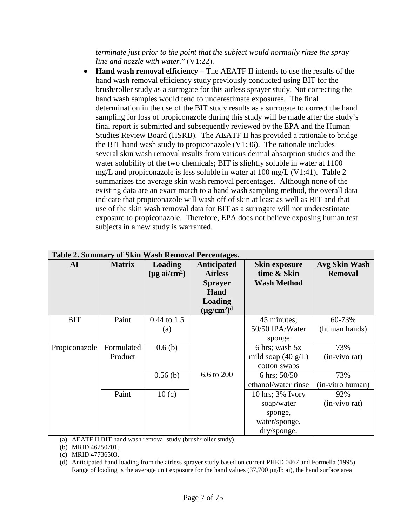*terminate just prior to the point that the subject would normally rinse the spray line and nozzle with water.*" (V1:22).

• **Hand wash removal efficiency –** The AEATF II intends to use the results of the hand wash removal efficiency study previously conducted using BIT for the brush/roller study as a surrogate for this airless sprayer study. Not correcting the hand wash samples would tend to underestimate exposures. The final determination in the use of the BIT study results as a surrogate to correct the hand sampling for loss of propiconazole during this study will be made after the study's final report is submitted and subsequently reviewed by the EPA and the Human Studies Review Board (HSRB). The AEATF II has provided a rationale to bridge the BIT hand wash study to propiconazole (V1:36). The rationale includes several skin wash removal results from various dermal absorption studies and the water solubility of the two chemicals; BIT is slightly soluble in water at 1100 mg/L and propiconazole is less soluble in water at 100 mg/L (V1:41). Table 2 summarizes the average skin wash removal percentages. Although none of the existing data are an exact match to a hand wash sampling method, the overall data indicate that propiconazole will wash off of skin at least as well as BIT and that use of the skin wash removal data for BIT as a surrogate will not underestimate exposure to propiconazole. Therefore, EPA does not believe exposing human test subjects in a new study is warranted.

| Table 2. Summary of Skin Wash Removal Percentages. |               |                           |                  |                              |                      |  |  |  |
|----------------------------------------------------|---------------|---------------------------|------------------|------------------------------|----------------------|--|--|--|
| ${\bf AI}$                                         | <b>Matrix</b> | Loading                   | Anticipated      | <b>Skin exposure</b>         | <b>Avg Skin Wash</b> |  |  |  |
|                                                    |               | $(\mu g \text{ ai/cm}^2)$ | <b>Airless</b>   | time & Skin                  | <b>Removal</b>       |  |  |  |
|                                                    |               |                           | <b>Sprayer</b>   | <b>Wash Method</b>           |                      |  |  |  |
|                                                    |               |                           | Hand             |                              |                      |  |  |  |
|                                                    |               |                           | Loading          |                              |                      |  |  |  |
|                                                    |               |                           | $(\mu g/cm^2)^d$ |                              |                      |  |  |  |
| <b>BIT</b>                                         | Paint         | $0.44$ to 1.5             |                  | 45 minutes;                  | 60-73%               |  |  |  |
|                                                    |               | (a)                       |                  | 50/50 IPA/Water              | (human hands)        |  |  |  |
|                                                    |               |                           |                  | sponge                       |                      |  |  |  |
| Propiconazole                                      | Formulated    | 0.6(b)                    |                  | 6 hrs; wash 5x               | 73%                  |  |  |  |
|                                                    | Product       |                           |                  | mild soap $(40 \text{ g/L})$ | (in-vivo rat)        |  |  |  |
|                                                    |               |                           |                  | cotton swabs                 |                      |  |  |  |
|                                                    |               | 0.56(b)                   | 6.6 to 200       | 6 hrs; $50/50$               | 73%                  |  |  |  |
|                                                    |               |                           |                  | ethanol/water rinse          | (in-vitro human)     |  |  |  |
|                                                    | Paint         | 10(c)                     |                  | $10$ hrs; $3\%$ Ivory        | 92%                  |  |  |  |
|                                                    |               |                           |                  | soap/water                   | (in-vivo rat)        |  |  |  |
|                                                    |               |                           |                  | sponge,                      |                      |  |  |  |
|                                                    |               |                           |                  | water/sponge,                |                      |  |  |  |
|                                                    |               |                           |                  | dry/sponge.                  |                      |  |  |  |

(a) AEATF II BIT hand wash removal study (brush/roller study).

(b) MRID 46250701.

(c) MRID 47736503.

(d) Anticipated hand loading from the airless sprayer study based on current PHED 0467 and Formella (1995). Range of loading is the average unit exposure for the hand values (37,700 µg/lb ai), the hand surface area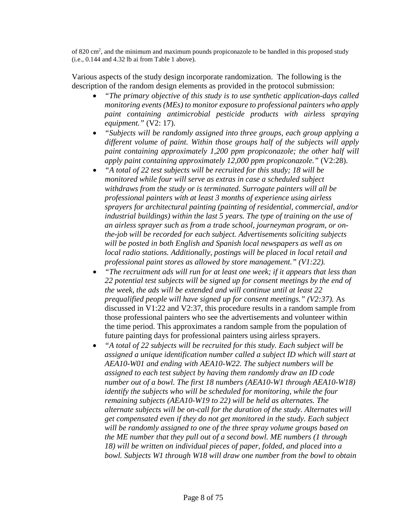of 820 cm<sup>2</sup>, and the minimum and maximum pounds propiconazole to be handled in this proposed study (i.e., 0.144 and 4.32 lb ai from Table 1 above).

Various aspects of the study design incorporate randomization. The following is the description of the random design elements as provided in the protocol submission:

- *"The primary objective of this study is to use synthetic application-days called monitoring events (MEs) to monitor exposure to professional painters who apply paint containing antimicrobial pesticide products with airless spraying equipment."* (V2: 17).
- *"Subjects will be randomly assigned into three groups, each group applying a different volume of paint. Within those groups half of the subjects will apply paint containing approximately 1,200 ppm propiconazole; the other half will apply paint containing approximately 12,000 ppm propiconazole."* (V2:28).
- *"A total of 22 test subjects will be recruited for this study; 18 will be monitored while four will serve as extras in case a scheduled subject withdraws from the study or is terminated. Surrogate painters will all be professional painters with at least 3 months of experience using airless sprayers for architectural painting (painting of residential, commercial, and/or industrial buildings) within the last 5 years. The type of training on the use of an airless sprayer such as from a trade school, journeyman program, or onthe-job will be recorded for each subject. Advertisements soliciting subjects will be posted in both English and Spanish local newspapers as well as on local radio stations. Additionally, postings will be placed in local retail and professional paint stores as allowed by store management." (V1:22).*
- *"The recruitment ads will run for at least one week; if it appears that less than 22 potential test subjects will be signed up for consent meetings by the end of the week, the ads will be extended and will continue until at least 22 prequalified people will have signed up for consent meetings." (V2:37).* As discussed in V1:22 and V2:37, this procedure results in a random sample from those professional painters who see the advertisements and volunteer within the time period. This approximates a random sample from the population of future painting days for professional painters using airless sprayers.
- *"A total of 22 subjects will be recruited for this study. Each subject will be assigned a unique identification number called a subject ID which will start at AEA10-W01 and ending with AEA10-W22. The subject numbers will be assigned to each test subject by having them randomly draw an ID code number out of a bowl. The first 18 numbers (AEA10-W1 through AEA10-W18) identify the subjects who will be scheduled for monitoring, while the four remaining subjects (AEA10-W19 to 22) will be held as alternates. The alternate subjects will be on-call for the duration of the study. Alternates will get compensated even if they do not get monitored in the study. Each subject will be randomly assigned to one of the three spray volume groups based on the ME number that they pull out of a second bowl. ME numbers (1 through 18) will be written on individual pieces of paper, folded, and placed into a bowl. Subjects W1 through W18 will draw one number from the bowl to obtain*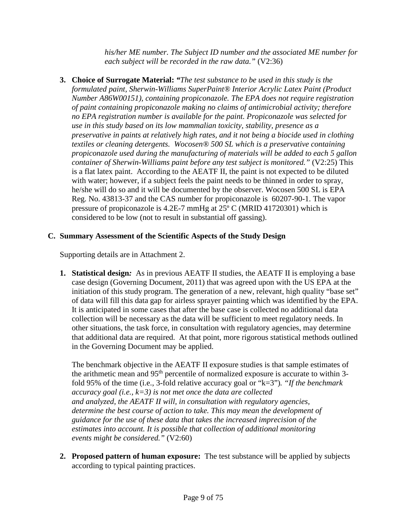*his/her ME number. The Subject ID number and the associated ME number for each subject will be recorded in the raw data."* (V2:36)

**3. Choice of Surrogate Material:** *"The test substance to be used in this study is the formulated paint, Sherwin-Williams SuperPaint® Interior Acrylic Latex Paint (Product Number A86W00151), containing propiconazole. The EPA does not require registration of paint containing propiconazole making no claims of antimicrobial activity; therefore no EPA registration number is available for the paint. Propiconazole was selected for use in this study based on its low mammalian toxicity, stability, presence as a preservative in paints at relatively high rates, and it not being a biocide used in clothing textiles or cleaning detergents. Wocosen® 500 SL which is a preservative containing propiconazole used during the manufacturing of materials will be added to each 5 gallon container of Sherwin-Williams paint before any test subject is monitored."* (V2:25) This is a flat latex paint. According to the AEATF II, the paint is not expected to be diluted with water; however, if a subject feels the paint needs to be thinned in order to spray, he/she will do so and it will be documented by the observer. Wocosen 500 SL is EPA Reg. No. 43813-37 and the CAS number for propiconazole is 60207-90-1. The vapor pressure of propiconazole is 4.2E-7 mmHg at 25º C (MRID 41720301) which is considered to be low (not to result in substantial off gassing).

## **C. Summary Assessment of the Scientific Aspects of the Study Design**

Supporting details are in Attachment 2.

**1. Statistical design***:* As in previous AEATF II studies, the AEATF II is employing a base case design (Governing Document, 2011) that was agreed upon with the US EPA at the initiation of this study program. The generation of a new, relevant, high quality "base set" of data will fill this data gap for airless sprayer painting which was identified by the EPA. It is anticipated in some cases that after the base case is collected no additional data collection will be necessary as the data will be sufficient to meet regulatory needs. In other situations, the task force, in consultation with regulatory agencies, may determine that additional data are required. At that point, more rigorous statistical methods outlined in the Governing Document may be applied.

The benchmark objective in the AEATF II exposure studies is that sample estimates of the arithmetic mean and 95<sup>th</sup> percentile of normalized exposure is accurate to within 3fold 95% of the time (i.e., 3-fold relative accuracy goal or "k=3")*. "If the benchmark accuracy goal (i.e., k=3) is not met once the data are collected and analyzed, the AEATF II will, in consultation with regulatory agencies, determine the best course of action to take. This may mean the development of guidance for the use of these data that takes the increased imprecision of the estimates into account. It is possible that collection of additional monitoring events might be considered."* (V2:60)

**2. Proposed pattern of human exposure:** The test substance will be applied by subjects according to typical painting practices.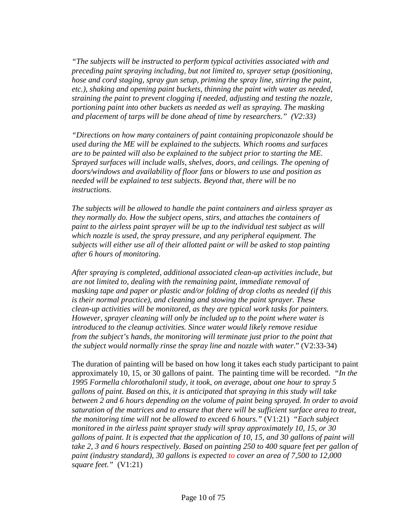*"The subjects will be instructed to perform typical activities associated with and preceding paint spraying including, but not limited to, sprayer setup (positioning, hose and cord staging, spray gun setup, priming the spray line, stirring the paint, etc.), shaking and opening paint buckets, thinning the paint with water as needed, straining the paint to prevent clogging if needed, adjusting and testing the nozzle, portioning paint into other buckets as needed as well as spraying. The masking and placement of tarps will be done ahead of time by researchers." (V2:33)*

*"Directions on how many containers of paint containing propiconazole should be used during the ME will be explained to the subjects. Which rooms and surfaces are to be painted will also be explained to the subject prior to starting the ME. Sprayed surfaces will include walls, shelves, doors, and ceilings. The opening of doors/windows and availability of floor fans or blowers to use and position as needed will be explained to test subjects. Beyond that, there will be no instructions.*

*The subjects will be allowed to handle the paint containers and airless sprayer as they normally do. How the subject opens, stirs, and attaches the containers of paint to the airless paint sprayer will be up to the individual test subject as will which nozzle is used, the spray pressure, and any peripheral equipment. The subjects will either use all of their allotted paint or will be asked to stop painting after 6 hours of monitoring.*

*After spraying is completed, additional associated clean-up activities include, but are not limited to, dealing with the remaining paint, immediate removal of masking tape and paper or plastic and/or folding of drop cloths as needed (if this is their normal practice), and cleaning and stowing the paint sprayer. These clean-up activities will be monitored, as they are typical work tasks for painters. However, sprayer cleaning will only be included up to the point where water is introduced to the cleanup activities. Since water would likely remove residue from the subject's hands, the monitoring will terminate just prior to the point that the subject would normally rinse the spray line and nozzle with water*." (V2:33-34)

The duration of painting will be based on how long it takes each study participant to paint approximately 10, 15, or 30 gallons of paint. The painting time will be recorded. *"In the 1995 Formella chlorothalonil study, it took, on average, about one hour to spray 5 gallons of paint. Based on this, it is anticipated that spraying in this study will take between 2 and 6 hours depending on the volume of paint being sprayed. In order to avoid saturation of the matrices and to ensure that there will be sufficient surface area to treat, the monitoring time will not be allowed to exceed 6 hours."* (V1:21) *"Each subject monitored in the airless paint sprayer study will spray approximately 10, 15, or 30 gallons of paint. It is expected that the application of 10, 15, and 30 gallons of paint will take 2, 3 and 6 hours respectively. Based on painting 250 to 400 square feet per gallon of paint (industry standard), 30 gallons is expected to cover an area of 7,500 to 12,000 square feet."* (V1:21)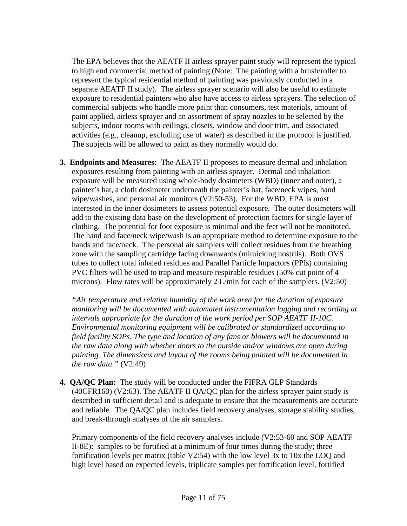The EPA believes that the AEATF II airless sprayer paint study will represent the typical to high end commercial method of painting (Note: The painting with a brush/roller to represent the typical residential method of painting was previously conducted in a separate AEATF II study). The airless sprayer scenario will also be useful to estimate exposure to residential painters who also have access to airless sprayers. The selection of commercial subjects who handle more paint than consumers, test materials, amount of paint applied, airless sprayer and an assortment of spray nozzles to be selected by the subjects, indoor rooms with ceilings, closets, window and door trim, and associated activities (e.g., cleanup, excluding use of water) as described in the protocol is justified. The subjects will be allowed to paint as they normally would do.

**3. Endpoints and Measures:** The AEATF II proposes to measure dermal and inhalation exposures resulting from painting with an airless sprayer. Dermal and inhalation exposure will be measured using whole-body dosimeters (WBD) (inner and outer), a painter's hat, a cloth dosimeter underneath the painter's hat, face/neck wipes, hand wipe/washes, and personal air monitors (V2:50-53). For the WBD, EPA is most interested in the inner dosimeters to assess potential exposure. The outer dosimeters will add to the existing data base on the development of protection factors for single layer of clothing. The potential for foot exposure is minimal and the feet will not be monitored. The hand and face/neck wipe/wash is an appropriate method to determine exposure to the hands and face/neck. The personal air samplers will collect residues from the breathing zone with the sampling cartridge facing downwards (mimicking nostrils). Both OVS tubes to collect total inhaled residues and Parallel Particle Impactors (PPIs) containing PVC filters will be used to trap and measure respirable residues (50% cut point of 4 microns). Flow rates will be approximately 2 L/min for each of the samplers. (V2:50)

*"Air temperature and relative humidity of the work area for the duration of exposure monitoring will be documented with automated instrumentation logging and recording at intervals appropriate for the duration of the work period per SOP AEATF II-10C. Environmental monitoring equipment will be calibrated or standardized according to field facility SOPs. The type and location of any fans or blowers will be documented in the raw data along with whether doors to the outside and/or windows are open during painting. The dimensions and layout of the rooms being painted will be documented in the raw data."* (V2:49)

**4. QA/QC Plan:** The study will be conducted under the FIFRA GLP Standards (40CFR160) (V2:63). The AEATF II QA/QC plan for the airless sprayer paint study is described in sufficient detail and is adequate to ensure that the measurements are accurate and reliable. The QA/QC plan includes field recovery analyses, storage stability studies, and break-through analyses of the air samplers.

Primary components of the field recovery analyses include (V2:53-60 and SOP AEATF II-8E): samples to be fortified at a minimum of four times during the study; three fortification levels per matrix (table V2:54) with the low level 3x to 10x the LOQ and high level based on expected levels, triplicate samples per fortification level, fortified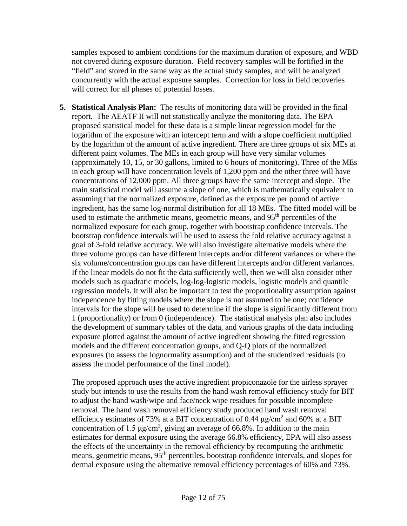samples exposed to ambient conditions for the maximum duration of exposure, and WBD not covered during exposure duration. Field recovery samples will be fortified in the "field" and stored in the same way as the actual study samples, and will be analyzed concurrently with the actual exposure samples. Correction for loss in field recoveries will correct for all phases of potential losses.

**5. Statistical Analysis Plan:** The results of monitoring data will be provided in the final report. The AEATF II will not statistically analyze the monitoring data. The EPA proposed statistical model for these data is a simple linear regression model for the logarithm of the exposure with an intercept term and with a slope coefficient multiplied by the logarithm of the amount of active ingredient. There are three groups of six MEs at different paint volumes. The MEs in each group will have very similar volumes (approximately 10, 15, or 30 gallons, limited to 6 hours of monitoring). Three of the MEs in each group will have concentration levels of 1,200 ppm and the other three will have concentrations of 12,000 ppm. All three groups have the same intercept and slope. The main statistical model will assume a slope of one, which is mathematically equivalent to assuming that the normalized exposure, defined as the exposure per pound of active ingredient, has the same log-normal distribution for all 18 MEs. The fitted model will be used to estimate the arithmetic means, geometric means, and 95<sup>th</sup> percentiles of the normalized exposure for each group, together with bootstrap confidence intervals. The bootstrap confidence intervals will be used to assess the fold relative accuracy against a goal of 3-fold relative accuracy. We will also investigate alternative models where the three volume groups can have different intercepts and/or different variances or where the six volume/concentration groups can have different intercepts and/or different variances. If the linear models do not fit the data sufficiently well, then we will also consider other models such as quadratic models, log-log-logistic models, logistic models and quantile regression models. It will also be important to test the proportionality assumption against independence by fitting models where the slope is not assumed to be one; confidence intervals for the slope will be used to determine if the slope is significantly different from 1 (proportionality) or from 0 (independence). The statistical analysis plan also includes the development of summary tables of the data, and various graphs of the data including exposure plotted against the amount of active ingredient showing the fitted regression models and the different concentration groups, and Q-Q plots of the normalized exposures (to assess the lognormality assumption) and of the studentized residuals (to assess the model performance of the final model).

The proposed approach uses the active ingredient propiconazole for the airless sprayer study but intends to use the results from the hand wash removal efficiency study for BIT to adjust the hand wash/wipe and face/neck wipe residues for possible incomplete removal. The hand wash removal efficiency study produced hand wash removal efficiency estimates of 73% at a BIT concentration of 0.44  $\mu$ g/cm<sup>2</sup> and 60% at a BIT concentration of 1.5  $\mu$ g/cm<sup>2</sup>, giving an average of 66.8%. In addition to the main estimates for dermal exposure using the average 66.8% efficiency, EPA will also assess the effects of the uncertainty in the removal efficiency by recomputing the arithmetic means, geometric means, 95<sup>th</sup> percentiles, bootstrap confidence intervals, and slopes for dermal exposure using the alternative removal efficiency percentages of 60% and 73%.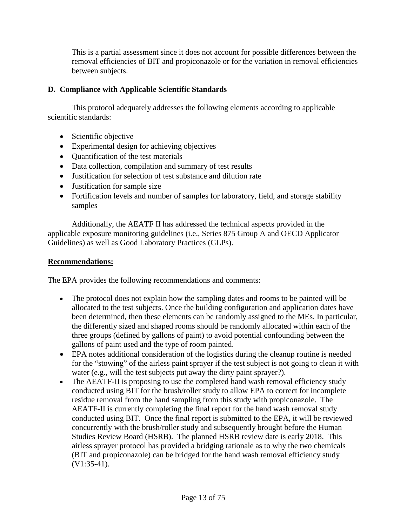This is a partial assessment since it does not account for possible differences between the removal efficiencies of BIT and propiconazole or for the variation in removal efficiencies between subjects.

## **D. Compliance with Applicable Scientific Standards**

This protocol adequately addresses the following elements according to applicable scientific standards:

- Scientific objective
- Experimental design for achieving objectives
- Quantification of the test materials
- Data collection, compilation and summary of test results
- Justification for selection of test substance and dilution rate
- Justification for sample size
- Fortification levels and number of samples for laboratory, field, and storage stability samples

Additionally, the AEATF II has addressed the technical aspects provided in the applicable exposure monitoring guidelines (i.e., Series 875 Group A and OECD Applicator Guidelines) as well as Good Laboratory Practices (GLPs).

#### **Recommendations:**

The EPA provides the following recommendations and comments:

- The protocol does not explain how the sampling dates and rooms to be painted will be allocated to the test subjects. Once the building configuration and application dates have been determined, then these elements can be randomly assigned to the MEs. In particular, the differently sized and shaped rooms should be randomly allocated within each of the three groups (defined by gallons of paint) to avoid potential confounding between the gallons of paint used and the type of room painted.
- EPA notes additional consideration of the logistics during the cleanup routine is needed for the "stowing" of the airless paint sprayer if the test subject is not going to clean it with water (e.g., will the test subjects put away the dirty paint sprayer?).
- The AEATF-II is proposing to use the completed hand wash removal efficiency study conducted using BIT for the brush/roller study to allow EPA to correct for incomplete residue removal from the hand sampling from this study with propiconazole. The AEATF-II is currently completing the final report for the hand wash removal study conducted using BIT. Once the final report is submitted to the EPA, it will be reviewed concurrently with the brush/roller study and subsequently brought before the Human Studies Review Board (HSRB). The planned HSRB review date is early 2018. This airless sprayer protocol has provided a bridging rationale as to why the two chemicals (BIT and propiconazole) can be bridged for the hand wash removal efficiency study (V1:35-41).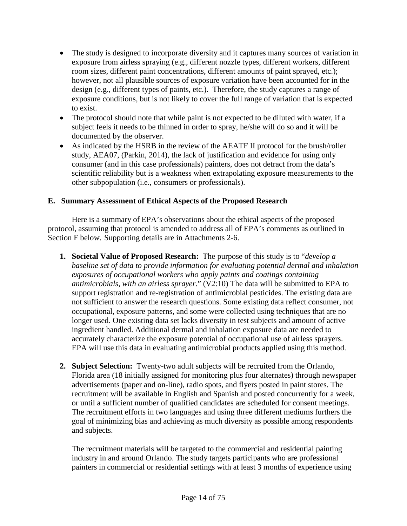- The study is designed to incorporate diversity and it captures many sources of variation in exposure from airless spraying (e.g., different nozzle types, different workers, different room sizes, different paint concentrations, different amounts of paint sprayed, etc.); however, not all plausible sources of exposure variation have been accounted for in the design (e.g., different types of paints, etc.). Therefore, the study captures a range of exposure conditions, but is not likely to cover the full range of variation that is expected to exist.
- The protocol should note that while paint is not expected to be diluted with water, if a subject feels it needs to be thinned in order to spray, he/she will do so and it will be documented by the observer.
- As indicated by the HSRB in the review of the AEATF II protocol for the brush/roller study, AEA07, (Parkin, 2014), the lack of justification and evidence for using only consumer (and in this case professionals) painters, does not detract from the data's scientific reliability but is a weakness when extrapolating exposure measurements to the other subpopulation (i.e., consumers or professionals).

## **E. Summary Assessment of Ethical Aspects of the Proposed Research**

Here is a summary of EPA's observations about the ethical aspects of the proposed protocol, assuming that protocol is amended to address all of EPA's comments as outlined in Section F below. Supporting details are in Attachments 2-6.

- **1. Societal Value of Proposed Research:** The purpose of this study is to "*develop a baseline set of data to provide information for evaluating potential dermal and inhalation exposures of occupational workers who apply paints and coatings containing antimicrobials, with an airless sprayer.*" (V2:10) The data will be submitted to EPA to support registration and re-registration of antimicrobial pesticides. The existing data are not sufficient to answer the research questions. Some existing data reflect consumer, not occupational, exposure patterns, and some were collected using techniques that are no longer used. One existing data set lacks diversity in test subjects and amount of active ingredient handled. Additional dermal and inhalation exposure data are needed to accurately characterize the exposure potential of occupational use of airless sprayers. EPA will use this data in evaluating antimicrobial products applied using this method.
- **2. Subject Selection:** Twenty-two adult subjects will be recruited from the Orlando, Florida area (18 initially assigned for monitoring plus four alternates) through newspaper advertisements (paper and on-line), radio spots, and flyers posted in paint stores. The recruitment will be available in English and Spanish and posted concurrently for a week, or until a sufficient number of qualified candidates are scheduled for consent meetings. The recruitment efforts in two languages and using three different mediums furthers the goal of minimizing bias and achieving as much diversity as possible among respondents and subjects.

The recruitment materials will be targeted to the commercial and residential painting industry in and around Orlando. The study targets participants who are professional painters in commercial or residential settings with at least 3 months of experience using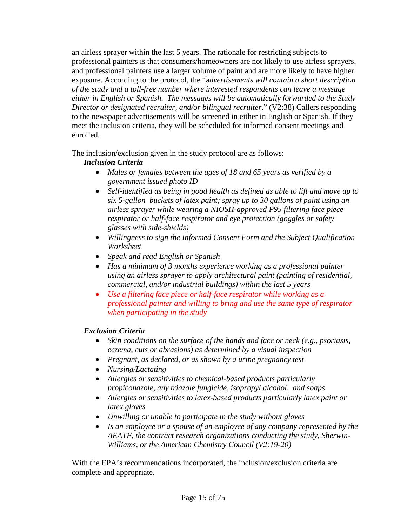an airless sprayer within the last 5 years. The rationale for restricting subjects to professional painters is that consumers/homeowners are not likely to use airless sprayers, and professional painters use a larger volume of paint and are more likely to have higher exposure. According to the protocol, the "a*dvertisements will contain a short description of the study and a toll-free number where interested respondents can leave a message either in English or Spanish. The messages will be automatically forwarded to the Study Director or designated recruiter, and/or bilingual recruiter*." (V2:38) Callers responding to the newspaper advertisements will be screened in either in English or Spanish. If they meet the inclusion criteria, they will be scheduled for informed consent meetings and enrolled.

The inclusion/exclusion given in the study protocol are as follows:

# *Inclusion Criteria*

- *Males or females between the ages of 18 and 65 years as verified by a government issued photo ID*
- *Self-identified as being in good health as defined as able to lift and move up to six 5-gallon buckets of latex paint; spray up to 30 gallons of paint using an airless sprayer while wearing a NIOSH-approved P95 filtering face piece respirator or half-face respirator and eye protection (goggles or safety glasses with side-shields)*
- *Willingness to sign the Informed Consent Form and the Subject Qualification Worksheet*
- *Speak and read English or Spanish*
- *Has a minimum of 3 months experience working as a professional painter using an airless sprayer to apply architectural paint (painting of residential, commercial, and/or industrial buildings) within the last 5 years*
- *Use a filtering face piece or half-face respirator while working as a professional painter and willing to bring and use the same type of respirator when participating in the study*

# *Exclusion Criteria*

- *Skin conditions on the surface of the hands and face or neck (e.g., psoriasis, eczema, cuts or abrasions) as determined by a visual inspection*
- *Pregnant, as declared, or as shown by a urine pregnancy test*
- *Nursing/Lactating*
- *Allergies or sensitivities to chemical-based products particularly propiconazole, any triazole fungicide, isopropyl alcohol, and soaps*
- *Allergies or sensitivities to latex-based products particularly latex paint or latex gloves*
- *Unwilling or unable to participate in the study without gloves*
- *Is an employee or a spouse of an employee of any company represented by the AEATF, the contract research organizations conducting the study, Sherwin-Williams, or the American Chemistry Council (V2:19-20)*

With the EPA's recommendations incorporated, the inclusion/exclusion criteria are complete and appropriate.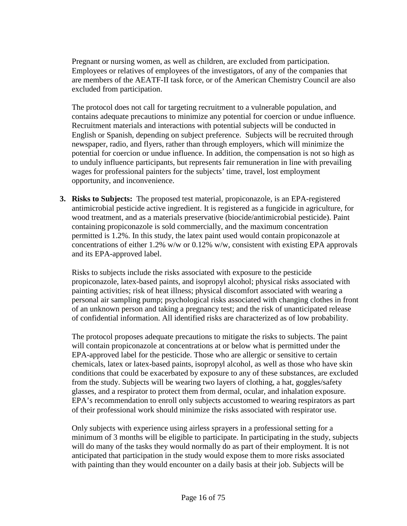Pregnant or nursing women, as well as children, are excluded from participation. Employees or relatives of employees of the investigators, of any of the companies that are members of the AEATF-II task force, or of the American Chemistry Council are also excluded from participation.

The protocol does not call for targeting recruitment to a vulnerable population, and contains adequate precautions to minimize any potential for coercion or undue influence. Recruitment materials and interactions with potential subjects will be conducted in English or Spanish, depending on subject preference. Subjects will be recruited through newspaper, radio, and flyers, rather than through employers, which will minimize the potential for coercion or undue influence. In addition, the compensation is not so high as to unduly influence participants, but represents fair remuneration in line with prevailing wages for professional painters for the subjects' time, travel, lost employment opportunity, and inconvenience.

**3. Risks to Subjects:** The proposed test material, propiconazole, is an EPA-registered antimicrobial pesticide active ingredient. It is registered as a fungicide in agriculture, for wood treatment, and as a materials preservative (biocide/antimicrobial pesticide). Paint containing propiconazole is sold commercially, and the maximum concentration permitted is 1.2%. In this study, the latex paint used would contain propiconazole at concentrations of either 1.2% w/w or 0.12% w/w, consistent with existing EPA approvals and its EPA-approved label.

Risks to subjects include the risks associated with exposure to the pesticide propiconazole, latex-based paints, and isopropyl alcohol; physical risks associated with painting activities; risk of heat illness; physical discomfort associated with wearing a personal air sampling pump; psychological risks associated with changing clothes in front of an unknown person and taking a pregnancy test; and the risk of unanticipated release of confidential information. All identified risks are characterized as of low probability.

The protocol proposes adequate precautions to mitigate the risks to subjects. The paint will contain propiconazole at concentrations at or below what is permitted under the EPA-approved label for the pesticide. Those who are allergic or sensitive to certain chemicals, latex or latex-based paints, isopropyl alcohol, as well as those who have skin conditions that could be exacerbated by exposure to any of these substances, are excluded from the study. Subjects will be wearing two layers of clothing, a hat, goggles/safety glasses, and a respirator to protect them from dermal, ocular, and inhalation exposure. EPA's recommendation to enroll only subjects accustomed to wearing respirators as part of their professional work should minimize the risks associated with respirator use.

Only subjects with experience using airless sprayers in a professional setting for a minimum of 3 months will be eligible to participate. In participating in the study, subjects will do many of the tasks they would normally do as part of their employment. It is not anticipated that participation in the study would expose them to more risks associated with painting than they would encounter on a daily basis at their job. Subjects will be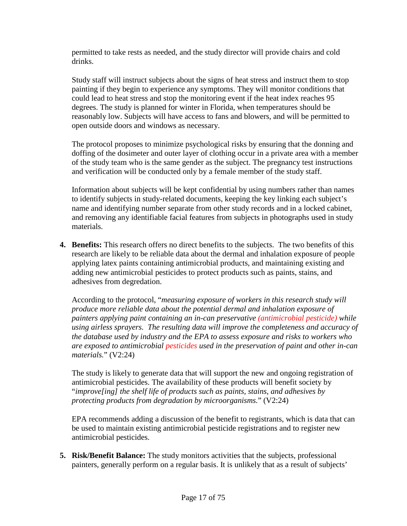permitted to take rests as needed, and the study director will provide chairs and cold drinks.

Study staff will instruct subjects about the signs of heat stress and instruct them to stop painting if they begin to experience any symptoms. They will monitor conditions that could lead to heat stress and stop the monitoring event if the heat index reaches 95 degrees. The study is planned for winter in Florida, when temperatures should be reasonably low. Subjects will have access to fans and blowers, and will be permitted to open outside doors and windows as necessary.

The protocol proposes to minimize psychological risks by ensuring that the donning and doffing of the dosimeter and outer layer of clothing occur in a private area with a member of the study team who is the same gender as the subject. The pregnancy test instructions and verification will be conducted only by a female member of the study staff.

Information about subjects will be kept confidential by using numbers rather than names to identify subjects in study-related documents, keeping the key linking each subject's name and identifying number separate from other study records and in a locked cabinet, and removing any identifiable facial features from subjects in photographs used in study materials.

**4. Benefits:** This research offers no direct benefits to the subjects. The two benefits of this research are likely to be reliable data about the dermal and inhalation exposure of people applying latex paints containing antimicrobial products, and maintaining existing and adding new antimicrobial pesticides to protect products such as paints, stains, and adhesives from degredation.

According to the protocol, "*measuring exposure of workers in this research study will produce more reliable data about the potential dermal and inhalation exposure of painters applying paint containing an in-can preservative (antimicrobial pesticide) while using airless sprayers. The resulting data will improve the completeness and accuracy of the database used by industry and the EPA to assess exposure and risks to workers who are exposed to antimicrobial pesticides used in the preservation of paint and other in-can materials.*" (V2:24)

The study is likely to generate data that will support the new and ongoing registration of antimicrobial pesticides. The availability of these products will benefit society by "*improve[ing] the shelf life of products such as paints, stains, and adhesives by protecting products from degradation by microorganisms.*" (V2:24)

EPA recommends adding a discussion of the benefit to registrants, which is data that can be used to maintain existing antimicrobial pesticide registrations and to register new antimicrobial pesticides.

**5. Risk/Benefit Balance:** The study monitors activities that the subjects, professional painters, generally perform on a regular basis. It is unlikely that as a result of subjects'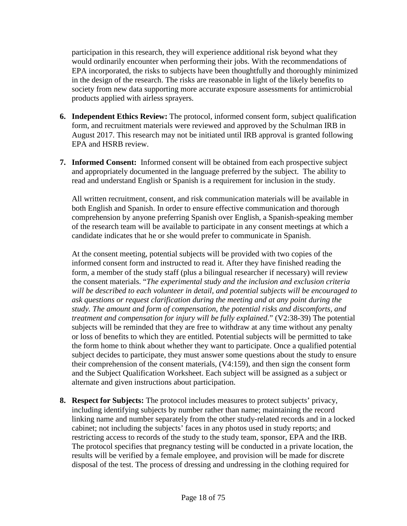participation in this research, they will experience additional risk beyond what they would ordinarily encounter when performing their jobs. With the recommendations of EPA incorporated, the risks to subjects have been thoughtfully and thoroughly minimized in the design of the research. The risks are reasonable in light of the likely benefits to society from new data supporting more accurate exposure assessments for antimicrobial products applied with airless sprayers.

- **6. Independent Ethics Review:** The protocol, informed consent form, subject qualification form, and recruitment materials were reviewed and approved by the Schulman IRB in August 2017. This research may not be initiated until IRB approval is granted following EPA and HSRB review.
- **7. Informed Consent:** Informed consent will be obtained from each prospective subject and appropriately documented in the language preferred by the subject. The ability to read and understand English or Spanish is a requirement for inclusion in the study.

All written recruitment, consent, and risk communication materials will be available in both English and Spanish. In order to ensure effective communication and thorough comprehension by anyone preferring Spanish over English, a Spanish-speaking member of the research team will be available to participate in any consent meetings at which a candidate indicates that he or she would prefer to communicate in Spanish.

At the consent meeting, potential subjects will be provided with two copies of the informed consent form and instructed to read it. After they have finished reading the form, a member of the study staff (plus a bilingual researcher if necessary) will review the consent materials. "*The experimental study and the inclusion and exclusion criteria will be described to each volunteer in detail, and potential subjects will be encouraged to ask questions or request clarification during the meeting and at any point during the study. The amount and form of compensation, the potential risks and discomforts, and treatment and compensation for injury will be fully explained.*" (V2:38-39) The potential subjects will be reminded that they are free to withdraw at any time without any penalty or loss of benefits to which they are entitled. Potential subjects will be permitted to take the form home to think about whether they want to participate. Once a qualified potential subject decides to participate, they must answer some questions about the study to ensure their comprehension of the consent materials, (V4:159), and then sign the consent form and the Subject Qualification Worksheet. Each subject will be assigned as a subject or alternate and given instructions about participation.

**8. Respect for Subjects:** The protocol includes measures to protect subjects' privacy, including identifying subjects by number rather than name; maintaining the record linking name and number separately from the other study-related records and in a locked cabinet; not including the subjects' faces in any photos used in study reports; and restricting access to records of the study to the study team, sponsor, EPA and the IRB. The protocol specifies that pregnancy testing will be conducted in a private location, the results will be verified by a female employee, and provision will be made for discrete disposal of the test. The process of dressing and undressing in the clothing required for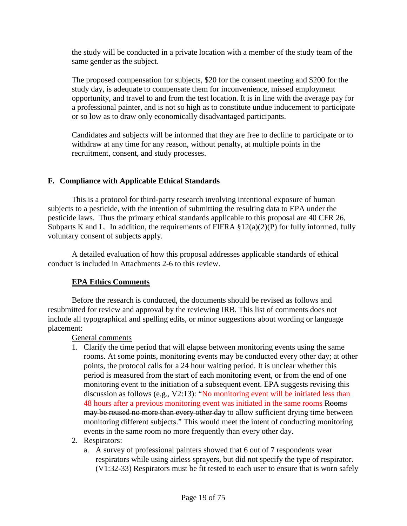the study will be conducted in a private location with a member of the study team of the same gender as the subject.

The proposed compensation for subjects, \$20 for the consent meeting and \$200 for the study day, is adequate to compensate them for inconvenience, missed employment opportunity, and travel to and from the test location. It is in line with the average pay for a professional painter, and is not so high as to constitute undue inducement to participate or so low as to draw only economically disadvantaged participants.

Candidates and subjects will be informed that they are free to decline to participate or to withdraw at any time for any reason, without penalty, at multiple points in the recruitment, consent, and study processes.

## **F. Compliance with Applicable Ethical Standards**

This is a protocol for third-party research involving intentional exposure of human subjects to a pesticide, with the intention of submitting the resulting data to EPA under the pesticide laws. Thus the primary ethical standards applicable to this proposal are 40 CFR 26, Subparts K and L. In addition, the requirements of FIFRA  $\S 12(a)(2)(P)$  for fully informed, fully voluntary consent of subjects apply.

A detailed evaluation of how this proposal addresses applicable standards of ethical conduct is included in Attachments 2-6 to this review.

## **EPA Ethics Comments**

Before the research is conducted, the documents should be revised as follows and resubmitted for review and approval by the reviewing IRB. This list of comments does not include all typographical and spelling edits, or minor suggestions about wording or language placement:

General comments

- 1. Clarify the time period that will elapse between monitoring events using the same rooms. At some points, monitoring events may be conducted every other day; at other points, the protocol calls for a 24 hour waiting period. It is unclear whether this period is measured from the start of each monitoring event, or from the end of one monitoring event to the initiation of a subsequent event. EPA suggests revising this discussion as follows (e.g., V2:13): "No monitoring event will be initiated less than 48 hours after a previous monitoring event was initiated in the same rooms Rooms may be reused no more than every other day to allow sufficient drying time between monitoring different subjects." This would meet the intent of conducting monitoring events in the same room no more frequently than every other day.
- 2. Respirators:
	- a. A survey of professional painters showed that 6 out of 7 respondents wear respirators while using airless sprayers, but did not specify the type of respirator. (V1:32-33) Respirators must be fit tested to each user to ensure that is worn safely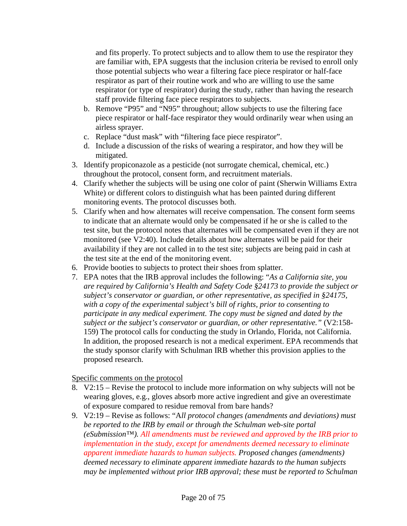and fits properly. To protect subjects and to allow them to use the respirator they are familiar with, EPA suggests that the inclusion criteria be revised to enroll only those potential subjects who wear a filtering face piece respirator or half-face respirator as part of their routine work and who are willing to use the same respirator (or type of respirator) during the study, rather than having the research staff provide filtering face piece respirators to subjects.

- b. Remove "P95" and "N95" throughout; allow subjects to use the filtering face piece respirator or half-face respirator they would ordinarily wear when using an airless sprayer.
- c. Replace "dust mask" with "filtering face piece respirator".
- d. Include a discussion of the risks of wearing a respirator, and how they will be mitigated.
- 3. Identify propiconazole as a pesticide (not surrogate chemical, chemical, etc.) throughout the protocol, consent form, and recruitment materials.
- 4. Clarify whether the subjects will be using one color of paint (Sherwin Williams Extra White) or different colors to distinguish what has been painted during different monitoring events. The protocol discusses both.
- 5. Clarify when and how alternates will receive compensation. The consent form seems to indicate that an alternate would only be compensated if he or she is called to the test site, but the protocol notes that alternates will be compensated even if they are not monitored (see V2:40). Include details about how alternates will be paid for their availability if they are not called in to the test site; subjects are being paid in cash at the test site at the end of the monitoring event.
- 6. Provide booties to subjects to protect their shoes from splatter.
- 7. EPA notes that the IRB approval includes the following: "*As a California site, you are required by California's Health and Safety Code §24173 to provide the subject or subject's conservator or guardian, or other representative, as specified in §24175, with a copy of the experimental subject's bill of rights, prior to consenting to participate in any medical experiment. The copy must be signed and dated by the subject or the subject's conservator or guardian, or other representative."* (V2:158- 159) The protocol calls for conducting the study in Orlando, Florida, not California. In addition, the proposed research is not a medical experiment. EPA recommends that the study sponsor clarify with Schulman IRB whether this provision applies to the proposed research.

## Specific comments on the protocol

- 8. V2:15 Revise the protocol to include more information on why subjects will not be wearing gloves, e.g., gloves absorb more active ingredient and give an overestimate of exposure compared to residue removal from bare hands?
- 9. V2:19 Revise as follows: "A*ll protocol changes (amendments and deviations) must be reported to the IRB by email or through the Schulman web-site portal (eSubmission™). All amendments must be reviewed and approved by the IRB prior to implementation in the study, except for amendments deemed necessary to eliminate apparent immediate hazards to human subjects. Proposed changes (amendments) deemed necessary to eliminate apparent immediate hazards to the human subjects may be implemented without prior IRB approval; these must be reported to Schulman*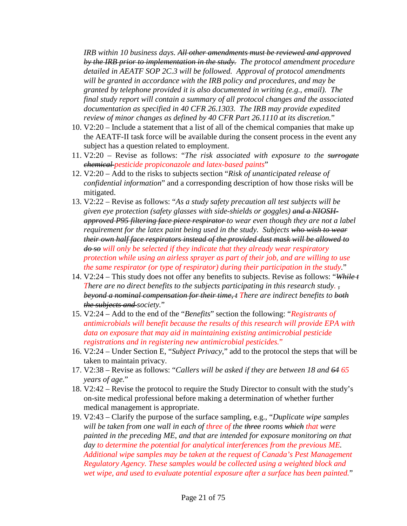*IRB within 10 business days. All other amendments must be reviewed and approved by the IRB prior to implementation in the study. The protocol amendment procedure detailed in AEATF SOP 2C.3 will be followed. Approval of protocol amendments will be granted in accordance with the IRB policy and procedures, and may be granted by telephone provided it is also documented in writing (e.g., email). The final study report will contain a summary of all protocol changes and the associated documentation as specified in 40 CFR 26.1303. The IRB may provide expedited review of minor changes as defined by 40 CFR Part 26.1110 at its discretion.*"

- 10. V2:20 Include a statement that a list of all of the chemical companies that make up the AEATF-II task force will be available during the consent process in the event any subject has a question related to employment.
- 11. V2:20 Revise as follows: "*The risk associated with exposure to the surrogate chemical pesticide propiconazole and latex-based paints*"
- 12. V2:20 Add to the risks to subjects section "*Risk of unanticipated release of confidential information*" and a corresponding description of how those risks will be mitigated.
- 13. V2:22 Revise as follows: "*As a study safety precaution all test subjects will be given eye protection (safety glasses with side-shields or goggles) and a NIOSHapproved P95 filtering face piece respirator to wear even though they are not a label requirement for the latex paint being used in the study. Subjects who wish to wear their own half face respirators instead of the provided dust mask will be allowed to do so will only be selected if they indicate that they already wear respiratory protection while using an airless sprayer as part of their job, and are willing to use the same respirator (or type of respirator) during their participation in the study.*"
- 14. V2:24 This study does not offer any benefits to subjects. Revise as follows: "*While t There are no direct benefits to the subjects participating in this research study. beyond a nominal compensation for their time, t There are indirect benefits to both the subjects and society.*"
- 15. V2:24 Add to the end of the "*Benefits*" section the following: "*Registrants of antimicrobials will benefit because the results of this research will provide EPA with data on exposure that may aid in maintaining existing antimicrobial pesticide registrations and in registering new antimicrobial pesticides.*"
- 16. V2:24 Under Section E, "*Subject Privacy*," add to the protocol the steps that will be taken to maintain privacy.
- 17. V2:38 Revise as follows: "*Callers will be asked if they are between 18 and 64 65 years of age.*"
- 18. V2:42 Revise the protocol to require the Study Director to consult with the study's on-site medical professional before making a determination of whether further medical management is appropriate.
- 19. V2:43 Clarify the purpose of the surface sampling, e.g., "*Duplicate wipe samples will be taken from one wall in each of three of the three rooms which that were painted in the preceding ME, and that are intended for exposure monitoring on that day to determine the potential for analytical interferences from the previous ME. Additional wipe samples may be taken at the request of Canada's Pest Management Regulatory Agency. These samples would be collected using a weighted block and wet wipe, and used to evaluate potential exposure after a surface has been painted.*"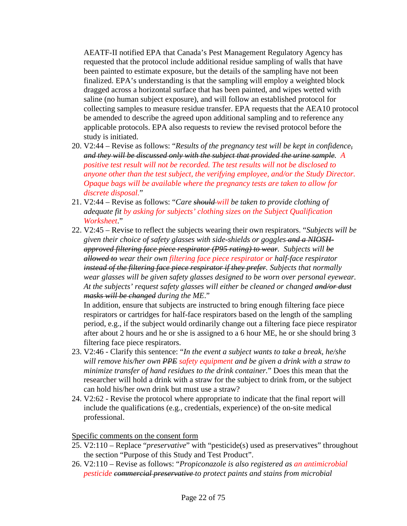AEATF-II notified EPA that Canada's Pest Management Regulatory Agency has requested that the protocol include additional residue sampling of walls that have been painted to estimate exposure, but the details of the sampling have not been finalized. EPA's understanding is that the sampling will employ a weighted block dragged across a horizontal surface that has been painted, and wipes wetted with saline (no human subject exposure), and will follow an established protocol for collecting samples to measure residue transfer. EPA requests that the AEA10 protocol be amended to describe the agreed upon additional sampling and to reference any applicable protocols. EPA also requests to review the revised protocol before the study is initiated.

- 20. V2:44 Revise as follows: "*Results of the pregnancy test will be kept in confidence, and they will be discussed only with the subject that provided the urine sample. A positive test result will not be recorded. The test results will not be disclosed to anyone other than the test subject, the verifying employee, and/or the Study Director. Opaque bags will be available where the pregnancy tests are taken to allow for discrete disposal.*"
- 21. V2:44 Revise as follows: "*Care should will be taken to provide clothing of adequate fit by asking for subjects' clothing sizes on the Subject Qualification Worksheet*."
- 22. V2:45 Revise to reflect the subjects wearing their own respirators. "*Subjects will be given their choice of safety glasses with side-shields or goggles and a NIOSHapproved filtering face piece respirator (P95 rating) to wear. Subjects will be allowed to wear their own filtering face piece respirator or half-face respirator instead of the filtering face piece respirator if they prefer. Subjects that normally wear glasses will be given safety glasses designed to be worn over personal eyewear. At the subjects' request safety glasses will either be cleaned or changed and/or dust masks will be changed during the ME*."

In addition, ensure that subjects are instructed to bring enough filtering face piece respirators or cartridges for half-face respirators based on the length of the sampling period, e.g., if the subject would ordinarily change out a filtering face piece respirator after about 2 hours and he or she is assigned to a 6 hour ME, he or she should bring 3 filtering face piece respirators.

- 23. V2:46 Clarify this sentence: "*In the event a subject wants to take a break, he/she will remove his/her own PPE safety equipment and be given a drink with a straw to minimize transfer of hand residues to the drink container.*" Does this mean that the researcher will hold a drink with a straw for the subject to drink from, or the subject can hold his/her own drink but must use a straw?
- 24. V2:62 Revise the protocol where appropriate to indicate that the final report will include the qualifications (e.g., credentials, experience) of the on-site medical professional.

Specific comments on the consent form

- 25. V2:110 Replace "*preservative*" with "pesticide(s) used as preservatives" throughout the section "Purpose of this Study and Test Product".
- 26. V2:110 Revise as follows: "*Propiconazole is also registered as an antimicrobial pesticide commercial preservative to protect paints and stains from microbial*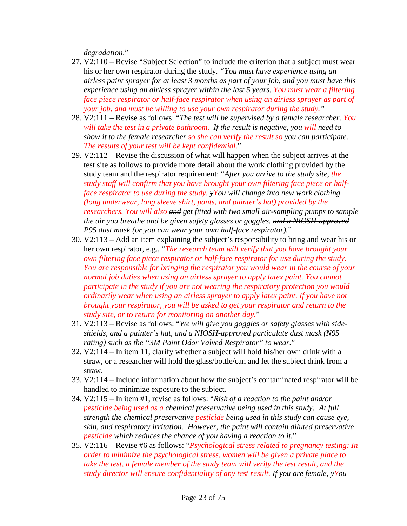*degradation*."

- 27. V2:110 Revise "Subject Selection" to include the criterion that a subject must wear his or her own respirator during the study. *"You must have experience using an airless paint sprayer for at least 3 months as part of your job, and you must have this experience using an airless sprayer within the last 5 years. You must wear a filtering face piece respirator or half-face respirator when using an airless sprayer as part of your job, and must be willing to use your own respirator during the study."*
- 28. V2:111 Revise as follows: "*The test will be supervised by a female researcher. You will take the test in a private bathroom. If the result is negative, you will need to show it to the female researcher so she can verify the result so you can participate. The results of your test will be kept confidential.*"
- 29. V2:112 Revise the discussion of what will happen when the subject arrives at the test site as follows to provide more detail about the work clothing provided by the study team and the respirator requirement: "*After you arrive to the study site, the study staff will confirm that you have brought your own filtering face piece or halfface respirator to use during the study. yYou will change into new work clothing (long underwear, long sleeve shirt, pants, and painter's hat) provided by the researchers. You will also and get fitted with two small air-sampling pumps to sample the air you breathe and be given safety glasses or goggles. and a NIOSH-approved P95 dust mask (or you can wear your own half-face respirator).*"
- 30. V2:113 Add an item explaining the subject's responsibility to bring and wear his or her own respirator, e.g., "*The research team will verify that you have brought your own filtering face piece respirator or half-face respirator for use during the study. You are responsible for bringing the respirator you would wear in the course of your normal job duties when using an airless sprayer to apply latex paint. You cannot participate in the study if you are not wearing the respiratory protection you would ordinarily wear when using an airless sprayer to apply latex paint. If you have not brought your respirator, you will be asked to get your respirator and return to the study site, or to return for monitoring on another day.*"
- 31. V2:113 Revise as follows: "*We will give you goggles or safety glasses with sideshields, and a painter's hat, and a NIOSH-approved particulate dust mask (N95 rating) such as the "3M Paint Odor Valved Respirator" to wear.*"
- 32. V2:114 In item 11, clarify whether a subject will hold his/her own drink with a straw, or a researcher will hold the glass/bottle/can and let the subject drink from a straw.
- 33. V2:114 Include information about how the subject's contaminated respirator will be handled to minimize exposure to the subject.
- 34. V2:115 In item #1, revise as follows: "*Risk of a reaction to the paint and/or pesticide being used as a chemical preservative being used in this study: At full strength the chemical preservative pesticide being used in this study can cause eye, skin, and respiratory irritation. However, the paint will contain diluted preservative pesticide which reduces the chance of you having a reaction to it.*"
- 35. V2:116 Revise #6 as follows: "*Psychological stress related to pregnancy testing: In order to minimize the psychological stress, women will be given a private place to take the test, a female member of the study team will verify the test result, and the study director will ensure confidentiality of any test result. If you are female, yYou*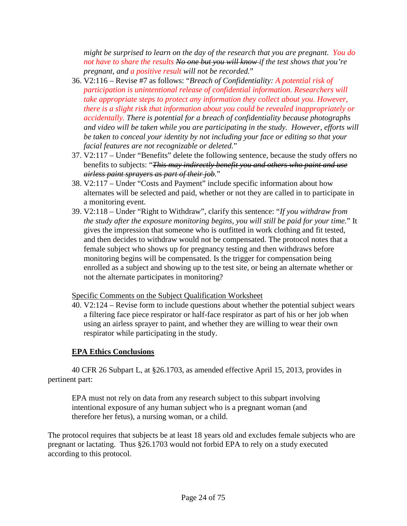*might be surprised to learn on the day of the research that you are pregnant. You do not have to share the results No one but you will know if the test shows that you're pregnant, and a positive result will not be recorded.*"

- 36. V2:116 Revise #7 as follows: "*Breach of Confidentiality: A potential risk of participation is unintentional release of confidential information. Researchers will take appropriate steps to protect any information they collect about you. However, there is a slight risk that information about you could be revealed inappropriately or accidentally. There is potential for a breach of confidentiality because photographs and video will be taken while you are participating in the study. However, efforts will be taken to conceal your identity by not including your face or editing so that your facial features are not recognizable or deleted.*"
- 37. V2:117 Under "Benefits" delete the following sentence, because the study offers no benefits to subjects: "*This may indirectly benefit you and others who paint and use airless paint sprayers as part of their job.*"
- 38. V2:117 Under "Costs and Payment" include specific information about how alternates will be selected and paid, whether or not they are called in to participate in a monitoring event.
- 39. V2:118 Under "Right to Withdraw", clarify this sentence: "*If you withdraw from the study after the exposure monitoring begins, you will still be paid for your time.*" It gives the impression that someone who is outfitted in work clothing and fit tested, and then decides to withdraw would not be compensated. The protocol notes that a female subject who shows up for pregnancy testing and then withdraws before monitoring begins will be compensated. Is the trigger for compensation being enrolled as a subject and showing up to the test site, or being an alternate whether or not the alternate participates in monitoring?

Specific Comments on the Subject Qualification Worksheet

40. V2:124 – Revise form to include questions about whether the potential subject wears a filtering face piece respirator or half-face respirator as part of his or her job when using an airless sprayer to paint, and whether they are willing to wear their own respirator while participating in the study.

# **EPA Ethics Conclusions**

40 CFR 26 Subpart L, at §26.1703, as amended effective April 15, 2013, provides in pertinent part:

EPA must not rely on data from any research subject to this subpart involving intentional exposure of any human subject who is a pregnant woman (and therefore her fetus), a nursing woman, or a child.

The protocol requires that subjects be at least 18 years old and excludes female subjects who are pregnant or lactating. Thus §26.1703 would not forbid EPA to rely on a study executed according to this protocol.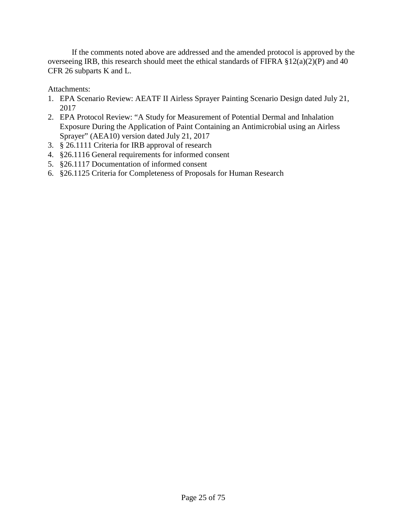If the comments noted above are addressed and the amended protocol is approved by the overseeing IRB, this research should meet the ethical standards of FIFRA  $\S 12(a)(2)(P)$  and 40 CFR 26 subparts K and L.

Attachments:

- 1. EPA Scenario Review: AEATF II Airless Sprayer Painting Scenario Design dated July 21, 2017
- 2. EPA Protocol Review: "A Study for Measurement of Potential Dermal and Inhalation Exposure During the Application of Paint Containing an Antimicrobial using an Airless Sprayer" (AEA10) version dated July 21, 2017
- 3. § 26.1111 Criteria for IRB approval of research
- 4. §26.1116 General requirements for informed consent
- 5. §26.1117 Documentation of informed consent
- 6. §26.1125 Criteria for Completeness of Proposals for Human Research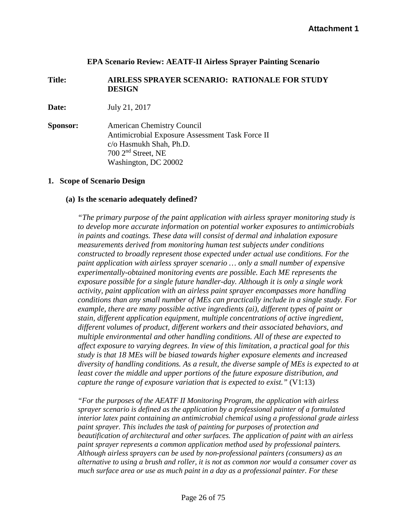#### **EPA Scenario Review: AEATF-II Airless Sprayer Painting Scenario**

#### **Title: AIRLESS SPRAYER SCENARIO: RATIONALE FOR STUDY DESIGN**

**Date:** July 21, 2017

**Sponsor:** American Chemistry Council Antimicrobial Exposure Assessment Task Force II c/o Hasmukh Shah, Ph.D. 700 2nd Street, NE Washington, DC 20002

#### **1. Scope of Scenario Design**

#### **(a) Is the scenario adequately defined?**

*"The primary purpose of the paint application with airless sprayer monitoring study is to develop more accurate information on potential worker exposures to antimicrobials in paints and coatings. These data will consist of dermal and inhalation exposure measurements derived from monitoring human test subjects under conditions constructed to broadly represent those expected under actual use conditions. For the paint application with airless sprayer scenario … only a small number of expensive experimentally-obtained monitoring events are possible. Each ME represents the exposure possible for a single future handler-day. Although it is only a single work activity, paint application with an airless paint sprayer encompasses more handling conditions than any small number of MEs can practically include in a single study. For example, there are many possible active ingredients (ai), different types of paint or stain, different application equipment, multiple concentrations of active ingredient, different volumes of product, different workers and their associated behaviors, and multiple environmental and other handling conditions. All of these are expected to affect exposure to varying degrees. In view of this limitation, a practical goal for this study is that 18 MEs will be biased towards higher exposure elements and increased diversity of handling conditions. As a result, the diverse sample of MEs is expected to at least cover the middle and upper portions of the future exposure distribution, and capture the range of exposure variation that is expected to exist."* (V1:13)

*"For the purposes of the AEATF II Monitoring Program, the application with airless sprayer scenario is defined as the application by a professional painter of a formulated interior latex paint containing an antimicrobial chemical using a professional grade airless paint sprayer. This includes the task of painting for purposes of protection and beautification of architectural and other surfaces. The application of paint with an airless paint sprayer represents a common application method used by professional painters. Although airless sprayers can be used by non-professional painters (consumers) as an alternative to using a brush and roller, it is not as common nor would a consumer cover as much surface area or use as much paint in a day as a professional painter. For these*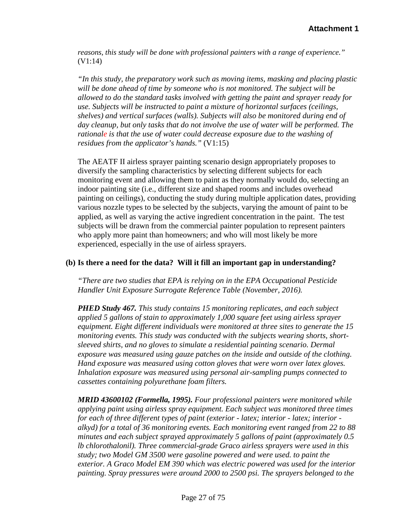*reasons, this study will be done with professional painters with a range of experience."*  (V1:14)

*"In this study, the preparatory work such as moving items, masking and placing plastic will be done ahead of time by someone who is not monitored. The subject will be allowed to do the standard tasks involved with getting the paint and sprayer ready for use. Subjects will be instructed to paint a mixture of horizontal surfaces (ceilings, shelves) and vertical surfaces (walls). Subjects will also be monitored during end of day cleanup, but only tasks that do not involve the use of water will be performed. The rationale is that the use of water could decrease exposure due to the washing of residues from the applicator's hands."* (V1:15)

The AEATF II airless sprayer painting scenario design appropriately proposes to diversify the sampling characteristics by selecting different subjects for each monitoring event and allowing them to paint as they normally would do, selecting an indoor painting site (i.e., different size and shaped rooms and includes overhead painting on ceilings), conducting the study during multiple application dates, providing various nozzle types to be selected by the subjects, varying the amount of paint to be applied, as well as varying the active ingredient concentration in the paint. The test subjects will be drawn from the commercial painter population to represent painters who apply more paint than homeowners; and who will most likely be more experienced, especially in the use of airless sprayers.

## **(b) Is there a need for the data? Will it fill an important gap in understanding?**

*"There are two studies that EPA is relying on in the EPA Occupational Pesticide Handler Unit Exposure Surrogate Reference Table (November, 2016).* 

*PHED Study 467. This study contains 15 monitoring replicates, and each subject applied 5 gallons of stain to approximately 1,000 square feet using airless sprayer equipment. Eight different individuals were monitored at three sites to generate the 15 monitoring events. This study was conducted with the subjects wearing shorts, shortsleeved shirts, and no gloves to simulate a residential painting scenario. Dermal exposure was measured using gauze patches on the inside and outside of the clothing. Hand exposure was measured using cotton gloves that were worn over latex gloves. Inhalation exposure was measured using personal air-sampling pumps connected to cassettes containing polyurethane foam filters.* 

*MRID 43600102 (Formella, 1995). Four professional painters were monitored while applying paint using airless spray equipment. Each subject was monitored three times for each of three different types of paint (exterior - latex; interior - latex; interior alkyd) for a total of 36 monitoring events. Each monitoring event ranged from 22 to 88 minutes and each subject sprayed approximately 5 gallons of paint (approximately 0.5 lb chlorothalonil). Three commercial-grade Graco airless sprayers were used in this study; two Model GM 3500 were gasoline powered and were used. to paint the exterior. A Graco Model EM 390 which was electric powered was used for the interior painting. Spray pressures were around 2000 to 2500 psi. The sprayers belonged to the*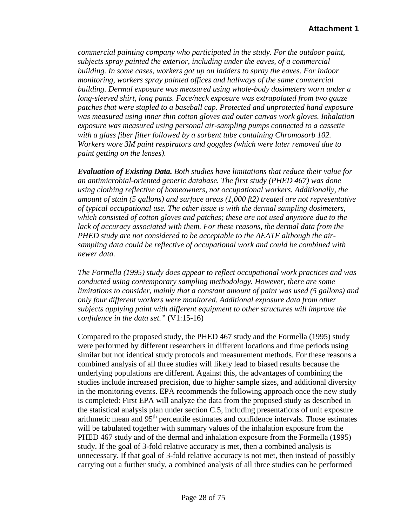*commercial painting company who participated in the study. For the outdoor paint, subjects spray painted the exterior, including under the eaves, of a commercial building. In some cases, workers got up on ladders to spray the eaves. For indoor monitoring, workers spray painted offices and hallways of the same commercial building. Dermal exposure was measured using whole-body dosimeters worn under a long-sleeved shirt, long pants. Face/neck exposure was extrapolated from two gauze patches that were stapled to a baseball cap. Protected and unprotected hand exposure was measured using inner thin cotton gloves and outer canvas work gloves. Inhalation exposure was measured using personal air-sampling pumps connected to a cassette with a glass fiber filter followed by a sorbent tube containing Chromosorb 102. Workers wore 3M paint respirators and goggles (which were later removed due to paint getting on the lenses).* 

*Evaluation of Existing Data. Both studies have limitations that reduce their value for an antimicrobial-oriented generic database. The first study (PHED 467) was done using clothing reflective of homeowners, not occupational workers. Additionally, the amount of stain (5 gallons) and surface areas (1,000 ft2) treated are not representative of typical occupational use. The other issue is with the dermal sampling dosimeters, which consisted of cotton gloves and patches; these are not used anymore due to the*  lack of accuracy associated with them. For these reasons, the dermal data from the *PHED study are not considered to be acceptable to the AEATF although the airsampling data could be reflective of occupational work and could be combined with newer data.*

*The Formella (1995) study does appear to reflect occupational work practices and was conducted using contemporary sampling methodology. However, there are some limitations to consider, mainly that a constant amount of paint was used (5 gallons) and only four different workers were monitored. Additional exposure data from other subjects applying paint with different equipment to other structures will improve the confidence in the data set."* (V1:15-16)

Compared to the proposed study, the PHED 467 study and the Formella (1995) study were performed by different researchers in different locations and time periods using similar but not identical study protocols and measurement methods. For these reasons a combined analysis of all three studies will likely lead to biased results because the underlying populations are different. Against this, the advantages of combining the studies include increased precision, due to higher sample sizes, and additional diversity in the monitoring events. EPA recommends the following approach once the new study is completed: First EPA will analyze the data from the proposed study as described in the statistical analysis plan under section C.5, including presentations of unit exposure arithmetic mean and 95th percentile estimates and confidence intervals. Those estimates will be tabulated together with summary values of the inhalation exposure from the PHED 467 study and of the dermal and inhalation exposure from the Formella (1995) study. If the goal of 3-fold relative accuracy is met, then a combined analysis is unnecessary. If that goal of 3-fold relative accuracy is not met, then instead of possibly carrying out a further study, a combined analysis of all three studies can be performed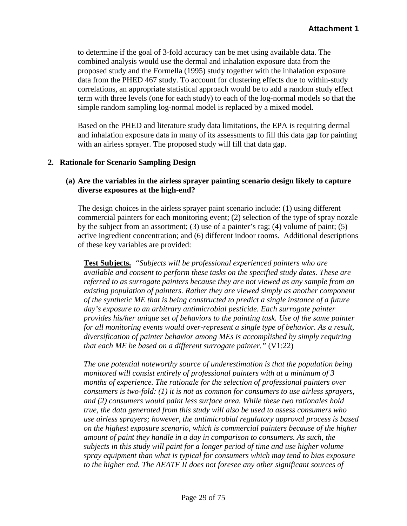to determine if the goal of 3-fold accuracy can be met using available data. The combined analysis would use the dermal and inhalation exposure data from the proposed study and the Formella (1995) study together with the inhalation exposure data from the PHED 467 study. To account for clustering effects due to within-study correlations, an appropriate statistical approach would be to add a random study effect term with three levels (one for each study) to each of the log-normal models so that the simple random sampling log-normal model is replaced by a mixed model.

Based on the PHED and literature study data limitations, the EPA is requiring dermal and inhalation exposure data in many of its assessments to fill this data gap for painting with an airless sprayer. The proposed study will fill that data gap.

#### **2. Rationale for Scenario Sampling Design**

## **(a) Are the variables in the airless sprayer painting scenario design likely to capture diverse exposures at the high-end?**

The design choices in the airless sprayer paint scenario include: (1) using different commercial painters for each monitoring event; (2) selection of the type of spray nozzle by the subject from an assortment; (3) use of a painter's rag; (4) volume of paint; (5) active ingredient concentration; and (6) different indoor rooms. Additional descriptions of these key variables are provided:

**Test Subjects.** *"Subjects will be professional experienced painters who are available and consent to perform these tasks on the specified study dates. These are referred to as surrogate painters because they are not viewed as any sample from an existing population of painters. Rather they are viewed simply as another component of the synthetic ME that is being constructed to predict a single instance of a future day's exposure to an arbitrary antimicrobial pesticide. Each surrogate painter provides his/her unique set of behaviors to the painting task. Use of the same painter for all monitoring events would over-represent a single type of behavior. As a result, diversification of painter behavior among MEs is accomplished by simply requiring that each ME be based on a different surrogate painter."* (V1:22)

*The one potential noteworthy source of underestimation is that the population being monitored will consist entirely of professional painters with at a minimum of 3 months of experience. The rationale for the selection of professional painters over consumers is two-fold: (1) it is not as common for consumers to use airless sprayers, and (2) consumers would paint less surface area. While these two rationales hold true, the data generated from this study will also be used to assess consumers who use airless sprayers; however, the antimicrobial regulatory approval process is based on the highest exposure scenario, which is commercial painters because of the higher amount of paint they handle in a day in comparison to consumers. As such, the subjects in this study will paint for a longer period of time and use higher volume spray equipment than what is typical for consumers which may tend to bias exposure to the higher end. The AEATF II does not foresee any other significant sources of*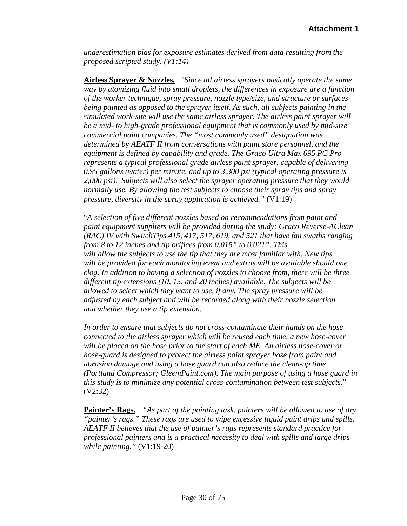*underestimation bias for exposure estimates derived from data resulting from the proposed scripted study. (V1:14)*

**Airless Sprayer & Nozzles***. "Since all airless sprayers basically operate the same way by atomizing fluid into small droplets, the differences in exposure are a function of the worker technique, spray pressure, nozzle type/size, and structure or surfaces being painted as opposed to the sprayer itself. As such, all subjects painting in the simulated work-site will use the same airless sprayer. The airless paint sprayer will be a mid- to high-grade professional equipment that is commonly used by mid-size commercial paint companies. The "most commonly used" designation was determined by AEATF II from conversations with paint store personnel, and the equipment is defined by capability and grade. The Graco Ultra Max 695 PC Pro represents a typical professional grade airless paint sprayer, capable of delivering 0.95 gallons (water) per minute, and up to 3,300 psi (typical operating pressure is 2,000 psi). Subjects will also select the sprayer operating pressure that they would normally use. By allowing the test subjects to choose their spray tips and spray pressure, diversity in the spray application is achieved."* (V1:19)

"*A selection of five different nozzles based on recommendations from paint and paint equipment suppliers will be provided during the study: Graco Reverse-AClean (RAC) IV with SwitchTips 415, 417, 517, 619, and 521 that have fan swaths ranging from 8 to 12 inches and tip orifices from 0.015" to 0.021". This will allow the subjects to use the tip that they are most familiar with. New tips will be provided for each monitoring event and extras will be available should one clog. In addition to having a selection of nozzles to choose from, there will be three different tip extensions (10, 15, and 20 inches) available. The subjects will be allowed to select which they want to use, if any. The spray pressure will be adjusted by each subject and will be recorded along with their nozzle selection and whether they use a tip extension.* 

*In order to ensure that subjects do not cross-contaminate their hands on the hose connected to the airless sprayer which will be reused each time, a new hose-cover will be placed on the hose prior to the start of each ME. An airless hose-cover or hose-guard is designed to protect the airless paint sprayer hose from paint and abrasion damage and using a hose guard can also reduce the clean-up time (Portland Compressor; GleemPaint.com). The main purpose of using a hose guard in this study is to minimize any potential cross-contamination between test subjects*." (V2:32)

**Painter's Rags.** "*As part of the painting task, painters will be allowed to use of dry "painter's rags." These rags are used to wipe excessive liquid paint drips and spills. AEATF II believes that the use of painter's rags represents standard practice for professional painters and is a practical necessity to deal with spills and large drips while painting."* (V1:19-20)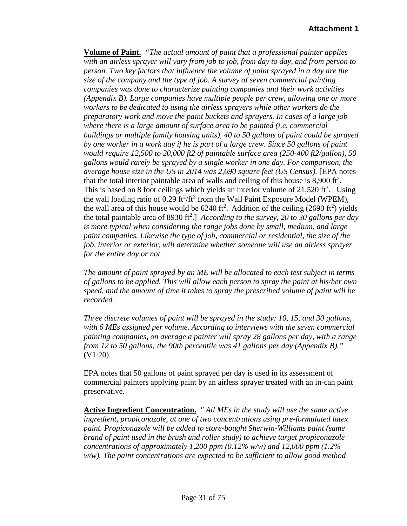**Volume of Paint.** *"The actual amount of paint that a professional painter applies with an airless sprayer will vary from job to job, from day to day, and from person to person. Two key factors that influence the volume of paint sprayed in a day are the size of the company and the type of job. A survey of seven commercial painting companies was done to characterize painting companies and their work activities (Appendix B). Large companies have multiple people per crew, allowing one or more workers to be dedicated to using the airless sprayers while other workers do the preparatory work and move the paint buckets and sprayers. In cases of a large job where there is a large amount of surface area to be painted (i.e. commercial buildings or multiple family housing units), 40 to 50 gallons of paint could be sprayed by one worker in a work day if he is part of a large crew. Since 50 gallons of paint would require 12,500 to 20,000 ft2 of paintable surface area (250-400 ft2/gallon), 50 gallons would rarely be sprayed by a single worker in one day. For comparison, the average house size in the US in 2014 was 2,690 square feet (US Census).* [EPA notes that the total interior paintable area of walls and ceiling of this house is  $8,900$  ft<sup>2</sup>. This is based on 8 foot ceilings which yields an interior volume of  $21,520 \text{ ft}^3$ . Using the wall loading ratio of 0.29  $\text{ft}^2/\text{ft}^3$  from the Wall Paint Exposure Model (WPEM), the wall area of this house would be  $6240 \text{ ft}^2$ . Addition of the ceiling (2690 ft<sup>2</sup>) yields the total paintable area of 8930 ft<sup>2</sup>.] *According to the survey, 20 to 30 gallons per day is more typical when considering the range jobs done by small, medium, and large paint companies. Likewise the type of job, commercial or residential, the size of the job, interior or exterior, will determine whether someone will use an airless sprayer for the entire day or not.* 

*The amount of paint sprayed by an ME will be allocated to each test subject in terms of gallons to be applied. This will allow each person to spray the paint at his/her own speed, and the amount of time it takes to spray the prescribed volume of paint will be recorded.* 

*Three discrete volumes of paint will be sprayed in the study: 10, 15, and 30 gallons, with 6 MEs assigned per volume. According to interviews with the seven commercial painting companies, on average a painter will spray 28 gallons per day, with a range from 12 to 50 gallons; the 90th percentile was 41 gallons per day (Appendix B)."* (V1:20)

EPA notes that 50 gallons of paint sprayed per day is used in its assessment of commercial painters applying paint by an airless sprayer treated with an in-can paint preservative.

**Active Ingredient Concentration.** *" All MEs in the study will use the same active ingredient, propiconazole, at one of two concentrations using pre-formulated latex paint. Propiconazole will be added to store-bought Sherwin-Williams paint (same brand of paint used in the brush and roller study) to achieve target propiconazole concentrations of approximately 1,200 ppm (0.12% w/w) and 12,000 ppm (1.2% w/w). The paint concentrations are expected to be sufficient to allow good method*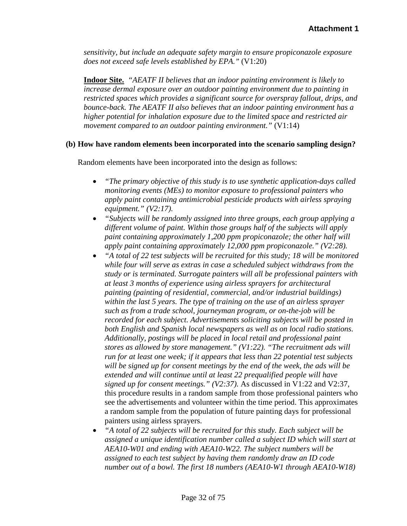*sensitivity, but include an adequate safety margin to ensure propiconazole exposure does not exceed safe levels established by EPA."* (V1:20)

**Indoor Site.** *"AEATF II believes that an indoor painting environment is likely to increase dermal exposure over an outdoor painting environment due to painting in restricted spaces which provides a significant source for overspray fallout, drips, and bounce-back. The AEATF II also believes that an indoor painting environment has a higher potential for inhalation exposure due to the limited space and restricted air movement compared to an outdoor painting environment."* (V1:14)

#### **(b) How have random elements been incorporated into the scenario sampling design?**

Random elements have been incorporated into the design as follows:

- *"The primary objective of this study is to use synthetic application-days called monitoring events (MEs) to monitor exposure to professional painters who apply paint containing antimicrobial pesticide products with airless spraying equipment." (V2:17).*
- *"Subjects will be randomly assigned into three groups, each group applying a different volume of paint. Within those groups half of the subjects will apply paint containing approximately 1,200 ppm propiconazole; the other half will apply paint containing approximately 12,000 ppm propiconazole." (V2:28).*
- *"A total of 22 test subjects will be recruited for this study; 18 will be monitored while four will serve as extras in case a scheduled subject withdraws from the study or is terminated. Surrogate painters will all be professional painters with at least 3 months of experience using airless sprayers for architectural painting (painting of residential, commercial, and/or industrial buildings) within the last 5 years. The type of training on the use of an airless sprayer such as from a trade school, journeyman program, or on-the-job will be recorded for each subject. Advertisements soliciting subjects will be posted in both English and Spanish local newspapers as well as on local radio stations. Additionally, postings will be placed in local retail and professional paint stores as allowed by store management." (V1:22). "The recruitment ads will run for at least one week; if it appears that less than 22 potential test subjects will be signed up for consent meetings by the end of the week, the ads will be extended and will continue until at least 22 prequalified people will have signed up for consent meetings." (V2:37).* As discussed in V1:22 and V2:37, this procedure results in a random sample from those professional painters who see the advertisements and volunteer within the time period. This approximates a random sample from the population of future painting days for professional painters using airless sprayers.
- *"A total of 22 subjects will be recruited for this study. Each subject will be assigned a unique identification number called a subject ID which will start at AEA10-W01 and ending with AEA10-W22. The subject numbers will be assigned to each test subject by having them randomly draw an ID code number out of a bowl. The first 18 numbers (AEA10-W1 through AEA10-W18)*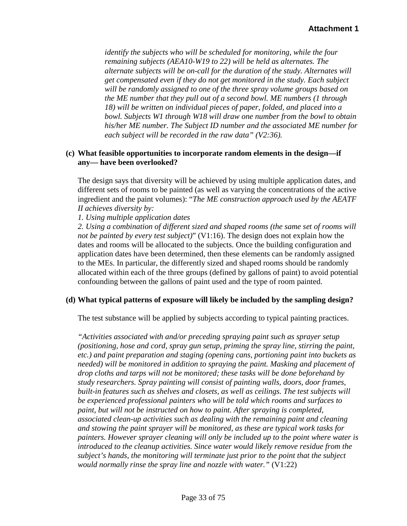*identify the subjects who will be scheduled for monitoring, while the four remaining subjects (AEA10-W19 to 22) will be held as alternates. The alternate subjects will be on-call for the duration of the study. Alternates will get compensated even if they do not get monitored in the study. Each subject will be randomly assigned to one of the three spray volume groups based on the ME number that they pull out of a second bowl. ME numbers (1 through 18) will be written on individual pieces of paper, folded, and placed into a bowl. Subjects W1 through W18 will draw one number from the bowl to obtain his/her ME number. The Subject ID number and the associated ME number for each subject will be recorded in the raw data" (V2:36).*

#### **(c) What feasible opportunities to incorporate random elements in the design—if any— have been overlooked?**

The design says that diversity will be achieved by using multiple application dates, and different sets of rooms to be painted (as well as varying the concentrations of the active ingredient and the paint volumes): "*The ME construction approach used by the AEATF II achieves diversity by:* 

*1. Using multiple application dates* 

*2. Using a combination of different sized and shaped rooms (the same set of rooms will not be painted by every test subject)*" (V1:16). The design does not explain how the dates and rooms will be allocated to the subjects. Once the building configuration and application dates have been determined, then these elements can be randomly assigned to the MEs. In particular, the differently sized and shaped rooms should be randomly allocated within each of the three groups (defined by gallons of paint) to avoid potential confounding between the gallons of paint used and the type of room painted.

#### **(d) What typical patterns of exposure will likely be included by the sampling design?**

The test substance will be applied by subjects according to typical painting practices.

*"Activities associated with and/or preceding spraying paint such as sprayer setup (positioning, hose and cord, spray gun setup, priming the spray line, stirring the paint, etc.) and paint preparation and staging (opening cans, portioning paint into buckets as needed) will be monitored in addition to spraying the paint. Masking and placement of drop cloths and tarps will not be monitored; these tasks will be done beforehand by study researchers. Spray painting will consist of painting walls, doors, door frames, built-in features such as shelves and closets, as well as ceilings. The test subjects will be experienced professional painters who will be told which rooms and surfaces to paint, but will not be instructed on how to paint. After spraying is completed, associated clean-up activities such as dealing with the remaining paint and cleaning and stowing the paint sprayer will be monitored, as these are typical work tasks for painters. However sprayer cleaning will only be included up to the point where water is introduced to the cleanup activities. Since water would likely remove residue from the subject's hands, the monitoring will terminate just prior to the point that the subject would normally rinse the spray line and nozzle with water."* (V1:22)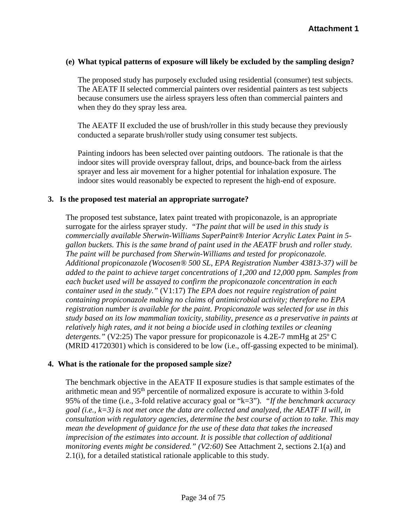#### **(e) What typical patterns of exposure will likely be excluded by the sampling design?**

The proposed study has purposely excluded using residential (consumer) test subjects. The AEATF II selected commercial painters over residential painters as test subjects because consumers use the airless sprayers less often than commercial painters and when they do they spray less area.

The AEATF II excluded the use of brush/roller in this study because they previously conducted a separate brush/roller study using consumer test subjects.

Painting indoors has been selected over painting outdoors. The rationale is that the indoor sites will provide overspray fallout, drips, and bounce-back from the airless sprayer and less air movement for a higher potential for inhalation exposure. The indoor sites would reasonably be expected to represent the high-end of exposure.

#### **3. Is the proposed test material an appropriate surrogate?**

The proposed test substance, latex paint treated with propiconazole, is an appropriate surrogate for the airless sprayer study. *"The paint that will be used in this study is commercially available Sherwin-Williams SuperPaint® Interior Acrylic Latex Paint in 5 gallon buckets. This is the same brand of paint used in the AEATF brush and roller study. The paint will be purchased from Sherwin-Williams and tested for propiconazole. Additional propiconazole (Wocosen® 500 SL, EPA Registration Number 43813-37) will be added to the paint to achieve target concentrations of 1,200 and 12,000 ppm. Samples from each bucket used will be assayed to confirm the propiconazole concentration in each container used in the study."* (V1:17) *The EPA does not require registration of paint containing propiconazole making no claims of antimicrobial activity; therefore no EPA registration number is available for the paint. Propiconazole was selected for use in this study based on its low mammalian toxicity, stability, presence as a preservative in paints at relatively high rates, and it not being a biocide used in clothing textiles or cleaning detergents."* (V2:25) The vapor pressure for propiconazole is 4.2E-7 mmHg at 25<sup>°</sup> C (MRID 41720301) which is considered to be low (i.e., off-gassing expected to be minimal).

#### **4. What is the rationale for the proposed sample size?**

The benchmark objective in the AEATF II exposure studies is that sample estimates of the arithmetic mean and 95th percentile of normalized exposure is accurate to within 3-fold 95% of the time (i.e., 3-fold relative accuracy goal or "k=3"). *"If the benchmark accuracy goal (i.e., k=3) is not met once the data are collected and analyzed, the AEATF II will, in consultation with regulatory agencies, determine the best course of action to take. This may mean the development of guidance for the use of these data that takes the increased imprecision of the estimates into account. It is possible that collection of additional monitoring events might be considered." (V2:60)* See Attachment 2, sections 2.1(a) and 2.1(i), for a detailed statistical rationale applicable to this study.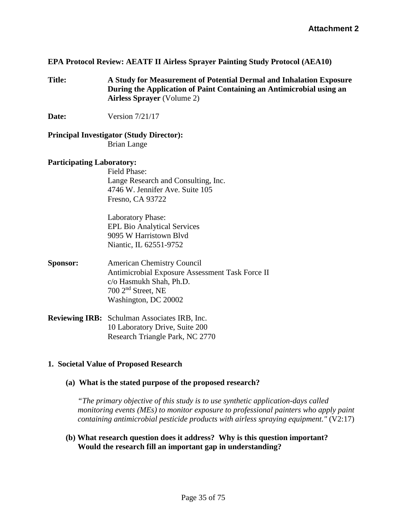#### **EPA Protocol Review: AEATF II Airless Sprayer Painting Study Protocol (AEA10)**

- **Title: A Study for Measurement of Potential Dermal and Inhalation Exposure During the Application of Paint Containing an Antimicrobial using an Airless Sprayer** (Volume 2)
- **Date:** Version 7/21/17

#### **Principal Investigator (Study Director):** Brian Lange

#### **Participating Laboratory:**

Field Phase: Lange Research and Consulting, Inc. 4746 W. Jennifer Ave. Suite 105 Fresno, CA 93722

Laboratory Phase: EPL Bio Analytical Services 9095 W Harristown Blvd Niantic, IL 62551-9752

- **Sponsor:** American Chemistry Council Antimicrobial Exposure Assessment Task Force II c/o Hasmukh Shah, Ph.D. 700 2nd Street, NE Washington, DC 20002
- **Reviewing IRB:** Schulman Associates IRB, Inc. 10 Laboratory Drive, Suite 200 Research Triangle Park, NC 2770

#### **1. Societal Value of Proposed Research**

#### **(a) What is the stated purpose of the proposed research?**

*"The primary objective of this study is to use synthetic application-days called monitoring events (MEs) to monitor exposure to professional painters who apply paint containing antimicrobial pesticide products with airless spraying equipment."* (V2:17)

**(b) What research question does it address? Why is this question important? Would the research fill an important gap in understanding?**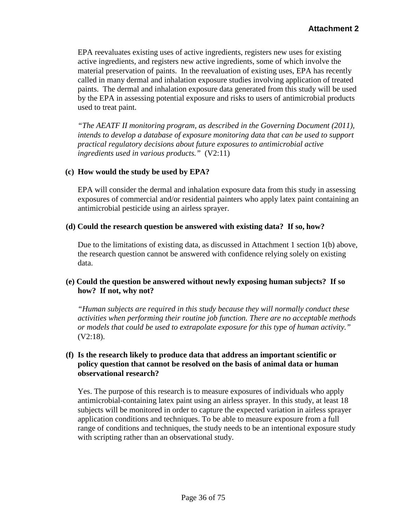EPA reevaluates existing uses of active ingredients, registers new uses for existing active ingredients, and registers new active ingredients, some of which involve the material preservation of paints. In the reevaluation of existing uses, EPA has recently called in many dermal and inhalation exposure studies involving application of treated paints. The dermal and inhalation exposure data generated from this study will be used by the EPA in assessing potential exposure and risks to users of antimicrobial products used to treat paint.

*"The AEATF II monitoring program, as described in the Governing Document (2011), intends to develop a database of exposure monitoring data that can be used to support practical regulatory decisions about future exposures to antimicrobial active ingredients used in various products."* (V2:11)

## **(c) How would the study be used by EPA?**

EPA will consider the dermal and inhalation exposure data from this study in assessing exposures of commercial and/or residential painters who apply latex paint containing an antimicrobial pesticide using an airless sprayer.

#### **(d) Could the research question be answered with existing data? If so, how?**

Due to the limitations of existing data, as discussed in Attachment 1 section 1(b) above, the research question cannot be answered with confidence relying solely on existing data.

#### **(e) Could the question be answered without newly exposing human subjects? If so how? If not, why not?**

*"Human subjects are required in this study because they will normally conduct these activities when performing their routine job function. There are no acceptable methods or models that could be used to extrapolate exposure for this type of human activity."*  (V2:18).

#### **(f) Is the research likely to produce data that address an important scientific or policy question that cannot be resolved on the basis of animal data or human observational research?**

Yes. The purpose of this research is to measure exposures of individuals who apply antimicrobial-containing latex paint using an airless sprayer. In this study, at least 18 subjects will be monitored in order to capture the expected variation in airless sprayer application conditions and techniques. To be able to measure exposure from a full range of conditions and techniques, the study needs to be an intentional exposure study with scripting rather than an observational study.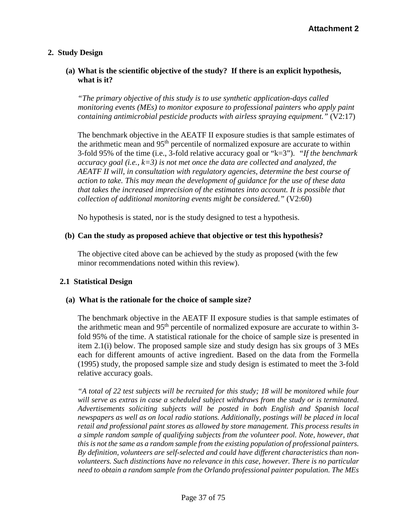# **2. Study Design**

## **(a) What is the scientific objective of the study? If there is an explicit hypothesis, what is it?**

*"The primary objective of this study is to use synthetic application-days called monitoring events (MEs) to monitor exposure to professional painters who apply paint containing antimicrobial pesticide products with airless spraying equipment."* (V2:17)

The benchmark objective in the AEATF II exposure studies is that sample estimates of the arithmetic mean and  $95<sup>th</sup>$  percentile of normalized exposure are accurate to within 3-fold 95% of the time (i.e., 3-fold relative accuracy goal or "k=3"). *"If the benchmark accuracy goal (i.e., k=3) is not met once the data are collected and analyzed, the AEATF II will, in consultation with regulatory agencies, determine the best course of action to take. This may mean the development of guidance for the use of these data that takes the increased imprecision of the estimates into account. It is possible that collection of additional monitoring events might be considered."* (V2:60)

No hypothesis is stated, nor is the study designed to test a hypothesis.

# **(b) Can the study as proposed achieve that objective or test this hypothesis?**

The objective cited above can be achieved by the study as proposed (with the few minor recommendations noted within this review).

# **2.1 Statistical Design**

# **(a) What is the rationale for the choice of sample size?**

The benchmark objective in the AEATF II exposure studies is that sample estimates of the arithmetic mean and  $95<sup>th</sup>$  percentile of normalized exposure are accurate to within 3fold 95% of the time. A statistical rationale for the choice of sample size is presented in item 2.1(i) below. The proposed sample size and study design has six groups of 3 MEs each for different amounts of active ingredient. Based on the data from the Formella (1995) study, the proposed sample size and study design is estimated to meet the 3-fold relative accuracy goals.

*"A total of 22 test subjects will be recruited for this study; 18 will be monitored while four will serve as extras in case a scheduled subject withdraws from the study or is terminated. Advertisements soliciting subjects will be posted in both English and Spanish local newspapers as well as on local radio stations. Additionally, postings will be placed in local retail and professional paint stores as allowed by store management. This process results in a simple random sample of qualifying subjects from the volunteer pool. Note, however, that this is not the same as a random sample from the existing population of professional painters. By definition, volunteers are self-selected and could have different characteristics than nonvolunteers. Such distinctions have no relevance in this case, however. There is no particular need to obtain a random sample from the Orlando professional painter population. The MEs*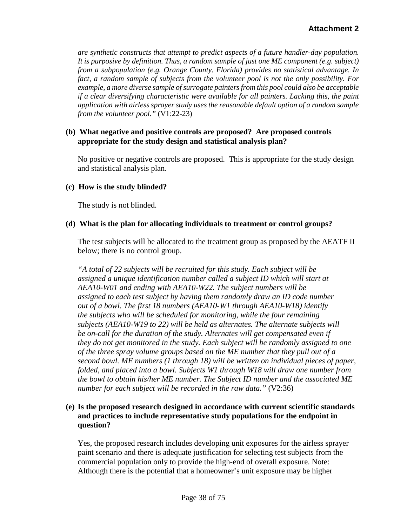*are synthetic constructs that attempt to predict aspects of a future handler-day population. It is purposive by definition. Thus, a random sample of just one ME component (e.g. subject) from a subpopulation (e.g. Orange County, Florida) provides no statistical advantage. In fact, a random sample of subjects from the volunteer pool is not the only possibility. For example, a more diverse sample of surrogate painters from this pool could also be acceptable if a clear diversifying characteristic were available for all painters. Lacking this, the paint application with airless sprayer study uses the reasonable default option of a random sample from the volunteer pool."* (V1:22-23)

## **(b) What negative and positive controls are proposed? Are proposed controls appropriate for the study design and statistical analysis plan?**

No positive or negative controls are proposed. This is appropriate for the study design and statistical analysis plan.

#### **(c) How is the study blinded?**

The study is not blinded.

### **(d) What is the plan for allocating individuals to treatment or control groups?**

The test subjects will be allocated to the treatment group as proposed by the AEATF II below; there is no control group.

*"A total of 22 subjects will be recruited for this study. Each subject will be assigned a unique identification number called a subject ID which will start at AEA10-W01 and ending with AEA10-W22. The subject numbers will be assigned to each test subject by having them randomly draw an ID code number out of a bowl. The first 18 numbers (AEA10-W1 through AEA10-W18) identify the subjects who will be scheduled for monitoring, while the four remaining subjects (AEA10-W19 to 22) will be held as alternates. The alternate subjects will be on-call for the duration of the study. Alternates will get compensated even if they do not get monitored in the study. Each subject will be randomly assigned to one of the three spray volume groups based on the ME number that they pull out of a second bowl. ME numbers (1 through 18) will be written on individual pieces of paper, folded, and placed into a bowl. Subjects W1 through W18 will draw one number from the bowl to obtain his/her ME number. The Subject ID number and the associated ME number for each subject will be recorded in the raw data."* (V2:36)

# **(e) Is the proposed research designed in accordance with current scientific standards and practices to include representative study populations for the endpoint in question?**

Yes, the proposed research includes developing unit exposures for the airless sprayer paint scenario and there is adequate justification for selecting test subjects from the commercial population only to provide the high-end of overall exposure. Note: Although there is the potential that a homeowner's unit exposure may be higher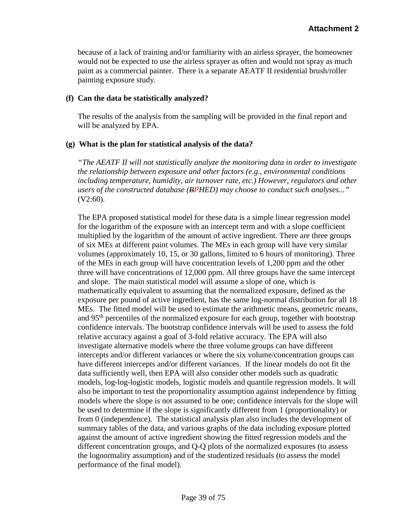because of a lack of training and/or familiarity with an airless sprayer, the homeowner would not be expected to use the airless sprayer as often and would not spray as much paint as a commercial painter. There is a separate AEATF II residential brush/roller painting exposure study.

## **(f) Can the data be statistically analyzed?**

The results of the analysis from the sampling will be provided in the final report and will be analyzed by EPA.

# **(g) What is the plan for statistical analysis of the data?**

*"The AEATF II will not statistically analyze the monitoring data in order to investigate the relationship between exposure and other factors (e.g., environmental conditions including temperature, humidity, air turnover rate, etc.) However, regulators and other users of the constructed database (BPHED) may choose to conduct such analyses..."* (V2:60).

The EPA proposed statistical model for these data is a simple linear regression model for the logarithm of the exposure with an intercept term and with a slope coefficient multiplied by the logarithm of the amount of active ingredient. There are three groups of six MEs at different paint volumes. The MEs in each group will have very similar volumes (approximately 10, 15, or 30 gallons, limited to 6 hours of monitoring). Three of the MEs in each group will have concentration levels of 1,200 ppm and the other three will have concentrations of 12,000 ppm. All three groups have the same intercept and slope. The main statistical model will assume a slope of one, which is mathematically equivalent to assuming that the normalized exposure, defined as the exposure per pound of active ingredient, has the same log-normal distribution for all 18 MEs. The fitted model will be used to estimate the arithmetic means, geometric means, and 95<sup>th</sup> percentiles of the normalized exposure for each group, together with bootstrap confidence intervals. The bootstrap confidence intervals will be used to assess the fold relative accuracy against a goal of 3-fold relative accuracy. The EPA will also investigate alternative models where the three volume groups can have different intercepts and/or different variances or where the six volume/concentration groups can have different intercepts and/or different variances. If the linear models do not fit the data sufficiently well, then EPA will also consider other models such as quadratic models, log-log-logistic models, logistic models and quantile regression models. It will also be important to test the proportionality assumption against independence by fitting models where the slope is not assumed to be one; confidence intervals for the slope will be used to determine if the slope is significantly different from 1 (proportionality) or from 0 (independence). The statistical analysis plan also includes the development of summary tables of the data, and various graphs of the data including exposure plotted against the amount of active ingredient showing the fitted regression models and the different concentration groups, and Q-Q plots of the normalized exposures (to assess the lognormality assumption) and of the studentized residuals (to assess the model performance of the final model).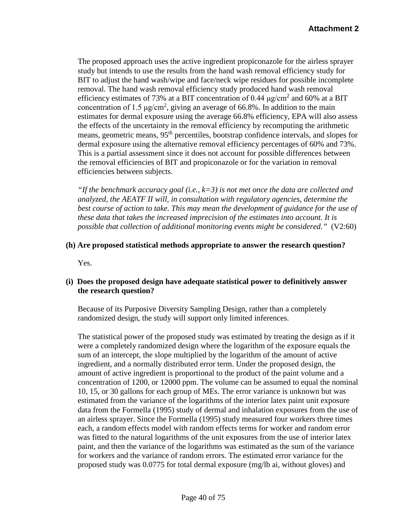The proposed approach uses the active ingredient propiconazole for the airless sprayer study but intends to use the results from the hand wash removal efficiency study for BIT to adjust the hand wash/wipe and face/neck wipe residues for possible incomplete removal. The hand wash removal efficiency study produced hand wash removal efficiency estimates of 73% at a BIT concentration of 0.44  $\mu$ g/cm<sup>2</sup> and 60% at a BIT concentration of 1.5  $\mu$ g/cm<sup>2</sup>, giving an average of 66.8%. In addition to the main estimates for dermal exposure using the average 66.8% efficiency, EPA will also assess the effects of the uncertainty in the removal efficiency by recomputing the arithmetic means, geometric means, 95<sup>th</sup> percentiles, bootstrap confidence intervals, and slopes for dermal exposure using the alternative removal efficiency percentages of 60% and 73%. This is a partial assessment since it does not account for possible differences between the removal efficiencies of BIT and propiconazole or for the variation in removal efficiencies between subjects.

*"If the benchmark accuracy goal (i.e., k=3) is not met once the data are collected and analyzed, the AEATF II will, in consultation with regulatory agencies, determine the*  best course of action to take. This may mean the development of guidance for the use of *these data that takes the increased imprecision of the estimates into account. It is possible that collection of additional monitoring events might be considered.*" (V2:60)

### **(h) Are proposed statistical methods appropriate to answer the research question?**

Yes.

# **(i) Does the proposed design have adequate statistical power to definitively answer the research question?**

Because of its Purposive Diversity Sampling Design, rather than a completely randomized design, the study will support only limited inferences.

The statistical power of the proposed study was estimated by treating the design as if it were a completely randomized design where the logarithm of the exposure equals the sum of an intercept, the slope multiplied by the logarithm of the amount of active ingredient, and a normally distributed error term. Under the proposed design, the amount of active ingredient is proportional to the product of the paint volume and a concentration of 1200, or 12000 ppm. The volume can be assumed to equal the nominal 10, 15, or 30 gallons for each group of MEs. The error variance is unknown but was estimated from the variance of the logarithms of the interior latex paint unit exposure data from the Formella (1995) study of dermal and inhalation exposures from the use of an airless sprayer. Since the Formella (1995) study measured four workers three times each, a random effects model with random effects terms for worker and random error was fitted to the natural logarithms of the unit exposures from the use of interior latex paint, and then the variance of the logarithms was estimated as the sum of the variance for workers and the variance of random errors. The estimated error variance for the proposed study was 0.0775 for total dermal exposure (mg/lb ai, without gloves) and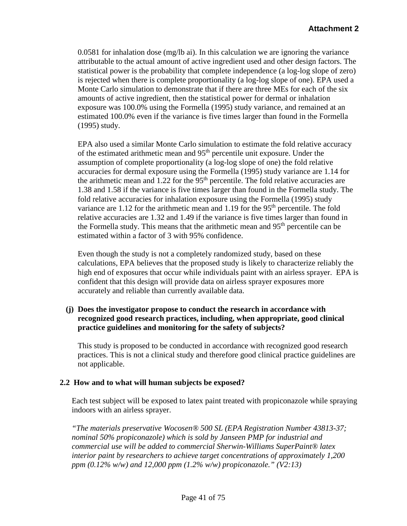0.0581 for inhalation dose (mg/lb ai). In this calculation we are ignoring the variance attributable to the actual amount of active ingredient used and other design factors. The statistical power is the probability that complete independence (a log-log slope of zero) is rejected when there is complete proportionality (a log-log slope of one). EPA used a Monte Carlo simulation to demonstrate that if there are three MEs for each of the six amounts of active ingredient, then the statistical power for dermal or inhalation exposure was 100.0% using the Formella (1995) study variance, and remained at an estimated 100.0% even if the variance is five times larger than found in the Formella (1995) study.

EPA also used a similar Monte Carlo simulation to estimate the fold relative accuracy of the estimated arithmetic mean and 95th percentile unit exposure. Under the assumption of complete proportionality (a log-log slope of one) the fold relative accuracies for dermal exposure using the Formella (1995) study variance are 1.14 for the arithmetic mean and  $1.22$  for the 95<sup>th</sup> percentile. The fold relative accuracies are 1.38 and 1.58 if the variance is five times larger than found in the Formella study. The fold relative accuracies for inhalation exposure using the Formella (1995) study variance are  $1.12$  for the arithmetic mean and  $1.19$  for the  $95<sup>th</sup>$  percentile. The fold relative accuracies are 1.32 and 1.49 if the variance is five times larger than found in the Formella study. This means that the arithmetic mean and  $95<sup>th</sup>$  percentile can be estimated within a factor of 3 with 95% confidence.

Even though the study is not a completely randomized study, based on these calculations, EPA believes that the proposed study is likely to characterize reliably the high end of exposures that occur while individuals paint with an airless sprayer. EPA is confident that this design will provide data on airless sprayer exposures more accurately and reliable than currently available data.

# **(j) Does the investigator propose to conduct the research in accordance with recognized good research practices, including, when appropriate, good clinical practice guidelines and monitoring for the safety of subjects?**

This study is proposed to be conducted in accordance with recognized good research practices. This is not a clinical study and therefore good clinical practice guidelines are not applicable.

# **2.2 How and to what will human subjects be exposed?**

Each test subject will be exposed to latex paint treated with propiconazole while spraying indoors with an airless sprayer.

*"The materials preservative Wocosen® 500 SL (EPA Registration Number 43813-37; nominal 50% propiconazole) which is sold by Janseen PMP for industrial and commercial use will be added to commercial Sherwin-Williams SuperPaint® latex interior paint by researchers to achieve target concentrations of approximately 1,200 ppm (0.12% w/w) and 12,000 ppm (1.2% w/w) propiconazole." (V2:13)*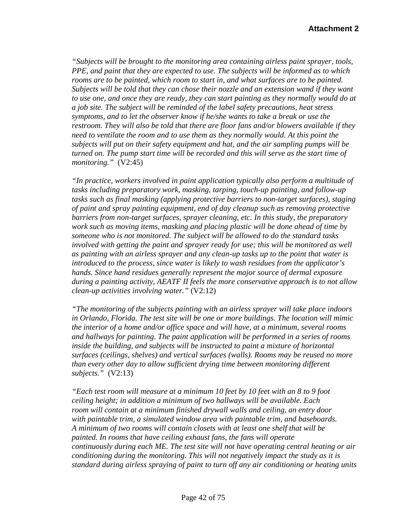*"Subjects will be brought to the monitoring area containing airless paint sprayer, tools, PPE, and paint that they are expected to use. The subjects will be informed as to which rooms are to be painted, which room to start in, and what surfaces are to be painted. Subjects will be told that they can chose their nozzle and an extension wand if they want to use one, and once they are ready, they can start painting as they normally would do at a job site. The subject will be reminded of the label safety precautions, heat stress symptoms, and to let the observer know if he/she wants to take a break or use the restroom. They will also be told that there are floor fans and/or blowers available if they need to ventilate the room and to use them as they normally would. At this point the subjects will put on their safety equipment and hat, and the air sampling pumps will be turned on. The pump start time will be recorded and this will serve as the start time of monitoring."* (V2:45)

*"In practice, workers involved in paint application typically also perform a multitude of tasks including preparatory work, masking, tarping, touch-up painting, and follow-up tasks such as final masking (applying protective barriers to non-target surfaces), staging of paint and spray painting equipment, end of day cleanup such as removing protective barriers from non-target surfaces, sprayer cleaning, etc. In this study, the preparatory work such as moving items, masking and placing plastic will be done ahead of time by someone who is not monitored. The subject will be allowed to do the standard tasks involved with getting the paint and sprayer ready for use; this will be monitored as well as painting with an airless sprayer and any clean-up tasks up to the point that water is introduced to the process, since water is likely to wash residues from the applicator's hands. Since hand residues generally represent the major source of dermal exposure during a painting activity, AEATF II feels the more conservative approach is to not allow clean-up activities involving water."* (V2:12)

*"The monitoring of the subjects painting with an airless sprayer will take place indoors in Orlando, Florida. The test site will be one or more buildings. The location will mimic the interior of a home and/or office space and will have, at a minimum, several rooms and hallways for painting. The paint application will be performed in a series of rooms inside the building, and subjects will be instructed to paint a mixture of horizontal surfaces (ceilings, shelves) and vertical surfaces (walls). Rooms may be reused no more than every other day to allow sufficient drying time between monitoring different subjects."* (V2:13)

*"Each test room will measure at a minimum 10 feet by 10 feet with an 8 to 9 foot ceiling height; in addition a minimum of two hallways will be available. Each room will contain at a minimum finished drywall walls and ceiling, an entry door with paintable trim, a simulated window area with paintable trim, and baseboards. A minimum of two rooms will contain closets with at least one shelf that will be painted. In rooms that have ceiling exhaust fans, the fans will operate continuously during each ME. The test site will not have operating central heating or air conditioning during the monitoring. This will not negatively impact the study as it is standard during airless spraying of paint to turn off any air conditioning or heating units*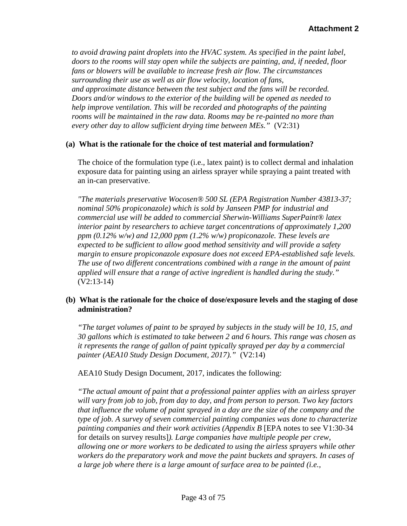*to avoid drawing paint droplets into the HVAC system. As specified in the paint label, doors to the rooms will stay open while the subjects are painting, and, if needed, floor fans or blowers will be available to increase fresh air flow. The circumstances surrounding their use as well as air flow velocity, location of fans, and approximate distance between the test subject and the fans will be recorded. Doors and/or windows to the exterior of the building will be opened as needed to help improve ventilation. This will be recorded and photographs of the painting rooms will be maintained in the raw data. Rooms may be re-painted no more than every other day to allow sufficient drying time between MEs."* (V2:31)

### **(a) What is the rationale for the choice of test material and formulation?**

The choice of the formulation type (i.e., latex paint) is to collect dermal and inhalation exposure data for painting using an airless sprayer while spraying a paint treated with an in-can preservative.

*"The materials preservative Wocosen® 500 SL (EPA Registration Number 43813-37; nominal 50% propiconazole) which is sold by Janseen PMP for industrial and commercial use will be added to commercial Sherwin-Williams SuperPaint® latex interior paint by researchers to achieve target concentrations of approximately 1,200 ppm (0.12% w/w) and 12,000 ppm (1.2% w/w) propiconazole. These levels are expected to be sufficient to allow good method sensitivity and will provide a safety margin to ensure propiconazole exposure does not exceed EPA-established safe levels. The use of two different concentrations combined with a range in the amount of paint applied will ensure that a range of active ingredient is handled during the study."*  (V2:13-14)

### **(b) What is the rationale for the choice of dose/exposure levels and the staging of dose administration?**

*"The target volumes of paint to be sprayed by subjects in the study will be 10, 15, and 30 gallons which is estimated to take between 2 and 6 hours. This range was chosen as it represents the range of gallon of paint typically sprayed per day by a commercial painter (AEA10 Study Design Document, 2017)."* (V2:14)

AEA10 Study Design Document, 2017, indicates the following:

*"The actual amount of paint that a professional painter applies with an airless sprayer will vary from job to job, from day to day, and from person to person. Two key factors that influence the volume of paint sprayed in a day are the size of the company and the type of job. A survey of seven commercial painting companies was done to characterize painting companies and their work activities (Appendix B* [EPA notes to see V1:30-34 for details on survey results]*). Large companies have multiple people per crew, allowing one or more workers to be dedicated to using the airless sprayers while other workers do the preparatory work and move the paint buckets and sprayers. In cases of a large job where there is a large amount of surface area to be painted (i.e.,*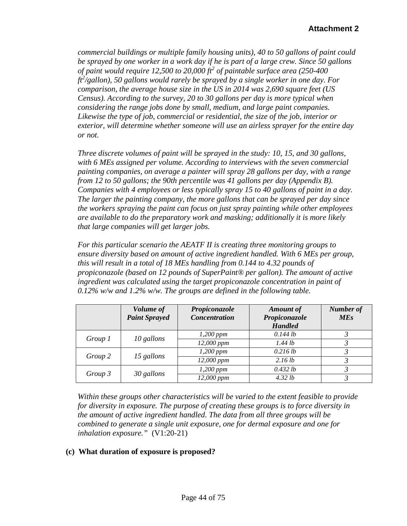*commercial buildings or multiple family housing units), 40 to 50 gallons of paint could be sprayed by one worker in a work day if he is part of a large crew. Since 50 gallons of paint would require 12,500 to 20,000 ft<sup>2</sup> of paintable surface area (250-400 ft2 /gallon), 50 gallons would rarely be sprayed by a single worker in one day. For comparison, the average house size in the US in 2014 was 2,690 square feet (US Census). According to the survey, 20 to 30 gallons per day is more typical when considering the range jobs done by small, medium, and large paint companies. Likewise the type of job, commercial or residential, the size of the job, interior or exterior, will determine whether someone will use an airless sprayer for the entire day or not.*

*Three discrete volumes of paint will be sprayed in the study: 10, 15, and 30 gallons, with 6 MEs assigned per volume. According to interviews with the seven commercial painting companies, on average a painter will spray 28 gallons per day, with a range from 12 to 50 gallons; the 90th percentile was 41 gallons per day (Appendix B). Companies with 4 employees or less typically spray 15 to 40 gallons of paint in a day. The larger the painting company, the more gallons that can be sprayed per day since the workers spraying the paint can focus on just spray painting while other employees are available to do the preparatory work and masking; additionally it is more likely that large companies will get larger jobs.*

*For this particular scenario the AEATF II is creating three monitoring groups to ensure diversity based on amount of active ingredient handled. With 6 MEs per group, this will result in a total of 18 MEs handling from 0.144 to 4.32 pounds of propiconazole (based on 12 pounds of SuperPaint® per gallon). The amount of active ingredient was calculated using the target propiconazole concentration in paint of 0.12% w/w and 1.2% w/w. The groups are defined in the following table.*

|         | Volume of<br><b>Paint Sprayed</b> | Propiconazole<br><b>Concentration</b> | <b>Amount</b> of<br>Propiconazole<br><b>Handled</b> | <b>Number</b> of<br><b>MEs</b> |
|---------|-----------------------------------|---------------------------------------|-----------------------------------------------------|--------------------------------|
| Group 1 |                                   | $1,200$ ppm                           | $0.144$ lb                                          |                                |
|         | 10 gallons                        | 12,000 ppm                            | 1.44 lb                                             |                                |
| Group 2 |                                   | $1,200$ ppm                           | $0.216$ lb                                          |                                |
|         | 15 gallons                        | 12,000 ppm                            | 2.16 lb                                             |                                |
| Group 3 |                                   | $1,200$ ppm                           | 0.432 lb                                            |                                |
|         | 30 gallons                        | 12,000 ppm                            | 4.32 lb                                             |                                |

*Within these groups other characteristics will be varied to the extent feasible to provide for diversity in exposure. The purpose of creating these groups is to force diversity in the amount of active ingredient handled. The data from all three groups will be combined to generate a single unit exposure, one for dermal exposure and one for inhalation exposure."* (V1:20-21)

# **(c) What duration of exposure is proposed?**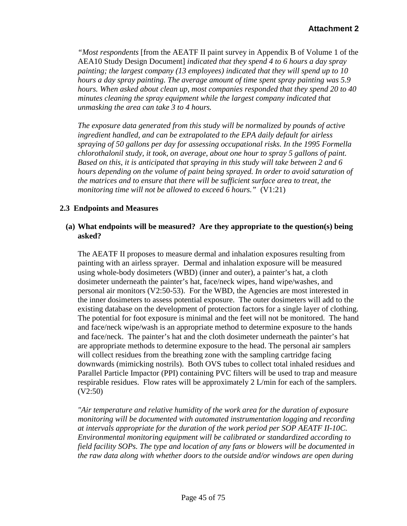*"Most respondents* [from the AEATF II paint survey in Appendix B of Volume 1 of the AEA10 Study Design Document] *indicated that they spend 4 to 6 hours a day spray painting; the largest company (13 employees) indicated that they will spend up to 10 hours a day spray painting. The average amount of time spent spray painting was 5.9 hours. When asked about clean up, most companies responded that they spend 20 to 40 minutes cleaning the spray equipment while the largest company indicated that unmasking the area can take 3 to 4 hours.* 

*The exposure data generated from this study will be normalized by pounds of active ingredient handled, and can be extrapolated to the EPA daily default for airless spraying of 50 gallons per day for assessing occupational risks. In the 1995 Formella chlorothalonil study, it took, on average, about one hour to spray 5 gallons of paint. Based on this, it is anticipated that spraying in this study will take between 2 and 6 hours depending on the volume of paint being sprayed. In order to avoid saturation of the matrices and to ensure that there will be sufficient surface area to treat, the monitoring time will not be allowed to exceed 6 hours."* (V1:21)

### **2.3 Endpoints and Measures**

## **(a) What endpoints will be measured? Are they appropriate to the question(s) being asked?**

The AEATF II proposes to measure dermal and inhalation exposures resulting from painting with an airless sprayer. Dermal and inhalation exposure will be measured using whole-body dosimeters (WBD) (inner and outer), a painter's hat, a cloth dosimeter underneath the painter's hat, face/neck wipes, hand wipe/washes, and personal air monitors (V2:50-53). For the WBD, the Agencies are most interested in the inner dosimeters to assess potential exposure. The outer dosimeters will add to the existing database on the development of protection factors for a single layer of clothing. The potential for foot exposure is minimal and the feet will not be monitored. The hand and face/neck wipe/wash is an appropriate method to determine exposure to the hands and face/neck. The painter's hat and the cloth dosimeter underneath the painter's hat are appropriate methods to determine exposure to the head. The personal air samplers will collect residues from the breathing zone with the sampling cartridge facing downwards (mimicking nostrils). Both OVS tubes to collect total inhaled residues and Parallel Particle Impactor (PPI) containing PVC filters will be used to trap and measure respirable residues. Flow rates will be approximately 2 L/min for each of the samplers. (V2:50)

*"Air temperature and relative humidity of the work area for the duration of exposure monitoring will be documented with automated instrumentation logging and recording at intervals appropriate for the duration of the work period per SOP AEATF II-10C. Environmental monitoring equipment will be calibrated or standardized according to field facility SOPs. The type and location of any fans or blowers will be documented in the raw data along with whether doors to the outside and/or windows are open during*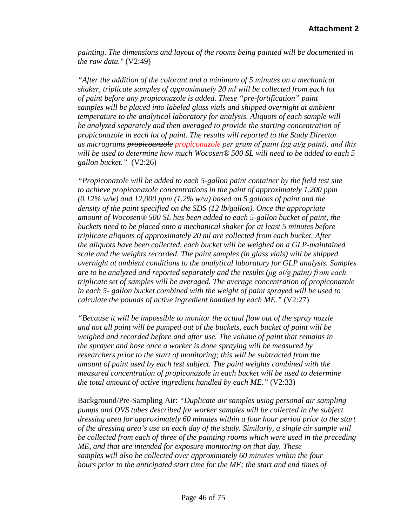*painting. The dimensions and layout of the rooms being painted will be documented in the raw data."* (V2:49)

*"After the addition of the colorant and a minimum of 5 minutes on a mechanical shaker, triplicate samples of approximately 20 ml will be collected from each lot of paint before any propiconazole is added. These "pre-fortification" paint samples will be placed into labeled glass vials and shipped overnight at ambient temperature to the analytical laboratory for analysis. Aliquots of each sample will be analyzed separately and then averaged to provide the starting concentration of propiconazole in each lot of paint. The results will reported to the Study Director as micrograms propicoanzole propiconazole per gram of paint (μg ai/g paint), and this will be used to determine how much Wocosen® 500 SL will need to be added to each 5 gallon bucket."* (V2:26)

*"Propiconazole will be added to each 5-gallon paint container by the field test site to achieve propiconazole concentrations in the paint of approximately 1,200 ppm (0.12% w/w) and 12,000 ppm (1.2% w/w) based on 5 gallons of paint and the density of the paint specified on the SDS (12 lb/gallon). Once the appropriate amount of Wocosen® 500 SL has been added to each 5-gallon bucket of paint, the buckets need to be placed onto a mechanical shaker for at least 5 minutes before triplicate aliquots of approximately 20 ml are collected from each bucket. After the aliquots have been collected, each bucket will be weighed on a GLP-maintained scale and the weights recorded. The paint samples (in glass vials) will be shipped overnight at ambient conditions to the analytical laboratory for GLP analysis. Samples are to be analyzed and reported separately and the results (μg ai/g paint) from each triplicate set of samples will be averaged. The average concentration of propiconazole in each 5- gallon bucket combined with the weight of paint sprayed will be used to calculate the pounds of active ingredient handled by each ME."* (V2:27)

*"Because it will be impossible to monitor the actual flow out of the spray nozzle and not all paint will be pumped out of the buckets, each bucket of paint will be weighed and recorded before and after use. The volume of paint that remains in the sprayer and hose once a worker is done spraying will be measured by researchers prior to the start of monitoring; this will be subtracted from the amount of paint used by each test subject. The paint weights combined with the measured concentration of propiconazole in each bucket will be used to determine the total amount of active ingredient handled by each ME."* (V2:33)

Background/Pre-Sampling Air: *"Duplicate air samples using personal air sampling pumps and OVS tubes described for worker samples will be collected in the subject dressing area for approximately 60 minutes within a four hour period prior to the start of the dressing area's use on each day of the study. Similarly, a single air sample will be collected from each of three of the painting rooms which were used in the preceding ME, and that are intended for exposure monitoring on that day. These samples will also be collected over approximately 60 minutes within the four hours prior to the anticipated start time for the ME; the start and end times of*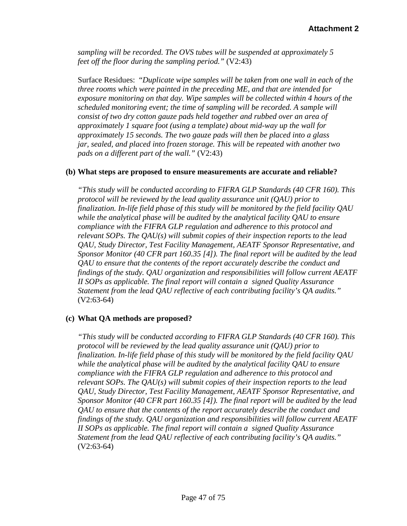*sampling will be recorded. The OVS tubes will be suspended at approximately 5 feet off the floor during the sampling period."* (V2:43)

Surface Residues: "*Duplicate wipe samples will be taken from one wall in each of the three rooms which were painted in the preceding ME, and that are intended for exposure monitoring on that day. Wipe samples will be collected within 4 hours of the scheduled monitoring event; the time of sampling will be recorded. A sample will consist of two dry cotton gauze pads held together and rubbed over an area of approximately 1 square foot (using a template) about mid-way up the wall for approximately 15 seconds. The two gauze pads will then be placed into a glass jar, sealed, and placed into frozen storage. This will be repeated with another two pads on a different part of the wall."* (V2:43)

### **(b) What steps are proposed to ensure measurements are accurate and reliable?**

*"This study will be conducted according to FIFRA GLP Standards (40 CFR 160). This protocol will be reviewed by the lead quality assurance unit (QAU) prior to finalization. In-life field phase of this study will be monitored by the field facility QAU while the analytical phase will be audited by the analytical facility QAU to ensure compliance with the FIFRA GLP regulation and adherence to this protocol and relevant SOPs. The QAU(s) will submit copies of their inspection reports to the lead QAU, Study Director, Test Facility Management, AEATF Sponsor Representative, and Sponsor Monitor (40 CFR part 160.35 [4]). The final report will be audited by the lead QAU to ensure that the contents of the report accurately describe the conduct and findings of the study. QAU organization and responsibilities will follow current AEATF II SOPs as applicable. The final report will contain a signed Quality Assurance Statement from the lead QAU reflective of each contributing facility's QA audits."*  (V2:63-64)

# **(c) What QA methods are proposed?**

*"This study will be conducted according to FIFRA GLP Standards (40 CFR 160). This protocol will be reviewed by the lead quality assurance unit (QAU) prior to finalization. In-life field phase of this study will be monitored by the field facility QAU while the analytical phase will be audited by the analytical facility QAU to ensure compliance with the FIFRA GLP regulation and adherence to this protocol and relevant SOPs. The QAU(s) will submit copies of their inspection reports to the lead QAU, Study Director, Test Facility Management, AEATF Sponsor Representative, and Sponsor Monitor (40 CFR part 160.35 [4]). The final report will be audited by the lead QAU to ensure that the contents of the report accurately describe the conduct and findings of the study. QAU organization and responsibilities will follow current AEATF II SOPs as applicable. The final report will contain a signed Quality Assurance Statement from the lead QAU reflective of each contributing facility's QA audits."*  (V2:63-64)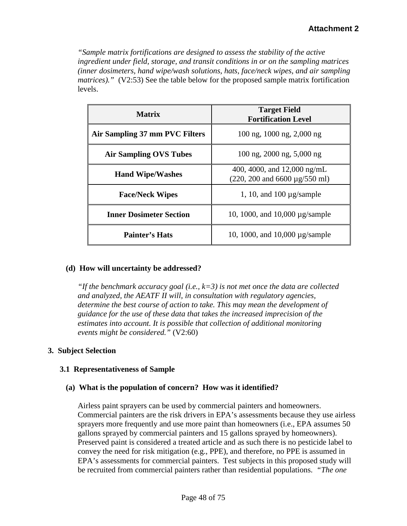*"Sample matrix fortifications are designed to assess the stability of the active ingredient under field, storage, and transit conditions in or on the sampling matrices (inner dosimeters, hand wipe/wash solutions, hats, face/neck wipes, and air sampling matrices*)." (V2:53) See the table below for the proposed sample matrix fortification levels.

| <b>Matrix</b>                  | <b>Target Field</b><br><b>Fortification Level</b>                                         |  |  |
|--------------------------------|-------------------------------------------------------------------------------------------|--|--|
| Air Sampling 37 mm PVC Filters | $100$ ng, $1000$ ng, $2,000$ ng                                                           |  |  |
| <b>Air Sampling OVS Tubes</b>  | $100$ ng, $2000$ ng, $5,000$ ng                                                           |  |  |
| <b>Hand Wipe/Washes</b>        | 400, 4000, and $12,000$ ng/mL<br>$(220, 200 \text{ and } 6600 \text{ µg}/550 \text{ ml})$ |  |  |
| <b>Face/Neck Wipes</b>         | 1, 10, and 100 $\mu$ g/sample                                                             |  |  |
| <b>Inner Dosimeter Section</b> | 10, 1000, and 10,000 $\mu$ g/sample                                                       |  |  |
| <b>Painter's Hats</b>          | 10, 1000, and 10,000 $\mu$ g/sample                                                       |  |  |

# **(d) How will uncertainty be addressed?**

*"If the benchmark accuracy goal (i.e., k=3) is not met once the data are collected and analyzed, the AEATF II will, in consultation with regulatory agencies, determine the best course of action to take. This may mean the development of guidance for the use of these data that takes the increased imprecision of the estimates into account. It is possible that collection of additional monitoring events might be considered."* (V2:60)

#### **3. Subject Selection**

# **3.1 Representativeness of Sample**

# **(a) What is the population of concern? How was it identified?**

Airless paint sprayers can be used by commercial painters and homeowners. Commercial painters are the risk drivers in EPA's assessments because they use airless sprayers more frequently and use more paint than homeowners (i.e., EPA assumes 50 gallons sprayed by commercial painters and 15 gallons sprayed by homeowners). Preserved paint is considered a treated article and as such there is no pesticide label to convey the need for risk mitigation (e.g., PPE), and therefore, no PPE is assumed in EPA's assessments for commercial painters. Test subjects in this proposed study will be recruited from commercial painters rather than residential populations. *"The one*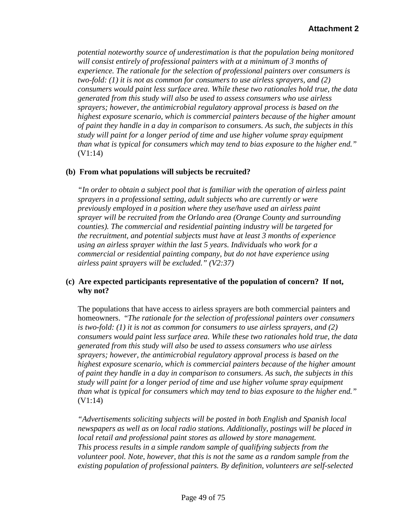*potential noteworthy source of underestimation is that the population being monitored will consist entirely of professional painters with at a minimum of 3 months of experience. The rationale for the selection of professional painters over consumers is two-fold: (1) it is not as common for consumers to use airless sprayers, and (2) consumers would paint less surface area. While these two rationales hold true, the data generated from this study will also be used to assess consumers who use airless sprayers; however, the antimicrobial regulatory approval process is based on the highest exposure scenario, which is commercial painters because of the higher amount of paint they handle in a day in comparison to consumers. As such, the subjects in this study will paint for a longer period of time and use higher volume spray equipment than what is typical for consumers which may tend to bias exposure to the higher end."* (V1:14)

### **(b) From what populations will subjects be recruited?**

*"In order to obtain a subject pool that is familiar with the operation of airless paint sprayers in a professional setting, adult subjects who are currently or were previously employed in a position where they use/have used an airless paint sprayer will be recruited from the Orlando area (Orange County and surrounding counties). The commercial and residential painting industry will be targeted for the recruitment, and potential subjects must have at least 3 months of experience using an airless sprayer within the last 5 years. Individuals who work for a commercial or residential painting company, but do not have experience using airless paint sprayers will be excluded." (V2:37)*

### **(c) Are expected participants representative of the population of concern? If not, why not?**

The populations that have access to airless sprayers are both commercial painters and homeowners. "*The rationale for the selection of professional painters over consumers is two-fold: (1) it is not as common for consumers to use airless sprayers, and (2) consumers would paint less surface area. While these two rationales hold true, the data generated from this study will also be used to assess consumers who use airless sprayers; however, the antimicrobial regulatory approval process is based on the highest exposure scenario, which is commercial painters because of the higher amount of paint they handle in a day in comparison to consumers. As such, the subjects in this study will paint for a longer period of time and use higher volume spray equipment than what is typical for consumers which may tend to bias exposure to the higher end."* (V1:14)

*"Advertisements soliciting subjects will be posted in both English and Spanish local newspapers as well as on local radio stations. Additionally, postings will be placed in local retail and professional paint stores as allowed by store management. This process results in a simple random sample of qualifying subjects from the volunteer pool. Note, however, that this is not the same as a random sample from the existing population of professional painters. By definition, volunteers are self-selected*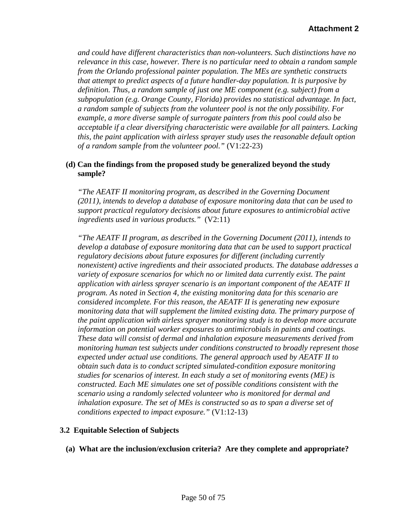*and could have different characteristics than non-volunteers. Such distinctions have no relevance in this case, however. There is no particular need to obtain a random sample from the Orlando professional painter population. The MEs are synthetic constructs that attempt to predict aspects of a future handler-day population. It is purposive by definition. Thus, a random sample of just one ME component (e.g. subject) from a subpopulation (e.g. Orange County, Florida) provides no statistical advantage. In fact, a random sample of subjects from the volunteer pool is not the only possibility. For example, a more diverse sample of surrogate painters from this pool could also be acceptable if a clear diversifying characteristic were available for all painters. Lacking this, the paint application with airless sprayer study uses the reasonable default option of a random sample from the volunteer pool."* (V1:22-23)

### **(d) Can the findings from the proposed study be generalized beyond the study sample?**

*"The AEATF II monitoring program, as described in the Governing Document (2011), intends to develop a database of exposure monitoring data that can be used to support practical regulatory decisions about future exposures to antimicrobial active ingredients used in various products."* (V2:11)

*"The AEATF II program, as described in the Governing Document (2011), intends to develop a database of exposure monitoring data that can be used to support practical regulatory decisions about future exposures for different (including currently nonexistent) active ingredients and their associated products. The database addresses a variety of exposure scenarios for which no or limited data currently exist. The paint application with airless sprayer scenario is an important component of the AEATF II program. As noted in Section 4, the existing monitoring data for this scenario are considered incomplete. For this reason, the AEATF II is generating new exposure monitoring data that will supplement the limited existing data. The primary purpose of the paint application with airless sprayer monitoring study is to develop more accurate information on potential worker exposures to antimicrobials in paints and coatings. These data will consist of dermal and inhalation exposure measurements derived from monitoring human test subjects under conditions constructed to broadly represent those expected under actual use conditions. The general approach used by AEATF II to obtain such data is to conduct scripted simulated-condition exposure monitoring studies for scenarios of interest. In each study a set of monitoring events (ME) is constructed. Each ME simulates one set of possible conditions consistent with the scenario using a randomly selected volunteer who is monitored for dermal and inhalation exposure. The set of MEs is constructed so as to span a diverse set of conditions expected to impact exposure."* (V1:12-13)

#### **3.2 Equitable Selection of Subjects**

**(a) What are the inclusion/exclusion criteria? Are they complete and appropriate?**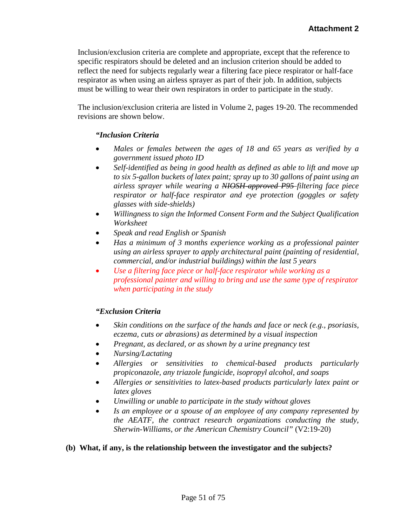Inclusion/exclusion criteria are complete and appropriate, except that the reference to specific respirators should be deleted and an inclusion criterion should be added to reflect the need for subjects regularly wear a filtering face piece respirator or half-face respirator as when using an airless sprayer as part of their job. In addition, subjects must be willing to wear their own respirators in order to participate in the study.

The inclusion/exclusion criteria are listed in Volume 2, pages 19-20. The recommended revisions are shown below.

# *"Inclusion Criteria*

- *Males or females between the ages of 18 and 65 years as verified by a government issued photo ID*
- *Self-identified as being in good health as defined as able to lift and move up to six 5-gallon buckets of latex paint; spray up to 30 gallons of paint using an airless sprayer while wearing a NIOSH-approved P95 filtering face piece respirator or half-face respirator and eye protection (goggles or safety glasses with side-shields)*
- *Willingness to sign the Informed Consent Form and the Subject Qualification Worksheet*
- *Speak and read English or Spanish*
- *Has a minimum of 3 months experience working as a professional painter using an airless sprayer to apply architectural paint (painting of residential, commercial, and/or industrial buildings) within the last 5 years*
- *Use a filtering face piece or half-face respirator while working as a professional painter and willing to bring and use the same type of respirator when participating in the study*

#### *"Exclusion Criteria*

- *Skin conditions on the surface of the hands and face or neck (e.g., psoriasis, eczema, cuts or abrasions) as determined by a visual inspection*
- *Pregnant, as declared, or as shown by a urine pregnancy test*
- *Nursing/Lactating*
- *Allergies or sensitivities to chemical-based products particularly propiconazole, any triazole fungicide, isopropyl alcohol, and soaps*
- *Allergies or sensitivities to latex-based products particularly latex paint or latex gloves*
- *Unwilling or unable to participate in the study without gloves*
- *Is an employee or a spouse of an employee of any company represented by the AEATF, the contract research organizations conducting the study, Sherwin-Williams, or the American Chemistry Council"* (V2:19-20)

#### **(b) What, if any, is the relationship between the investigator and the subjects?**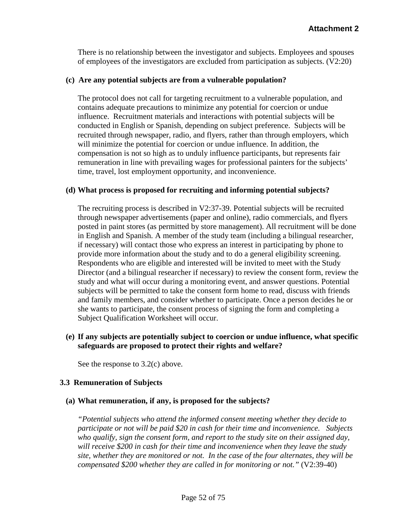There is no relationship between the investigator and subjects. Employees and spouses of employees of the investigators are excluded from participation as subjects. (V2:20)

#### **(c) Are any potential subjects are from a vulnerable population?**

The protocol does not call for targeting recruitment to a vulnerable population, and contains adequate precautions to minimize any potential for coercion or undue influence. Recruitment materials and interactions with potential subjects will be conducted in English or Spanish, depending on subject preference. Subjects will be recruited through newspaper, radio, and flyers, rather than through employers, which will minimize the potential for coercion or undue influence. In addition, the compensation is not so high as to unduly influence participants, but represents fair remuneration in line with prevailing wages for professional painters for the subjects' time, travel, lost employment opportunity, and inconvenience.

#### **(d) What process is proposed for recruiting and informing potential subjects?**

The recruiting process is described in V2:37-39. Potential subjects will be recruited through newspaper advertisements (paper and online), radio commercials, and flyers posted in paint stores (as permitted by store management). All recruitment will be done in English and Spanish. A member of the study team (including a bilingual researcher, if necessary) will contact those who express an interest in participating by phone to provide more information about the study and to do a general eligibility screening. Respondents who are eligible and interested will be invited to meet with the Study Director (and a bilingual researcher if necessary) to review the consent form, review the study and what will occur during a monitoring event, and answer questions. Potential subjects will be permitted to take the consent form home to read, discuss with friends and family members, and consider whether to participate. Once a person decides he or she wants to participate, the consent process of signing the form and completing a Subject Qualification Worksheet will occur.

# **(e) If any subjects are potentially subject to coercion or undue influence, what specific safeguards are proposed to protect their rights and welfare?**

See the response to 3.2(c) above.

#### **3.3 Remuneration of Subjects**

#### **(a) What remuneration, if any, is proposed for the subjects?**

*"Potential subjects who attend the informed consent meeting whether they decide to participate or not will be paid \$20 in cash for their time and inconvenience. Subjects who qualify, sign the consent form, and report to the study site on their assigned day, will receive \$200 in cash for their time and inconvenience when they leave the study site, whether they are monitored or not. In the case of the four alternates, they will be compensated \$200 whether they are called in for monitoring or not."* (V2:39-40)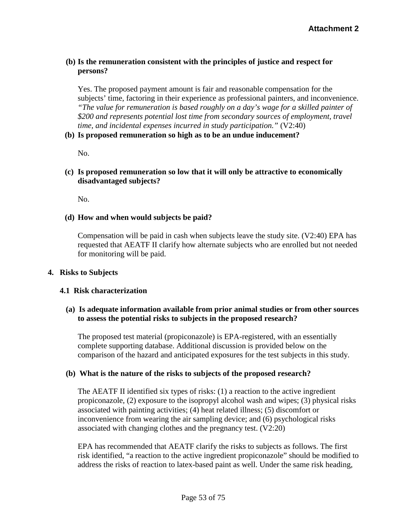## **(b) Is the remuneration consistent with the principles of justice and respect for persons?**

Yes. The proposed payment amount is fair and reasonable compensation for the subjects' time, factoring in their experience as professional painters, and inconvenience. *"The value for remuneration is based roughly on a day's wage for a skilled painter of \$200 and represents potential lost time from secondary sources of employment, travel time, and incidental expenses incurred in study participation."* (V2:40)

#### **(b) Is proposed remuneration so high as to be an undue inducement?**

No.

## **(c) Is proposed remuneration so low that it will only be attractive to economically disadvantaged subjects?**

No.

### **(d) How and when would subjects be paid?**

Compensation will be paid in cash when subjects leave the study site. (V2:40) EPA has requested that AEATF II clarify how alternate subjects who are enrolled but not needed for monitoring will be paid.

#### **4. Risks to Subjects**

#### **4.1 Risk characterization**

### **(a) Is adequate information available from prior animal studies or from other sources to assess the potential risks to subjects in the proposed research?**

The proposed test material (propiconazole) is EPA-registered, with an essentially complete supporting database. Additional discussion is provided below on the comparison of the hazard and anticipated exposures for the test subjects in this study.

#### **(b) What is the nature of the risks to subjects of the proposed research?**

The AEATF II identified six types of risks: (1) a reaction to the active ingredient propiconazole, (2) exposure to the isopropyl alcohol wash and wipes; (3) physical risks associated with painting activities; (4) heat related illness; (5) discomfort or inconvenience from wearing the air sampling device; and (6) psychological risks associated with changing clothes and the pregnancy test. (V2:20)

EPA has recommended that AEATF clarify the risks to subjects as follows. The first risk identified, "a reaction to the active ingredient propiconazole" should be modified to address the risks of reaction to latex-based paint as well. Under the same risk heading,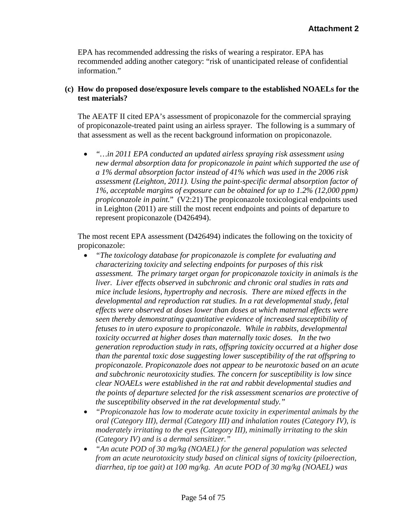EPA has recommended addressing the risks of wearing a respirator. EPA has recommended adding another category: "risk of unanticipated release of confidential information."

# **(c) How do proposed dose/exposure levels compare to the established NOAELs for the test materials?**

The AEATF II cited EPA's assessment of propiconazole for the commercial spraying of propiconazole-treated paint using an airless sprayer. The following is a summary of that assessment as well as the recent background information on propiconazole.

• *"…in 2011 EPA conducted an updated airless spraying risk assessment using new dermal absorption data for propiconazole in paint which supported the use of a 1% dermal absorption factor instead of 41% which was used in the 2006 risk assessment (Leighton, 2011). Using the paint-specific dermal absorption factor of 1%, acceptable margins of exposure can be obtained for up to 1.2% (12,000 ppm) propiconazole in paint.*" (V2:21) The propiconazole toxicological endpoints used in Leighton (2011) are still the most recent endpoints and points of departure to represent propiconazole (D426494).

The most recent EPA assessment (D426494) indicates the following on the toxicity of propiconazole:

- *"The toxicology database for propiconazole is complete for evaluating and characterizing toxicity and selecting endpoints for purposes of this risk assessment. The primary target organ for propiconazole toxicity in animals is the liver. Liver effects observed in subchronic and chronic oral studies in rats and mice include lesions, hypertrophy and necrosis. There are mixed effects in the developmental and reproduction rat studies. In a rat developmental study, fetal effects were observed at doses lower than doses at which maternal effects were seen thereby demonstrating quantitative evidence of increased susceptibility of fetuses to in utero exposure to propiconazole. While in rabbits, developmental toxicity occurred at higher doses than maternally toxic doses. In the two generation reproduction study in rats, offspring toxicity occurred at a higher dose than the parental toxic dose suggesting lower susceptibility of the rat offspring to propiconazole. Propiconazole does not appear to be neurotoxic based on an acute and subchronic neurotoxicity studies. The concern for susceptibility is low since clear NOAELs were established in the rat and rabbit developmental studies and the points of departure selected for the risk assessment scenarios are protective of the susceptibility observed in the rat developmental study."*
- *"Propiconazole has low to moderate acute toxicity in experimental animals by the oral (Category III), dermal (Category III) and inhalation routes (Category IV), is moderately irritating to the eyes (Category III), minimally irritating to the skin (Category IV) and is a dermal sensitizer."*
- *"An acute POD of 30 mg/kg (NOAEL) for the general population was selected from an acute neurotoxicity study based on clinical signs of toxicity (piloerection, diarrhea, tip toe gait) at 100 mg/kg. An acute POD of 30 mg/kg (NOAEL) was*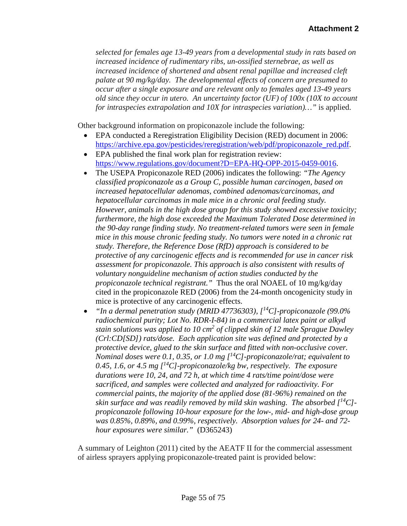*selected for females age 13-49 years from a developmental study in rats based on increased incidence of rudimentary ribs, un-ossified sternebrae, as well as increased incidence of shortened and absent renal papillae and increased cleft palate at 90 mg/kg/day. The developmental effects of concern are presumed to occur after a single exposure and are relevant only to females aged 13-49 years old since they occur in utero. An uncertainty factor (UF) of 100x (10X to account for intraspecies extrapolation and 10X for intraspecies variation)…"* is applied.

Other background information on propiconazole include the following:

- EPA conducted a Reregistration Eligibility Decision (RED) document in 2006: [https://archive.epa.gov/pesticides/reregistration/web/pdf/propiconazole\\_red.pdf.](https://archive.epa.gov/pesticides/reregistration/web/pdf/propiconazole_red.pdf)
- EPA published the final work plan for registration review: [https://www.regulations.gov/document?D=EPA-HQ-OPP-2015-0459-0016.](https://www.regulations.gov/document?D=EPA-HQ-OPP-2015-0459-0016)
- The USEPA Propiconazole RED (2006) indicates the following: *"The Agency classified propiconazole as a Group C, possible human carcinogen, based on increased hepatocellular adenomas, combined adenomas/carcinomas, and hepatocellular carcinomas in male mice in a chronic oral feeding study. However, animals in the high dose group for this study showed excessive toxicity; furthermore, the high dose exceeded the Maximum Tolerated Dose determined in the 90-day range finding study. No treatment-related tumors were seen in female mice in this mouse chronic feeding study. No tumors were noted in a chronic rat study. Therefore, the Reference Dose (RfD) approach is considered to be protective of any carcinogenic effects and is recommended for use in cancer risk assessment for propiconazole. This approach is also consistent with results of voluntary nonguideline mechanism of action studies conducted by the propiconazole technical registrant."* Thus the oral NOAEL of 10 mg/kg/day cited in the propiconazole RED (2006) from the 24-month oncogenicity study in mice is protective of any carcinogenic effects.
- *"In a dermal penetration study (MRID 47736303), [14C]-propiconazole (99.0% radiochemical purity; Lot No. RDR-I-84) in a commercial latex paint or alkyd stain solutions was applied to 10 cm2 of clipped skin of 12 male Sprague Dawley (Crl:CD[SD]) rats/dose. Each application site was defined and protected by a protective device, glued to the skin surface and fitted with non-occlusive cover. Nominal doses were 0.1, 0.35, or 1.0 mg [14C]-propiconazole/rat; equivalent to 0.45, 1.6, or 4.5 mg [14C]-propiconazole/kg bw, respectively. The exposure durations were 10, 24, and 72 h, at which time 4 rats/time point/dose were sacrificed, and samples were collected and analyzed for radioactivity. For commercial paints, the majority of the applied dose (81-96%) remained on the skin surface and was readily removed by mild skin washing. The absorbed [14C] propiconazole following 10-hour exposure for the low-, mid- and high-dose group was 0.85%, 0.89%, and 0.99%, respectively. Absorption values for 24- and 72 hour exposures were similar."* (D365243)

A summary of Leighton (2011) cited by the AEATF II for the commercial assessment of airless sprayers applying propiconazole-treated paint is provided below: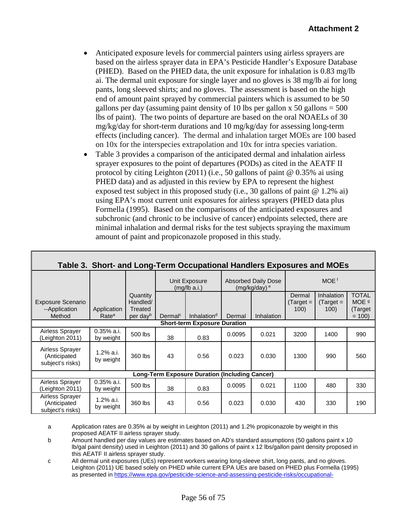- Anticipated exposure levels for commercial painters using airless sprayers are based on the airless sprayer data in EPA's Pesticide Handler's Exposure Database (PHED). Based on the PHED data, the unit exposure for inhalation is 0.83 mg/lb ai. The dermal unit exposure for single layer and no gloves is 38 mg/lb ai for long pants, long sleeved shirts; and no gloves. The assessment is based on the high end of amount paint sprayed by commercial painters which is assumed to be 50 gallons per day (assuming paint density of 10 lbs per gallon  $x$  50 gallons = 500 lbs of paint). The two points of departure are based on the oral NOAELs of 30 mg/kg/day for short-term durations and 10 mg/kg/day for assessing long-term effects (including cancer). The dermal and inhalation target MOEs are 100 based on 10x for the interspecies extrapolation and 10x for intra species variation.
- Table 3 provides a comparison of the anticipated dermal and inhalation airless sprayer exposures to the point of departures (PODs) as cited in the AEATF II protocol by citing Leighton (2011) (i.e., 50 gallons of paint @ 0.35% ai using PHED data) and as adjusted in this review by EPA to represent the highest exposed test subject in this proposed study (i.e., 30 gallons of paint  $\omega$  1.2% ai) using EPA's most current unit exposures for airless sprayers (PHED data plus Formella (1995). Based on the comparisons of the anticipated exposures and subchronic (and chronic to be inclusive of cancer) endpoints selected, there are minimal inhalation and dermal risks for the test subjects spraying the maximum amount of paint and propiconazole proposed in this study.

| Table 3. Short- and Long-Term Occupational Handlers Exposures and MOEs |                                  |                                                         |                     |                               |                                                          |            |                              |                                         |                                             |
|------------------------------------------------------------------------|----------------------------------|---------------------------------------------------------|---------------------|-------------------------------|----------------------------------------------------------|------------|------------------------------|-----------------------------------------|---------------------------------------------|
|                                                                        |                                  |                                                         |                     | Unit Exposure<br>(mq/lb a.i.) | <b>Absorbed Daily Dose</b><br>$(mg/kg/day)$ <sup>e</sup> |            | MOE <sup>f</sup>             |                                         |                                             |
| <b>Exposure Scenario</b><br>--Application<br>Method                    | Application<br>Rate <sup>a</sup> | Quantity<br>Handled/<br>Treated<br>per day <sup>b</sup> | Dermal <sup>c</sup> | Inhalation <sup>d</sup>       | Dermal                                                   | Inhalation | Dermal<br>$Target =$<br>100) | <b>Inhalation</b><br>$Target =$<br>100) | <b>TOTAL</b><br>MOE 9<br>(Target<br>$= 100$ |
| <b>Short-term Exposure Duration</b>                                    |                                  |                                                         |                     |                               |                                                          |            |                              |                                         |                                             |
| Airless Sprayer<br>(Leighton 2011)                                     | $0.35\%$ a.i.<br>by weight       | 500 lbs                                                 | 38                  | 0.83                          | 0.0095                                                   | 0.021      | 3200                         | 1400                                    | 990                                         |
| Airless Sprayer<br>(Anticipated<br>subject's risks)                    | 1.2% a.i.<br>by weight           | 360 lbs                                                 | 43                  | 0.56                          | 0.023                                                    | 0.030      | 1300                         | 990                                     | 560                                         |
| <b>Long-Term Exposure Duration (Including Cancer)</b>                  |                                  |                                                         |                     |                               |                                                          |            |                              |                                         |                                             |
| Airless Sprayer<br>(Leighton 2011)                                     | $0.35\%$ a.i.<br>by weight       | 500 lbs                                                 | 38                  | 0.83                          | 0.0095                                                   | 0.021      | 1100                         | 480                                     | 330                                         |
| Airless Sprayer<br>(Anticipated<br>subject's risks)                    | 1.2% a.i.<br>by weight           | 360 lbs                                                 | 43                  | 0.56                          | 0.023                                                    | 0.030      | 430                          | 330                                     | 190                                         |

a Application rates are 0.35% ai by weight in Leighton (2011) and 1.2% propiconazole by weight in this proposed AEATF II airless sprayer study.

b Amount handled per day values are estimates based on AD's standard assumptions (50 gallons paint x 10 lb/gal paint density) used in Leighton (2011) and 30 gallons of paint x 12 lbs/gallon paint density proposed in this AEATF II airless sprayer study.

c All dermal unit exposures (UEs) represent workers wearing long-sleeve shirt, long pants, and no gloves. Leighton (2011) UE based solely on PHED while current EPA UEs are based on PHED plus Formella (1995) as presented in [https://www.epa.gov/pesticide-science-and-assessing-pesticide-risks/occupational-](https://www.epa.gov/pesticide-science-and-assessing-pesticide-risks/occupational-pesticide-handler-exposure-data)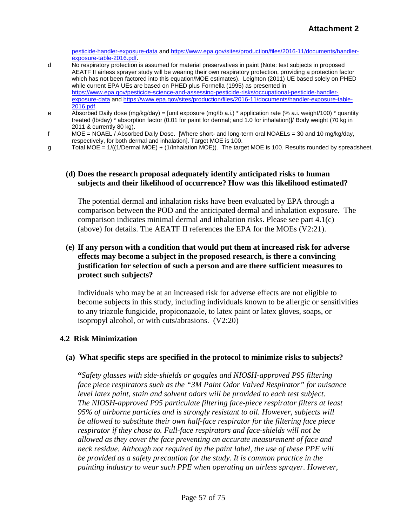[pesticide-handler-exposure-data](https://www.epa.gov/pesticide-science-and-assessing-pesticide-risks/occupational-pesticide-handler-exposure-data) and [https://www.epa.gov/sites/production/files/2016-11/documents/handler](https://www.epa.gov/sites/production/files/2016-11/documents/handler-exposure-table-2016.pdf)[exposure-table-2016.pdf.](https://www.epa.gov/sites/production/files/2016-11/documents/handler-exposure-table-2016.pdf)

- d No respiratory protection is assumed for material preservatives in paint (Note: test subjects in proposed AEATF II airless sprayer study will be wearing their own respiratory protection, providing a protection factor which has not been factored into this equation/MOE estimates). Leighton (2011) UE based solely on PHED while current EPA UEs are based on PHED plus Formella (1995) as presented in [https://www.epa.gov/pesticide-science-and-assessing-pesticide-risks/occupational-pesticide-handler](https://www.epa.gov/pesticide-science-and-assessing-pesticide-risks/occupational-pesticide-handler-exposure-data)[exposure-data](https://www.epa.gov/pesticide-science-and-assessing-pesticide-risks/occupational-pesticide-handler-exposure-data) an[d https://www.epa.gov/sites/production/files/2016-11/documents/handler-exposure-table-](https://www.epa.gov/sites/production/files/2016-11/documents/handler-exposure-table-2016.pdf)[2016.pdf.](https://www.epa.gov/sites/production/files/2016-11/documents/handler-exposure-table-2016.pdf)
- e Absorbed Daily dose (mg/kg/day) = [unit exposure (mg/lb a.i.) \* application rate (% a.i. weight/100) \* quantity treated (lb/day) \* absorption factor (0.01 for paint for dermal; and 1.0 for inhalation)]/ Body weight (70 kg in 2011 & currently 80 kg).
- f MOE = NOAEL / Absorbed Daily Dose. [Where short- and long-term oral NOAELs = 30 and 10 mg/kg/day, respectively, for both dermal and inhalation]. Target MOE is 100.
- g Total MOE = 1/((1/Dermal MOE) + (1/Inhalation MOE)). The target MOE is 100. Results rounded by spreadsheet.

#### **(d) Does the research proposal adequately identify anticipated risks to human subjects and their likelihood of occurrence? How was this likelihood estimated?**

The potential dermal and inhalation risks have been evaluated by EPA through a comparison between the POD and the anticipated dermal and inhalation exposure. The comparison indicates minimal dermal and inhalation risks. Please see part 4.1(c) (above) for details. The AEATF II references the EPA for the MOEs (V2:21).

### **(e) If any person with a condition that would put them at increased risk for adverse effects may become a subject in the proposed research, is there a convincing justification for selection of such a person and are there sufficient measures to protect such subjects?**

Individuals who may be at an increased risk for adverse effects are not eligible to become subjects in this study, including individuals known to be allergic or sensitivities to any triazole fungicide, propiconazole, to latex paint or latex gloves, soaps, or isopropyl alcohol, or with cuts/abrasions. (V2:20)

#### **4.2 Risk Minimization**

#### **(a) What specific steps are specified in the protocol to minimize risks to subjects?**

**"***Safety glasses with side-shields or goggles and NIOSH-approved P95 filtering face piece respirators such as the "3M Paint Odor Valved Respirator" for nuisance level latex paint, stain and solvent odors will be provided to each test subject. The NIOSH-approved P95 particulate filtering face-piece respirator filters at least 95% of airborne particles and is strongly resistant to oil. However, subjects will be allowed to substitute their own half-face respirator for the filtering face piece respirator if they chose to. Full-face respirators and face-shields will not be allowed as they cover the face preventing an accurate measurement of face and neck residue. Although not required by the paint label, the use of these PPE will be provided as a safety precaution for the study. It is common practice in the painting industry to wear such PPE when operating an airless sprayer. However,*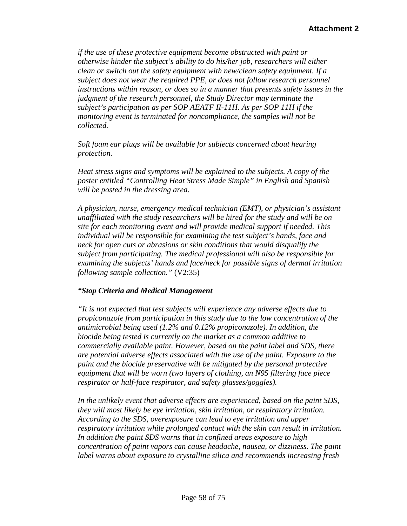*if the use of these protective equipment become obstructed with paint or otherwise hinder the subject's ability to do his/her job, researchers will either clean or switch out the safety equipment with new/clean safety equipment. If a subject does not wear the required PPE, or does not follow research personnel instructions within reason, or does so in a manner that presents safety issues in the judgment of the research personnel, the Study Director may terminate the subject's participation as per SOP AEATF II-11H. As per SOP 11H if the monitoring event is terminated for noncompliance, the samples will not be collected.*

*Soft foam ear plugs will be available for subjects concerned about hearing protection.*

*Heat stress signs and symptoms will be explained to the subjects. A copy of the poster entitled "Controlling Heat Stress Made Simple" in English and Spanish will be posted in the dressing area.*

*A physician, nurse, emergency medical technician (EMT), or physician's assistant unaffiliated with the study researchers will be hired for the study and will be on site for each monitoring event and will provide medical support if needed. This individual will be responsible for examining the test subject's hands, face and neck for open cuts or abrasions or skin conditions that would disqualify the subject from participating. The medical professional will also be responsible for examining the subjects' hands and face/neck for possible signs of dermal irritation following sample collection."* (V2:35)

#### *"Stop Criteria and Medical Management*

*"It is not expected that test subjects will experience any adverse effects due to propiconazole from participation in this study due to the low concentration of the antimicrobial being used (1.2% and 0.12% propiconazole). In addition, the biocide being tested is currently on the market as a common additive to commercially available paint. However, based on the paint label and SDS, there are potential adverse effects associated with the use of the paint. Exposure to the paint and the biocide preservative will be mitigated by the personal protective equipment that will be worn (two layers of clothing, an N95 filtering face piece respirator or half-face respirator, and safety glasses/goggles).*

*In the unlikely event that adverse effects are experienced, based on the paint SDS, they will most likely be eye irritation, skin irritation, or respiratory irritation. According to the SDS, overexposure can lead to eye irritation and upper respiratory irritation while prolonged contact with the skin can result in irritation. In addition the paint SDS warns that in confined areas exposure to high concentration of paint vapors can cause headache, nausea, or dizziness. The paint label warns about exposure to crystalline silica and recommends increasing fresh*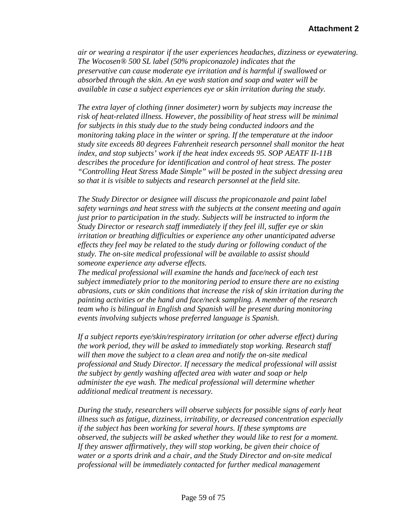*air or wearing a respirator if the user experiences headaches, dizziness or eyewatering. The Wocosen® 500 SL label (50% propiconazole) indicates that the preservative can cause moderate eye irritation and is harmful if swallowed or absorbed through the skin. An eye wash station and soap and water will be available in case a subject experiences eye or skin irritation during the study.*

*The extra layer of clothing (inner dosimeter) worn by subjects may increase the risk of heat-related illness. However, the possibility of heat stress will be minimal for subjects in this study due to the study being conducted indoors and the monitoring taking place in the winter or spring. If the temperature at the indoor study site exceeds 80 degrees Fahrenheit research personnel shall monitor the heat index, and stop subjects' work if the heat index exceeds 95. SOP AEATF II-11B describes the procedure for identification and control of heat stress. The poster "Controlling Heat Stress Made Simple" will be posted in the subject dressing area so that it is visible to subjects and research personnel at the field site.*

*The Study Director or designee will discuss the propiconazole and paint label safety warnings and heat stress with the subjects at the consent meeting and again just prior to participation in the study. Subjects will be instructed to inform the Study Director or research staff immediately if they feel ill, suffer eye or skin irritation or breathing difficulties or experience any other unanticipated adverse effects they feel may be related to the study during or following conduct of the study. The on-site medical professional will be available to assist should someone experience any adverse effects.*

*The medical professional will examine the hands and face/neck of each test subject immediately prior to the monitoring period to ensure there are no existing abrasions, cuts or skin conditions that increase the risk of skin irritation during the painting activities or the hand and face/neck sampling. A member of the research team who is bilingual in English and Spanish will be present during monitoring events involving subjects whose preferred language is Spanish.*

*If a subject reports eye/skin/respiratory irritation (or other adverse effect) during the work period, they will be asked to immediately stop working. Research staff will then move the subject to a clean area and notify the on-site medical professional and Study Director. If necessary the medical professional will assist the subject by gently washing affected area with water and soap or help administer the eye wash. The medical professional will determine whether additional medical treatment is necessary.*

*During the study, researchers will observe subjects for possible signs of early heat illness such as fatigue, dizziness, irritability, or decreased concentration especially if the subject has been working for several hours. If these symptoms are observed, the subjects will be asked whether they would like to rest for a moment. If they answer affirmatively, they will stop working, be given their choice of water or a sports drink and a chair, and the Study Director and on-site medical professional will be immediately contacted for further medical management*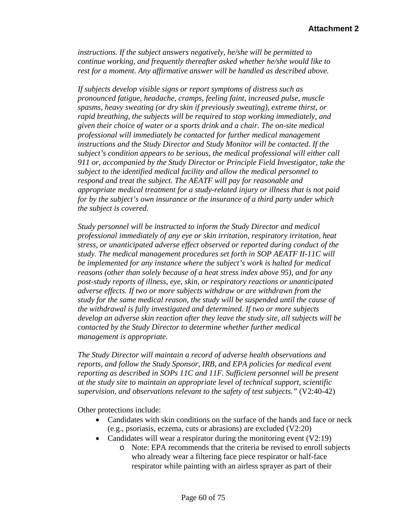*instructions. If the subject answers negatively, he/she will be permitted to continue working, and frequently thereafter asked whether he/she would like to rest for a moment. Any affirmative answer will be handled as described above.*

*If subjects develop visible signs or report symptoms of distress such as pronounced fatigue, headache, cramps, feeling faint, increased pulse, muscle spasms, heavy sweating (or dry skin if previously sweating), extreme thirst, or rapid breathing, the subjects will be required to stop working immediately, and given their choice of water or a sports drink and a chair. The on-site medical professional will immediately be contacted for further medical management instructions and the Study Director and Study Monitor will be contacted. If the subject's condition appears to be serious, the medical professional will either call 911 or, accompanied by the Study Director or Principle Field Investigator, take the subject to the identified medical facility and allow the medical personnel to respond and treat the subject. The AEATF will pay for reasonable and appropriate medical treatment for a study-related injury or illness that is not paid for by the subject's own insurance or the insurance of a third party under which the subject is covered.*

*Study personnel will be instructed to inform the Study Director and medical professional immediately of any eye or skin irritation, respiratory irritation, heat stress, or unanticipated adverse effect observed or reported during conduct of the study. The medical management procedures set forth in SOP AEATF II-11C will be implemented for any instance where the subject's work is halted for medical reasons (other than solely because of a heat stress index above 95), and for any post-study reports of illness, eye, skin, or respiratory reactions or unanticipated adverse effects. If two or more subjects withdraw or are withdrawn from the study for the same medical reason, the study will be suspended until the cause of the withdrawal is fully investigated and determined. If two or more subjects develop an adverse skin reaction after they leave the study site, all subjects will be contacted by the Study Director to determine whether further medical management is appropriate.*

*The Study Director will maintain a record of adverse health observations and reports, and follow the Study Sponsor, IRB, and EPA policies for medical event reporting as described in SOPs 11C and 11F. Sufficient personnel will be present at the study site to maintain an appropriate level of technical support, scientific supervision, and observations relevant to the safety of test subjects."* (V2:40-42)

Other protections include:

- Candidates with skin conditions on the surface of the hands and face or neck (e.g., psoriasis, eczema, cuts or abrasions) are excluded (V2:20)
- Candidates will wear a respirator during the monitoring event (V2:19)
	- o Note: EPA recommends that the criteria be revised to enroll subjects who already wear a filtering face piece respirator or half-face respirator while painting with an airless sprayer as part of their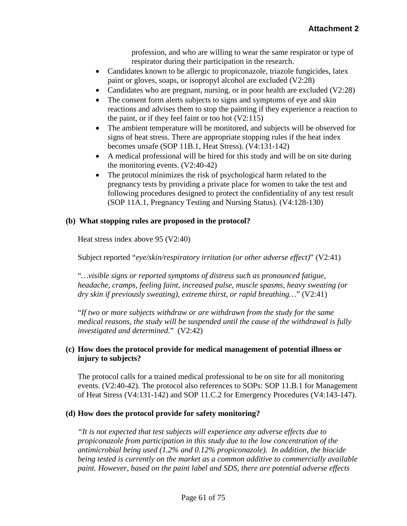profession, and who are willing to wear the same respirator or type of respirator during their participation in the research.

- Candidates known to be allergic to propiconazole, triazole fungicides, latex paint or gloves, soaps, or isopropyl alcohol are excluded (V2:28)
- Candidates who are pregnant, nursing, or in poor health are excluded (V2:28)
- The consent form alerts subjects to signs and symptoms of eye and skin reactions and advises them to stop the painting if they experience a reaction to the paint, or if they feel faint or too hot (V2:115)
- The ambient temperature will be monitored, and subjects will be observed for signs of heat stress. There are appropriate stopping rules if the heat index becomes unsafe (SOP 11B.1, Heat Stress). (V4:131-142)
- A medical professional will be hired for this study and will be on site during the monitoring events. (V2:40-42)
- The protocol minimizes the risk of psychological harm related to the pregnancy tests by providing a private place for women to take the test and following procedures designed to protect the confidentiality of any test result (SOP 11A.1, Pregnancy Testing and Nursing Status). (V4:128-130)

### **(b) What stopping rules are proposed in the protocol?**

Heat stress index above 95 (V2:40)

Subject reported "*eye/skin/respiratory irritation (or other adverse effect)*" (V2:41)

"*…visible signs or reported symptoms of distress such as pronounced fatigue, headache, cramps, feeling faint, increased pulse, muscle spasms, heavy sweating (or dry skin if previously sweating), extreme thirst, or rapid breathing…*" (V2:41)

"*If two or more subjects withdraw or are withdrawn from the study for the same medical reasons, the study will be suspended until the cause of the withdrawal is fully investigated and determined.*" (V2:42)

# **(c) How does the protocol provide for medical management of potential illness or injury to subjects?**

The protocol calls for a trained medical professional to be on site for all monitoring events. (V2:40-42). The protocol also references to SOPs: SOP 11.B.1 for Management of Heat Stress (V4:131-142) and SOP 11.C.2 for Emergency Procedures (V4:143-147).

# **(d) How does the protocol provide for safety monitoring?**

*"It is not expected that test subjects will experience any adverse effects due to propiconazole from participation in this study due to the low concentration of the antimicrobial being used (1.2% and 0.12% propiconazole). In addition, the biocide being tested is currently on the market as a common additive to commercially available paint. However, based on the paint label and SDS, there are potential adverse effects*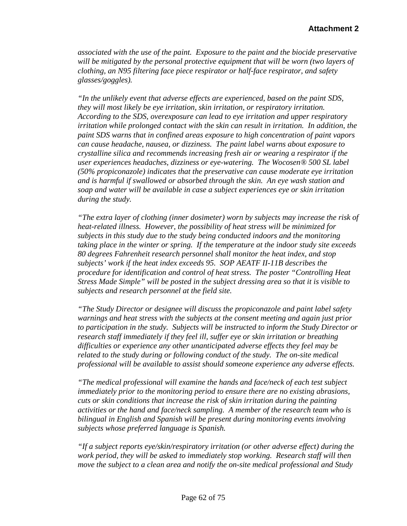*associated with the use of the paint. Exposure to the paint and the biocide preservative will be mitigated by the personal protective equipment that will be worn (two layers of clothing, an N95 filtering face piece respirator or half-face respirator, and safety glasses/goggles).* 

*"In the unlikely event that adverse effects are experienced, based on the paint SDS, they will most likely be eye irritation, skin irritation, or respiratory irritation. According to the SDS, overexposure can lead to eye irritation and upper respiratory irritation while prolonged contact with the skin can result in irritation. In addition, the paint SDS warns that in confined areas exposure to high concentration of paint vapors can cause headache, nausea, or dizziness. The paint label warns about exposure to crystalline silica and recommends increasing fresh air or wearing a respirator if the user experiences headaches, dizziness or eye-watering. The Wocosen® 500 SL label (50% propiconazole) indicates that the preservative can cause moderate eye irritation and is harmful if swallowed or absorbed through the skin. An eye wash station and soap and water will be available in case a subject experiences eye or skin irritation during the study.*

*"The extra layer of clothing (inner dosimeter) worn by subjects may increase the risk of heat-related illness. However, the possibility of heat stress will be minimized for subjects in this study due to the study being conducted indoors and the monitoring taking place in the winter or spring. If the temperature at the indoor study site exceeds 80 degrees Fahrenheit research personnel shall monitor the heat index, and stop subjects' work if the heat index exceeds 95. SOP AEATF II-11B describes the procedure for identification and control of heat stress. The poster "Controlling Heat Stress Made Simple" will be posted in the subject dressing area so that it is visible to subjects and research personnel at the field site.* 

*"The Study Director or designee will discuss the propiconazole and paint label safety warnings and heat stress with the subjects at the consent meeting and again just prior to participation in the study. Subjects will be instructed to inform the Study Director or research staff immediately if they feel ill, suffer eye or skin irritation or breathing difficulties or experience any other unanticipated adverse effects they feel may be related to the study during or following conduct of the study. The on-site medical professional will be available to assist should someone experience any adverse effects.*

*"The medical professional will examine the hands and face/neck of each test subject immediately prior to the monitoring period to ensure there are no existing abrasions, cuts or skin conditions that increase the risk of skin irritation during the painting activities or the hand and face/neck sampling. A member of the research team who is bilingual in English and Spanish will be present during monitoring events involving subjects whose preferred language is Spanish.* 

*"If a subject reports eye/skin/respiratory irritation (or other adverse effect) during the work period, they will be asked to immediately stop working. Research staff will then move the subject to a clean area and notify the on-site medical professional and Study*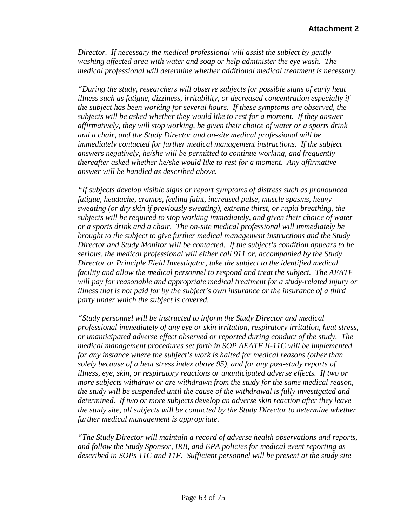*Director. If necessary the medical professional will assist the subject by gently washing affected area with water and soap or help administer the eye wash. The medical professional will determine whether additional medical treatment is necessary.* 

*"During the study, researchers will observe subjects for possible signs of early heat illness such as fatigue, dizziness, irritability, or decreased concentration especially if the subject has been working for several hours. If these symptoms are observed, the subjects will be asked whether they would like to rest for a moment. If they answer affirmatively, they will stop working, be given their choice of water or a sports drink and a chair, and the Study Director and on-site medical professional will be immediately contacted for further medical management instructions. If the subject answers negatively, he/she will be permitted to continue working, and frequently thereafter asked whether he/she would like to rest for a moment. Any affirmative answer will be handled as described above.* 

*"If subjects develop visible signs or report symptoms of distress such as pronounced fatigue, headache, cramps, feeling faint, increased pulse, muscle spasms, heavy sweating (or dry skin if previously sweating), extreme thirst, or rapid breathing, the subjects will be required to stop working immediately, and given their choice of water or a sports drink and a chair. The on-site medical professional will immediately be brought to the subject to give further medical management instructions and the Study Director and Study Monitor will be contacted. If the subject's condition appears to be serious, the medical professional will either call 911 or, accompanied by the Study Director or Principle Field Investigator, take the subject to the identified medical facility and allow the medical personnel to respond and treat the subject. The AEATF will pay for reasonable and appropriate medical treatment for a study-related injury or illness that is not paid for by the subject's own insurance or the insurance of a third party under which the subject is covered.* 

*"Study personnel will be instructed to inform the Study Director and medical professional immediately of any eye or skin irritation, respiratory irritation, heat stress, or unanticipated adverse effect observed or reported during conduct of the study. The medical management procedures set forth in SOP AEATF II-11C will be implemented for any instance where the subject's work is halted for medical reasons (other than solely because of a heat stress index above 95), and for any post-study reports of illness, eye, skin, or respiratory reactions or unanticipated adverse effects. If two or more subjects withdraw or are withdrawn from the study for the same medical reason, the study will be suspended until the cause of the withdrawal is fully investigated and determined. If two or more subjects develop an adverse skin reaction after they leave the study site, all subjects will be contacted by the Study Director to determine whether further medical management is appropriate.* 

*"The Study Director will maintain a record of adverse health observations and reports, and follow the Study Sponsor, IRB, and EPA policies for medical event reporting as described in SOPs 11C and 11F. Sufficient personnel will be present at the study site*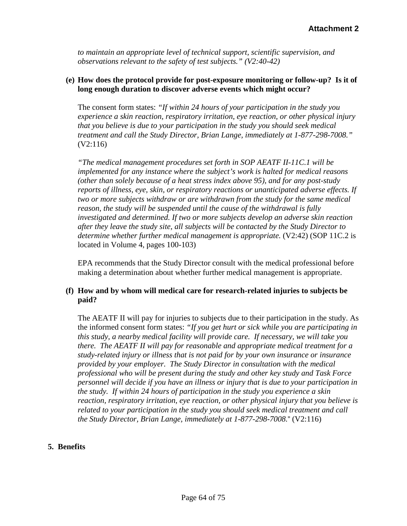*to maintain an appropriate level of technical support, scientific supervision, and observations relevant to the safety of test subjects." (V2:40-42)*

#### **(e) How does the protocol provide for post-exposure monitoring or follow-up? Is it of long enough duration to discover adverse events which might occur?**

The consent form states: *"If within 24 hours of your participation in the study you experience a skin reaction, respiratory irritation, eye reaction, or other physical injury that you believe is due to your participation in the study you should seek medical treatment and call the Study Director, Brian Lange, immediately at 1-877-298-7008."* (V2:116)

*"The medical management procedures set forth in SOP AEATF II-11C.1 will be implemented for any instance where the subject's work is halted for medical reasons (other than solely because of a heat stress index above 95), and for any post-study reports of illness, eye, skin, or respiratory reactions or unanticipated adverse effects. If two or more subjects withdraw or are withdrawn from the study for the same medical reason, the study will be suspended until the cause of the withdrawal is fully investigated and determined. If two or more subjects develop an adverse skin reaction after they leave the study site, all subjects will be contacted by the Study Director to determine whether further medical management is appropriate.* (V2:42) (SOP 11C.2 is located in Volume 4, pages 100-103)

EPA recommends that the Study Director consult with the medical professional before making a determination about whether further medical management is appropriate.

### **(f) How and by whom will medical care for research-related injuries to subjects be paid?**

The AEATF II will pay for injuries to subjects due to their participation in the study. As the informed consent form states: *"If you get hurt or sick while you are participating in this study, a nearby medical facility will provide care. If necessary, we will take you there. The AEATF II will pay for reasonable and appropriate medical treatment for a study-related injury or illness that is not paid for by your own insurance or insurance provided by your employer. The Study Director in consultation with the medical professional who will be present during the study and other key study and Task Force personnel will decide if you have an illness or injury that is due to your participation in the study. If within 24 hours of participation in the study you experience a skin reaction, respiratory irritation, eye reaction, or other physical injury that you believe is related to your participation in the study you should seek medical treatment and call the Study Director, Brian Lange, immediately at 1-877-298-7008.*" (V2:116)

#### **5. Benefits**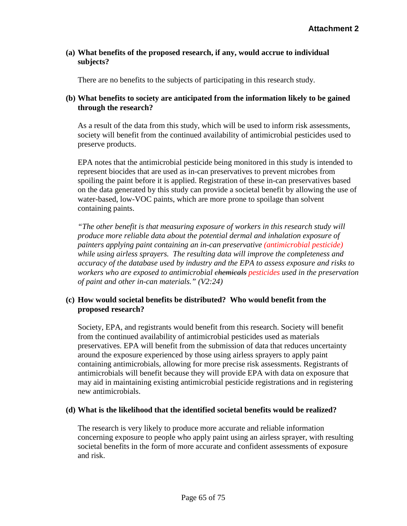### **(a) What benefits of the proposed research, if any, would accrue to individual subjects?**

There are no benefits to the subjects of participating in this research study.

# **(b) What benefits to society are anticipated from the information likely to be gained through the research?**

As a result of the data from this study, which will be used to inform risk assessments, society will benefit from the continued availability of antimicrobial pesticides used to preserve products.

EPA notes that the antimicrobial pesticide being monitored in this study is intended to represent biocides that are used as in-can preservatives to prevent microbes from spoiling the paint before it is applied. Registration of these in-can preservatives based on the data generated by this study can provide a societal benefit by allowing the use of water-based, low-VOC paints, which are more prone to spoilage than solvent containing paints.

*"The other benefit is that measuring exposure of workers in this research study will produce more reliable data about the potential dermal and inhalation exposure of painters applying paint containing an in-can preservative (antimicrobial pesticide) while using airless sprayers. The resulting data will improve the completeness and accuracy of the database used by industry and the EPA to assess exposure and risks to workers who are exposed to antimicrobial chemicals pesticides used in the preservation of paint and other in-can materials." (V2:24)*

# **(c) How would societal benefits be distributed? Who would benefit from the proposed research?**

Society, EPA, and registrants would benefit from this research. Society will benefit from the continued availability of antimicrobial pesticides used as materials preservatives. EPA will benefit from the submission of data that reduces uncertainty around the exposure experienced by those using airless sprayers to apply paint containing antimicrobials, allowing for more precise risk assessments. Registrants of antimicrobials will benefit because they will provide EPA with data on exposure that may aid in maintaining existing antimicrobial pesticide registrations and in registering new antimicrobials.

# **(d) What is the likelihood that the identified societal benefits would be realized?**

The research is very likely to produce more accurate and reliable information concerning exposure to people who apply paint using an airless sprayer, with resulting societal benefits in the form of more accurate and confident assessments of exposure and risk.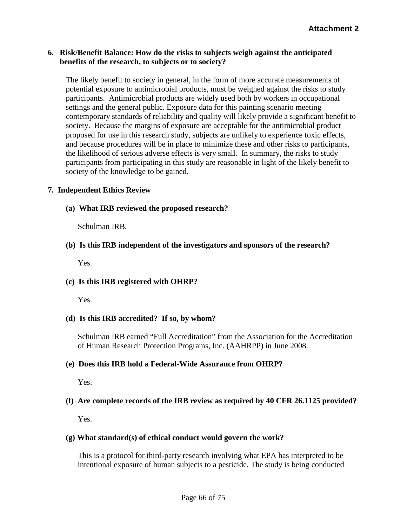#### **6. Risk/Benefit Balance: How do the risks to subjects weigh against the anticipated benefits of the research, to subjects or to society?**

The likely benefit to society in general, in the form of more accurate measurements of potential exposure to antimicrobial products, must be weighed against the risks to study participants. Antimicrobial products are widely used both by workers in occupational settings and the general public. Exposure data for this painting scenario meeting contemporary standards of reliability and quality will likely provide a significant benefit to society. Because the margins of exposure are acceptable for the antimicrobial product proposed for use in this research study, subjects are unlikely to experience toxic effects, and because procedures will be in place to minimize these and other risks to participants, the likelihood of serious adverse effects is very small. In summary, the risks to study participants from participating in this study are reasonable in light of the likely benefit to society of the knowledge to be gained.

### **7. Independent Ethics Review**

**(a) What IRB reviewed the proposed research?**

Schulman IRB.

### **(b) Is this IRB independent of the investigators and sponsors of the research?**

Yes.

# **(c) Is this IRB registered with OHRP?**

Yes.

# **(d) Is this IRB accredited? If so, by whom?**

Schulman IRB earned "Full Accreditation" from the [Association for the Accreditation](http://www.aahrpp.org/)  [of Human Research Protection Programs, Inc.](http://www.aahrpp.org/) (AAHRPP) in June 2008.

#### **(e) Does this IRB hold a Federal-Wide Assurance from OHRP?**

Yes.

# **(f) Are complete records of the IRB review as required by 40 CFR 26.1125 provided?**

Yes.

#### **(g) What standard(s) of ethical conduct would govern the work?**

This is a protocol for third-party research involving what EPA has interpreted to be intentional exposure of human subjects to a pesticide. The study is being conducted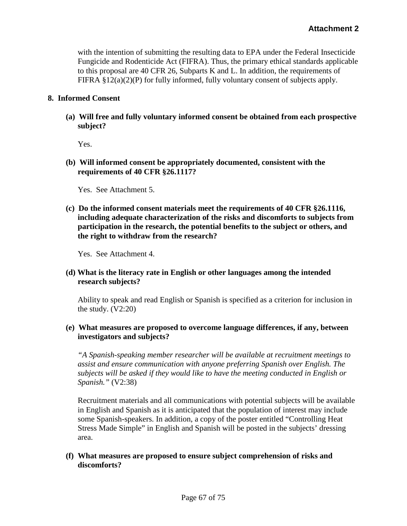with the intention of submitting the resulting data to EPA under the Federal Insecticide Fungicide and Rodenticide Act (FIFRA). Thus, the primary ethical standards applicable to this proposal are 40 CFR 26, Subparts K and L. In addition, the requirements of FIFRA §12(a)(2)(P) for fully informed, fully voluntary consent of subjects apply.

#### **8. Informed Consent**

**(a) Will free and fully voluntary informed consent be obtained from each prospective subject?**

Yes.

**(b) Will informed consent be appropriately documented, consistent with the requirements of 40 CFR §26.1117?** 

Yes. See Attachment 5.

**(c) Do the informed consent materials meet the requirements of 40 CFR §26.1116, including adequate characterization of the risks and discomforts to subjects from participation in the research, the potential benefits to the subject or others, and the right to withdraw from the research?**

Yes. See Attachment 4.

**(d) What is the literacy rate in English or other languages among the intended research subjects?**

Ability to speak and read English or Spanish is specified as a criterion for inclusion in the study.  $(V2:20)$ 

**(e) What measures are proposed to overcome language differences, if any, between investigators and subjects?**

*"A Spanish-speaking member researcher will be available at recruitment meetings to assist and ensure communication with anyone preferring Spanish over English. The subjects will be asked if they would like to have the meeting conducted in English or Spanish."* (V2:38)

Recruitment materials and all communications with potential subjects will be available in English and Spanish as it is anticipated that the population of interest may include some Spanish-speakers. In addition, a copy of the poster entitled "Controlling Heat Stress Made Simple" in English and Spanish will be posted in the subjects' dressing area.

# **(f) What measures are proposed to ensure subject comprehension of risks and discomforts?**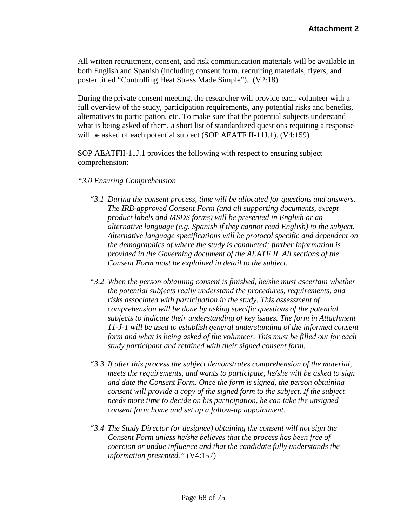All written recruitment, consent, and risk communication materials will be available in both English and Spanish (including consent form, recruiting materials, flyers, and poster titled "Controlling Heat Stress Made Simple"). (V2:18)

During the private consent meeting, the researcher will provide each volunteer with a full overview of the study, participation requirements, any potential risks and benefits, alternatives to participation, etc. To make sure that the potential subjects understand what is being asked of them, a short list of standardized questions requiring a response will be asked of each potential subject (SOP AEATF II-11J.1). (V4:159)

SOP AEATFII-11J.1 provides the following with respect to ensuring subject comprehension:

#### *"3.0 Ensuring Comprehension*

- *"3.1 During the consent process, time will be allocated for questions and answers. The IRB-approved Consent Form (and all supporting documents, except product labels and MSDS forms) will be presented in English or an alternative language (e.g. Spanish if they cannot read English) to the subject. Alternative language specifications will be protocol specific and dependent on the demographics of where the study is conducted; further information is provided in the Governing document of the AEATF II. All sections of the Consent Form must be explained in detail to the subject.*
- *"3.2 When the person obtaining consent is finished, he/she must ascertain whether the potential subjects really understand the procedures, requirements, and risks associated with participation in the study. This assessment of comprehension will be done by asking specific questions of the potential subjects to indicate their understanding of key issues. The form in Attachment 11-J-1 will be used to establish general understanding of the informed consent form and what is being asked of the volunteer. This must be filled out for each study participant and retained with their signed consent form.*
- *"3.3 If after this process the subject demonstrates comprehension of the material, meets the requirements, and wants to participate, he/she will be asked to sign and date the Consent Form. Once the form is signed, the person obtaining consent will provide a copy of the signed form to the subject. If the subject needs more time to decide on his participation, he can take the unsigned consent form home and set up a follow-up appointment.*
- *"3.4 The Study Director (or designee) obtaining the consent will not sign the Consent Form unless he/she believes that the process has been free of coercion or undue influence and that the candidate fully understands the information presented."* (V4:157)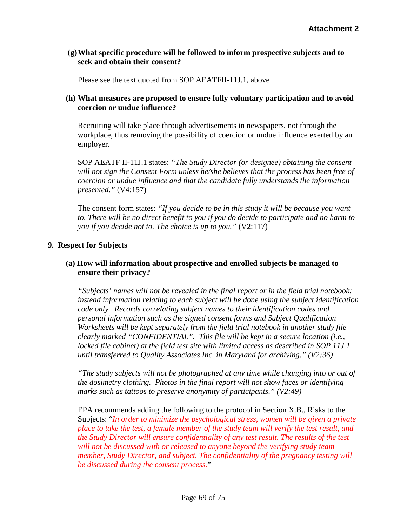### **(g)What specific procedure will be followed to inform prospective subjects and to seek and obtain their consent?**

Please see the text quoted from SOP AEATFII-11J.1, above

### **(h) What measures are proposed to ensure fully voluntary participation and to avoid coercion or undue influence?**

Recruiting will take place through advertisements in newspapers, not through the workplace, thus removing the possibility of coercion or undue influence exerted by an employer.

SOP AEATF II-11J.1 states: *"The Study Director (or designee) obtaining the consent will not sign the Consent Form unless he/she believes that the process has been free of coercion or undue influence and that the candidate fully understands the information presented."* (V4:157)

The consent form states: *"If you decide to be in this study it will be because you want to. There will be no direct benefit to you if you do decide to participate and no harm to you if you decide not to. The choice is up to you."* (V2:117)

### **9. Respect for Subjects**

### **(a) How will information about prospective and enrolled subjects be managed to ensure their privacy?**

*"Subjects' names will not be revealed in the final report or in the field trial notebook; instead information relating to each subject will be done using the subject identification code only. Records correlating subject names to their identification codes and personal information such as the signed consent forms and Subject Qualification Worksheets will be kept separately from the field trial notebook in another study file clearly marked "CONFIDENTIAL". This file will be kept in a secure location (i.e., locked file cabinet) at the field test site with limited access as described in SOP 11J.1 until transferred to Quality Associates Inc. in Maryland for archiving." (V2:36)*

*"The study subjects will not be photographed at any time while changing into or out of the dosimetry clothing. Photos in the final report will not show faces or identifying marks such as tattoos to preserve anonymity of participants." (V2:49)*

EPA recommends adding the following to the protocol in Section X.B., Risks to the Subjects: "*In order to minimize the psychological stress, women will be given a private place to take the test, a female member of the study team will verify the test result, and the Study Director will ensure confidentiality of any test result. The results of the test will not be discussed with or released to anyone beyond the verifying study team member, Study Director, and subject. The confidentiality of the pregnancy testing will be discussed during the consent process.*"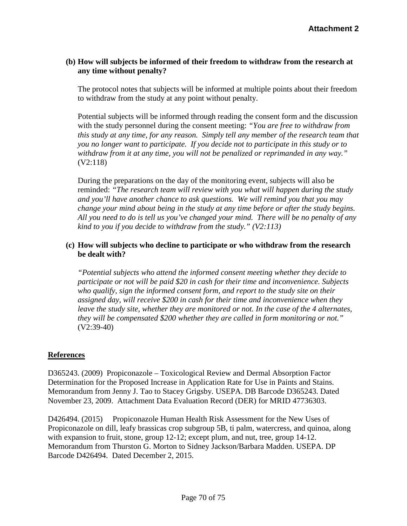## **(b) How will subjects be informed of their freedom to withdraw from the research at any time without penalty?**

The protocol notes that subjects will be informed at multiple points about their freedom to withdraw from the study at any point without penalty.

Potential subjects will be informed through reading the consent form and the discussion with the study personnel during the consent meeting: *"You are free to withdraw from this study at any time, for any reason. Simply tell any member of the research team that you no longer want to participate. If you decide not to participate in this study or to withdraw from it at any time, you will not be penalized or reprimanded in any way."* (V2:118)

During the preparations on the day of the monitoring event, subjects will also be reminded: *"The research team will review with you what will happen during the study and you'll have another chance to ask questions. We will remind you that you may change your mind about being in the study at any time before or after the study begins. All you need to do is tell us you've changed your mind. There will be no penalty of any kind to you if you decide to withdraw from the study." (V2:113)*

### **(c) How will subjects who decline to participate or who withdraw from the research be dealt with?**

*"Potential subjects who attend the informed consent meeting whether they decide to participate or not will be paid \$20 in cash for their time and inconvenience. Subjects who qualify, sign the informed consent form, and report to the study site on their assigned day, will receive \$200 in cash for their time and inconvenience when they leave the study site, whether they are monitored or not. In the case of the 4 alternates, they will be compensated \$200 whether they are called in form monitoring or not."* (V2:39-40)

#### **References**

D365243. (2009) Propiconazole – Toxicological Review and Dermal Absorption Factor Determination for the Proposed Increase in Application Rate for Use in Paints and Stains. Memorandum from Jenny J. Tao to Stacey Grigsby. USEPA. DB Barcode D365243. Dated November 23, 2009. Attachment Data Evaluation Record (DER) for MRID 47736303.

D426494. (2015) Propiconazole Human Health Risk Assessment for the New Uses of Propiconazole on dill, leafy brassicas crop subgroup 5B, ti palm, watercress, and quinoa, along with expansion to fruit, stone, group 12-12; except plum, and nut, tree, group 14-12. Memorandum from Thurston G. Morton to Sidney Jackson/Barbara Madden. USEPA. DP Barcode D426494. Dated December 2, 2015.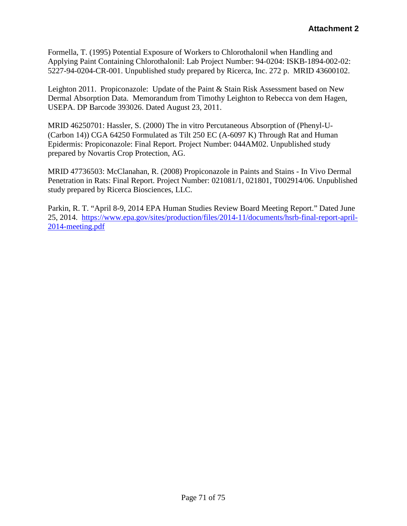Formella, T. (1995) Potential Exposure of Workers to Chlorothalonil when Handling and Applying Paint Containing Chlorothalonil: Lab Project Number: 94-0204: ISKB-1894-002-02: 5227-94-0204-CR-001. Unpublished study prepared by Ricerca, Inc. 272 p. MRID 43600102.

Leighton 2011. Propiconazole: Update of the Paint & Stain Risk Assessment based on New Dermal Absorption Data. Memorandum from Timothy Leighton to Rebecca von dem Hagen, USEPA. DP Barcode 393026. Dated August 23, 2011.

MRID 46250701: Hassler, S. (2000) The in vitro Percutaneous Absorption of (Phenyl-U- (Carbon 14)) CGA 64250 Formulated as Tilt 250 EC (A-6097 K) Through Rat and Human Epidermis: Propiconazole: Final Report. Project Number: 044AM02. Unpublished study prepared by Novartis Crop Protection, AG.

MRID 47736503: McClanahan, R. (2008) Propiconazole in Paints and Stains - In Vivo Dermal Penetration in Rats: Final Report. Project Number: 021081/1, 021801, T002914/06. Unpublished study prepared by Ricerca Biosciences, LLC.

Parkin, R. T. "April 8-9, 2014 EPA Human Studies Review Board Meeting Report." Dated June 25, 2014. [https://www.epa.gov/sites/production/files/2014-11/documents/hsrb-final-report-april-](https://www.epa.gov/sites/production/files/2014-11/documents/hsrb-final-report-april-2014-meeting.pdf)[2014-meeting.pdf](https://www.epa.gov/sites/production/files/2014-11/documents/hsrb-final-report-april-2014-meeting.pdf)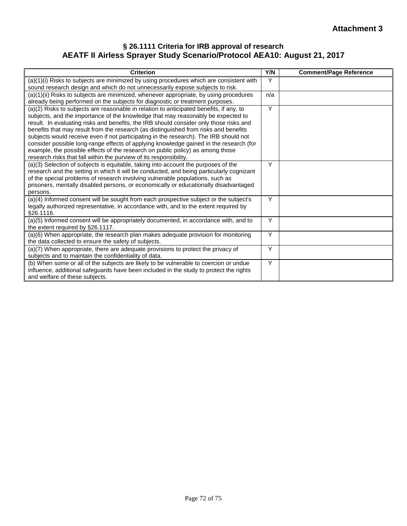### **§ 26.1111 Criteria for IRB approval of research AEATF II Airless Sprayer Study Scenario/Protocol AEA10: August 21, 2017**

| <b>Criterion</b>                                                                                                                                                                                                                                                                                                                                                                                                                                                                                                                                                                                                                                                                                         | Y/N | <b>Comment/Page Reference</b> |
|----------------------------------------------------------------------------------------------------------------------------------------------------------------------------------------------------------------------------------------------------------------------------------------------------------------------------------------------------------------------------------------------------------------------------------------------------------------------------------------------------------------------------------------------------------------------------------------------------------------------------------------------------------------------------------------------------------|-----|-------------------------------|
| $(a)(1)(i)$ Risks to subjects are minimized by using procedures which are consistent with<br>sound research design and which do not unnecessarily expose subjects to risk.                                                                                                                                                                                                                                                                                                                                                                                                                                                                                                                               | Y   |                               |
| (a)(1)(ii) Risks to subjects are minimized, whenever appropriate, by using procedures<br>already being performed on the subjects for diagnostic or treatment purposes.                                                                                                                                                                                                                                                                                                                                                                                                                                                                                                                                   | n/a |                               |
| (a)(2) Risks to subjects are reasonable in relation to anticipated benefits, if any, to<br>subjects, and the importance of the knowledge that may reasonably be expected to<br>result. In evaluating risks and benefits, the IRB should consider only those risks and<br>benefits that may result from the research (as distinguished from risks and benefits<br>subjects would receive even if not participating in the research). The IRB should not<br>consider possible long-range effects of applying knowledge gained in the research (for<br>example, the possible effects of the research on public policy) as among those<br>research risks that fall within the purview of its responsibility. | Y   |                               |
| (a)(3) Selection of subjects is equitable, taking into account the purposes of the<br>research and the setting in which it will be conducted, and being particularly cognizant<br>of the special problems of research involving vulnerable populations, such as<br>prisoners, mentally disabled persons, or economically or educationally disadvantaged<br>persons.                                                                                                                                                                                                                                                                                                                                      | Y   |                               |
| (a)(4) Informed consent will be sought from each prospective subject or the subject's<br>legally authorized representative, in accordance with, and to the extent required by<br>§26.1116.                                                                                                                                                                                                                                                                                                                                                                                                                                                                                                               | Y   |                               |
| (a)(5) Informed consent will be appropriately documented, in accordance with, and to<br>the extent required by §26.1117.                                                                                                                                                                                                                                                                                                                                                                                                                                                                                                                                                                                 | Y   |                               |
| (a)(6) When appropriate, the research plan makes adequate provision for monitoring<br>the data collected to ensure the safety of subjects.                                                                                                                                                                                                                                                                                                                                                                                                                                                                                                                                                               | Y   |                               |
| (a)(7) When appropriate, there are adequate provisions to protect the privacy of<br>subjects and to maintain the confidentiality of data.                                                                                                                                                                                                                                                                                                                                                                                                                                                                                                                                                                | Y   |                               |
| (b) When some or all of the subjects are likely to be vulnerable to coercion or undue<br>influence, additional safeguards have been included in the study to protect the rights<br>and welfare of these subjects.                                                                                                                                                                                                                                                                                                                                                                                                                                                                                        | Y   |                               |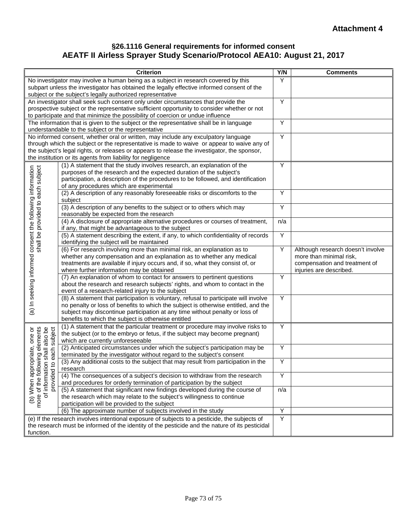## **§26.1116 General requirements for informed consent AEATF II Airless Sprayer Study Scenario/Protocol AEA10: August 21, 2017**

| <b>Criterion</b>                                                                                                           |                                                                                                                                                                                | Y/N | <b>Comments</b>                   |  |  |  |
|----------------------------------------------------------------------------------------------------------------------------|--------------------------------------------------------------------------------------------------------------------------------------------------------------------------------|-----|-----------------------------------|--|--|--|
| No investigator may involve a human being as a subject in research covered by this                                         |                                                                                                                                                                                |     |                                   |  |  |  |
|                                                                                                                            | subpart unless the investigator has obtained the legally effective informed consent of the                                                                                     |     |                                   |  |  |  |
|                                                                                                                            | subject or the subject's legally authorized representative                                                                                                                     | Y   |                                   |  |  |  |
| An investigator shall seek such consent only under circumstances that provide the                                          |                                                                                                                                                                                |     |                                   |  |  |  |
|                                                                                                                            | prospective subject or the representative sufficient opportunity to consider whether or not<br>to participate and that minimize the possibility of coercion or undue influence |     |                                   |  |  |  |
|                                                                                                                            | The information that is given to the subject or the representative shall be in language                                                                                        | Υ   |                                   |  |  |  |
|                                                                                                                            | understandable to the subject or the representative                                                                                                                            |     |                                   |  |  |  |
|                                                                                                                            | No informed consent, whether oral or written, may include any exculpatory language                                                                                             | Y   |                                   |  |  |  |
|                                                                                                                            | through which the subject or the representative is made to waive or appear to waive any of                                                                                     |     |                                   |  |  |  |
| the subject's legal rights, or releases or appears to release the investigator, the sponsor,                               |                                                                                                                                                                                |     |                                   |  |  |  |
|                                                                                                                            | the institution or its agents from liability for negligence                                                                                                                    |     |                                   |  |  |  |
|                                                                                                                            | (1) A statement that the study involves research, an explanation of the                                                                                                        | Y   |                                   |  |  |  |
|                                                                                                                            | purposes of the research and the expected duration of the subject's                                                                                                            |     |                                   |  |  |  |
|                                                                                                                            | participation, a description of the procedures to be followed, and identification                                                                                              |     |                                   |  |  |  |
|                                                                                                                            | of any procedures which are experimental                                                                                                                                       |     |                                   |  |  |  |
|                                                                                                                            | (2) A description of any reasonably foreseeable risks or discomforts to the                                                                                                    | Υ   |                                   |  |  |  |
|                                                                                                                            | subject<br>(3) A description of any benefits to the subject or to others which may                                                                                             | Y   |                                   |  |  |  |
|                                                                                                                            | reasonably be expected from the research                                                                                                                                       |     |                                   |  |  |  |
|                                                                                                                            | (4) A disclosure of appropriate alternative procedures or courses of treatment,                                                                                                | n/a |                                   |  |  |  |
|                                                                                                                            | if any, that might be advantageous to the subject                                                                                                                              |     |                                   |  |  |  |
|                                                                                                                            | (5) A statement describing the extent, if any, to which confidentiality of records                                                                                             | Y   |                                   |  |  |  |
|                                                                                                                            | identifying the subject will be maintained                                                                                                                                     |     |                                   |  |  |  |
|                                                                                                                            | (6) For research involving more than minimal risk, an explanation as to                                                                                                        | Υ   | Although research doesn't involve |  |  |  |
|                                                                                                                            | whether any compensation and an explanation as to whether any medical                                                                                                          |     | more than minimal risk,           |  |  |  |
|                                                                                                                            | treatments are available if injury occurs and, if so, what they consist of, or                                                                                                 |     | compensation and treatment of     |  |  |  |
|                                                                                                                            | where further information may be obtained                                                                                                                                      |     | injuries are described.           |  |  |  |
|                                                                                                                            | (7) An explanation of whom to contact for answers to pertinent questions                                                                                                       | Y   |                                   |  |  |  |
|                                                                                                                            | about the research and research subjects' rights, and whom to contact in the<br>event of a research-related injury to the subject                                              |     |                                   |  |  |  |
|                                                                                                                            | (8) A statement that participation is voluntary, refusal to participate will involve                                                                                           | Υ   |                                   |  |  |  |
|                                                                                                                            | no penalty or loss of benefits to which the subject is otherwise entitled, and the                                                                                             |     |                                   |  |  |  |
| (a) In seeking informed consent the following information<br>shall be provided to each subject                             | subject may discontinue participation at any time without penalty or loss of                                                                                                   |     |                                   |  |  |  |
|                                                                                                                            | benefits to which the subject is otherwise entitled                                                                                                                            |     |                                   |  |  |  |
| shall also be<br>each subject                                                                                              | (1) A statement that the particular treatment or procedure may involve risks to                                                                                                | Υ   |                                   |  |  |  |
|                                                                                                                            | the subject (or to the embryo or fetus, if the subject may become pregnant)                                                                                                    |     |                                   |  |  |  |
|                                                                                                                            | which are currently unforeseeable                                                                                                                                              |     |                                   |  |  |  |
|                                                                                                                            | (2) Anticipated circumstances under which the subject's participation may be                                                                                                   | Υ   |                                   |  |  |  |
|                                                                                                                            | terminated by the investigator without regard to the subject's consent                                                                                                         |     |                                   |  |  |  |
| (b) When appropriate, one or<br>more of the following elements<br>of information shall also be<br>provided to each subject | (3) Any additional costs to the subject that may result from participation in the                                                                                              | Υ   |                                   |  |  |  |
|                                                                                                                            | research<br>(4) The consequences of a subject's decision to withdraw from the research                                                                                         | Y   |                                   |  |  |  |
|                                                                                                                            | and procedures for orderly termination of participation by the subject                                                                                                         |     |                                   |  |  |  |
|                                                                                                                            | (5) A statement that significant new findings developed during the course of                                                                                                   | n/a |                                   |  |  |  |
|                                                                                                                            | the research which may relate to the subject's willingness to continue                                                                                                         |     |                                   |  |  |  |
|                                                                                                                            | participation will be provided to the subject                                                                                                                                  |     |                                   |  |  |  |
|                                                                                                                            | (6) The approximate number of subjects involved in the study                                                                                                                   | Y   |                                   |  |  |  |
| (e) If the research involves intentional exposure of subjects to a pesticide, the subjects of                              |                                                                                                                                                                                |     |                                   |  |  |  |
| the research must be informed of the identity of the pesticide and the nature of its pesticidal                            |                                                                                                                                                                                |     |                                   |  |  |  |
| function.                                                                                                                  |                                                                                                                                                                                |     |                                   |  |  |  |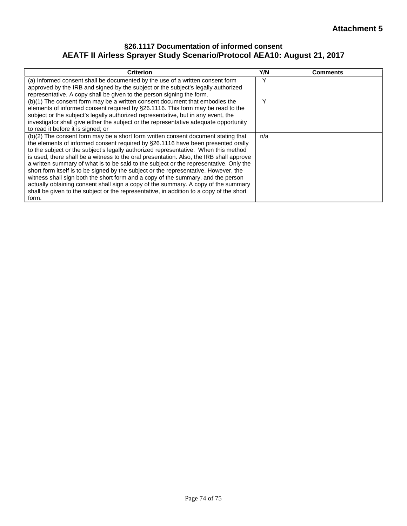## **§26.1117 Documentation of informed consent AEATF II Airless Sprayer Study Scenario/Protocol AEA10: August 21, 2017**

| <b>Criterion</b>                                                                                                                                                                                                                                                                                                                                                                                                                                                                                                                                                                                                                                                                                                                                                                                                        | Y/N | <b>Comments</b> |
|-------------------------------------------------------------------------------------------------------------------------------------------------------------------------------------------------------------------------------------------------------------------------------------------------------------------------------------------------------------------------------------------------------------------------------------------------------------------------------------------------------------------------------------------------------------------------------------------------------------------------------------------------------------------------------------------------------------------------------------------------------------------------------------------------------------------------|-----|-----------------|
| (a) Informed consent shall be documented by the use of a written consent form<br>approved by the IRB and signed by the subject or the subject's legally authorized<br>representative. A copy shall be given to the person signing the form.                                                                                                                                                                                                                                                                                                                                                                                                                                                                                                                                                                             | Y   |                 |
| (b)(1) The consent form may be a written consent document that embodies the<br>elements of informed consent required by §26.1116. This form may be read to the<br>subject or the subject's legally authorized representative, but in any event, the<br>investigator shall give either the subject or the representative adequate opportunity<br>to read it before it is signed; or                                                                                                                                                                                                                                                                                                                                                                                                                                      | ٧   |                 |
| (b)(2) The consent form may be a short form written consent document stating that<br>the elements of informed consent required by §26.1116 have been presented orally<br>to the subject or the subject's legally authorized representative. When this method<br>is used, there shall be a witness to the oral presentation. Also, the IRB shall approve<br>a written summary of what is to be said to the subject or the representative. Only the<br>short form itself is to be signed by the subject or the representative. However, the<br>witness shall sign both the short form and a copy of the summary, and the person<br>actually obtaining consent shall sign a copy of the summary. A copy of the summary<br>shall be given to the subject or the representative, in addition to a copy of the short<br>form. | n/a |                 |